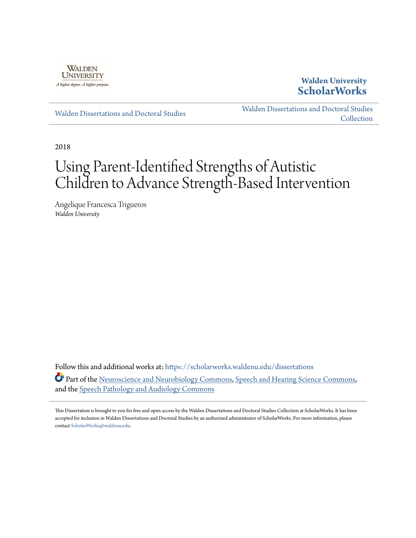

**Walden University [ScholarWorks](https://scholarworks.waldenu.edu?utm_source=scholarworks.waldenu.edu%2Fdissertations%2F5803&utm_medium=PDF&utm_campaign=PDFCoverPages)**

[Walden Dissertations and Doctoral Studies](https://scholarworks.waldenu.edu/dissertations?utm_source=scholarworks.waldenu.edu%2Fdissertations%2F5803&utm_medium=PDF&utm_campaign=PDFCoverPages)

[Walden Dissertations and Doctoral Studies](https://scholarworks.waldenu.edu/dissanddoc?utm_source=scholarworks.waldenu.edu%2Fdissertations%2F5803&utm_medium=PDF&utm_campaign=PDFCoverPages) **[Collection](https://scholarworks.waldenu.edu/dissanddoc?utm_source=scholarworks.waldenu.edu%2Fdissertations%2F5803&utm_medium=PDF&utm_campaign=PDFCoverPages)** 

2018

# Using Parent-Identified Strengths of Autistic Children to Advance Strength-Based Intervention

Angelique Francesca Trigueros *Walden University*

Follow this and additional works at: [https://scholarworks.waldenu.edu/dissertations](https://scholarworks.waldenu.edu/dissertations?utm_source=scholarworks.waldenu.edu%2Fdissertations%2F5803&utm_medium=PDF&utm_campaign=PDFCoverPages) Part of the [Neuroscience and Neurobiology Commons,](http://network.bepress.com/hgg/discipline/55?utm_source=scholarworks.waldenu.edu%2Fdissertations%2F5803&utm_medium=PDF&utm_campaign=PDFCoverPages) [Speech and Hearing Science Commons](http://network.bepress.com/hgg/discipline/1033?utm_source=scholarworks.waldenu.edu%2Fdissertations%2F5803&utm_medium=PDF&utm_campaign=PDFCoverPages), and the [Speech Pathology and Audiology Commons](http://network.bepress.com/hgg/discipline/1035?utm_source=scholarworks.waldenu.edu%2Fdissertations%2F5803&utm_medium=PDF&utm_campaign=PDFCoverPages)

This Dissertation is brought to you for free and open access by the Walden Dissertations and Doctoral Studies Collection at ScholarWorks. It has been accepted for inclusion in Walden Dissertations and Doctoral Studies by an authorized administrator of ScholarWorks. For more information, please contact [ScholarWorks@waldenu.edu](mailto:ScholarWorks@waldenu.edu).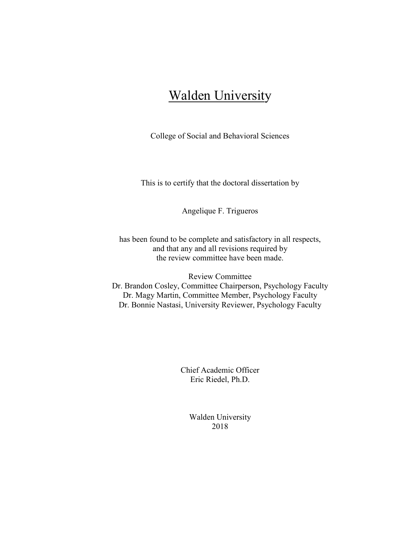## Walden University

College of Social and Behavioral Sciences

This is to certify that the doctoral dissertation by

Angelique F. Trigueros

has been found to be complete and satisfactory in all respects, and that any and all revisions required by the review committee have been made.

Review Committee Dr. Brandon Cosley, Committee Chairperson, Psychology Faculty Dr. Magy Martin, Committee Member, Psychology Faculty Dr. Bonnie Nastasi, University Reviewer, Psychology Faculty

> Chief Academic Officer Eric Riedel, Ph.D.

> > Walden University 2018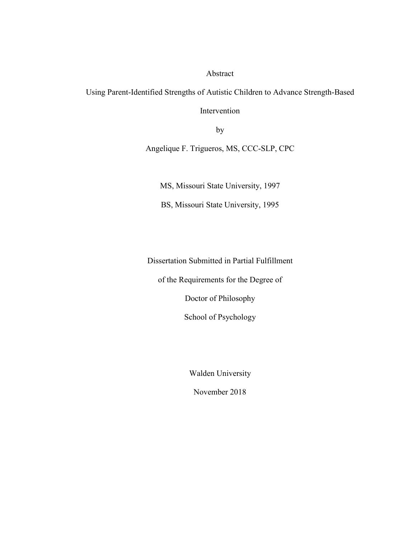Abstract

Using Parent-Identified Strengths of Autistic Children to Advance Strength-Based

Intervention

by

Angelique F. Trigueros, MS, CCC-SLP, CPC

MS, Missouri State University, 1997

BS, Missouri State University, 1995

Dissertation Submitted in Partial Fulfillment

of the Requirements for the Degree of

Doctor of Philosophy

School of Psychology

Walden University

November 2018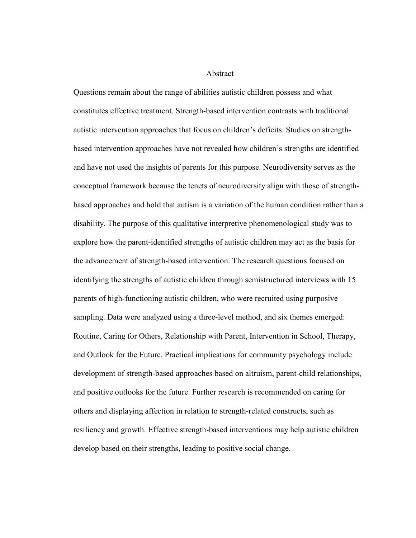Abstract

Questions remain about the range of abilities autistic children possess and what constitutes effective treatment. Strength-based intervention contrasts with traditional autistic intervention approaches that focus on children's deficits. Studies on strengthbased intervention approaches have not revealed how children's strengths are identified and have not used the insights of parents for this purpose. Neurodiversity serves as the conceptual framework because the tenets of neurodiversity align with those of strengthbased approaches and hold that autism is a variation of the human condition rather than a disability. The purpose of this qualitative interpretive phenomenological study was to explore how the parent-identified strengths of autistic children may act as the basis for the advancement of strength-based intervention. The research questions focused on identifying the strengths of autistic children through semistructured interviews with 15 parents of high-functioning autistic children, who were recruited using purposive sampling. Data were analyzed using a three-level method, and six themes emerged: Routine, Caring for Others, Relationship with Parent, Intervention in School, Therapy, and Outlook for the Future. Practical implications for community psychology include development of strength-based approaches based on altruism, parent-child relationships, and positive outlooks for the future. Further research is recommended on caring for others and displaying affection in relation to strength-related constructs, such as resiliency and growth. Effective strength-based interventions may help autistic children develop based on their strengths, leading to positive social change.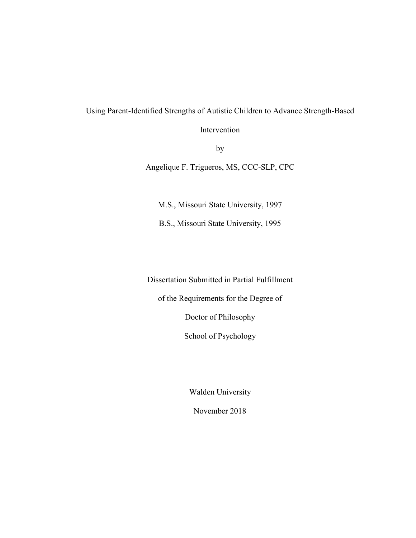## Using Parent-Identified Strengths of Autistic Children to Advance Strength-Based

Intervention

by

Angelique F. Trigueros, MS, CCC-SLP, CPC

M.S., Missouri State University, 1997

B.S., Missouri State University, 1995

Dissertation Submitted in Partial Fulfillment

of the Requirements for the Degree of

Doctor of Philosophy

School of Psychology

Walden University

November 2018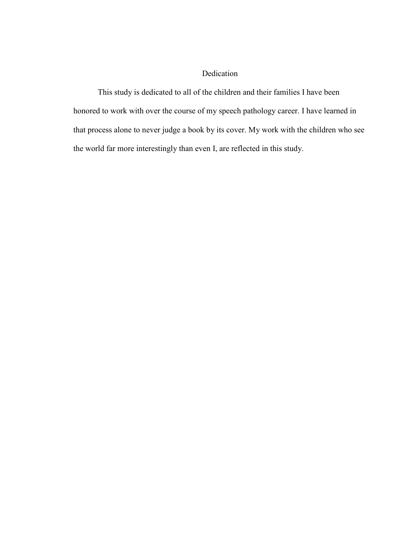#### Dedication

This study is dedicated to all of the children and their families I have been honored to work with over the course of my speech pathology career. I have learned in that process alone to never judge a book by its cover. My work with the children who see the world far more interestingly than even I, are reflected in this study.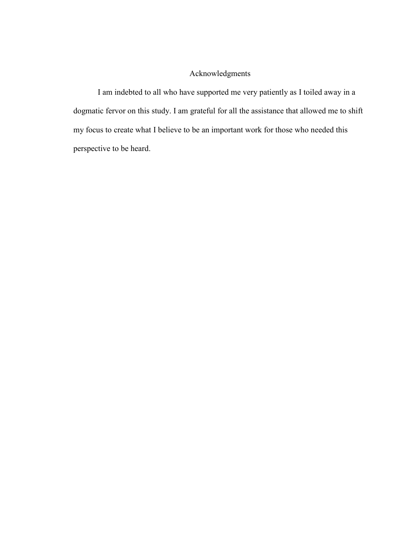### Acknowledgments

I am indebted to all who have supported me very patiently as I toiled away in a dogmatic fervor on this study. I am grateful for all the assistance that allowed me to shift my focus to create what I believe to be an important work for those who needed this perspective to be heard.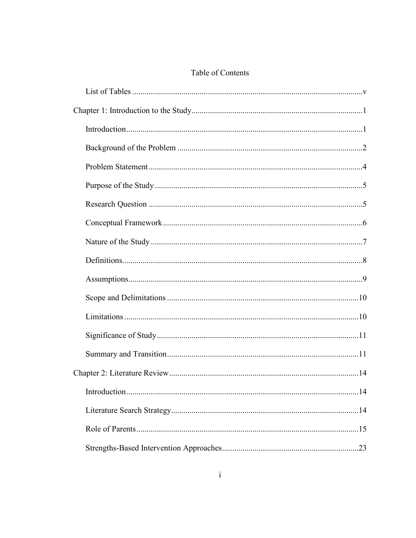## Table of Contents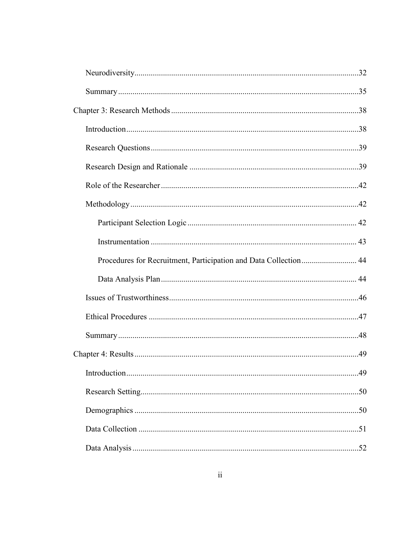| Procedures for Recruitment, Participation and Data Collection 44 |  |
|------------------------------------------------------------------|--|
|                                                                  |  |
|                                                                  |  |
|                                                                  |  |
|                                                                  |  |
|                                                                  |  |
|                                                                  |  |
|                                                                  |  |
|                                                                  |  |
|                                                                  |  |
|                                                                  |  |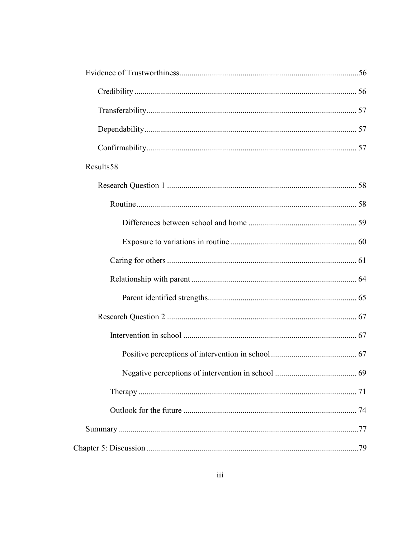| Results58 |  |
|-----------|--|
|           |  |
|           |  |
|           |  |
|           |  |
|           |  |
|           |  |
|           |  |
|           |  |
|           |  |
|           |  |
|           |  |
|           |  |
|           |  |
|           |  |
|           |  |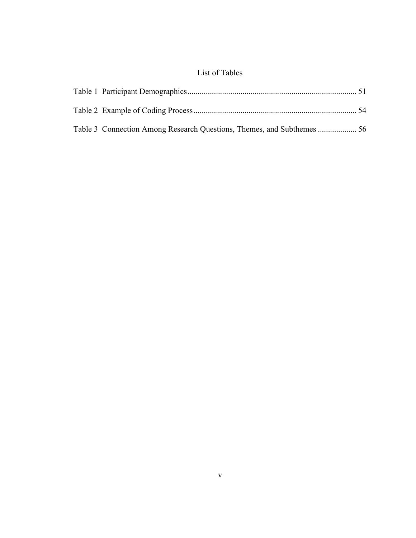## List of Tables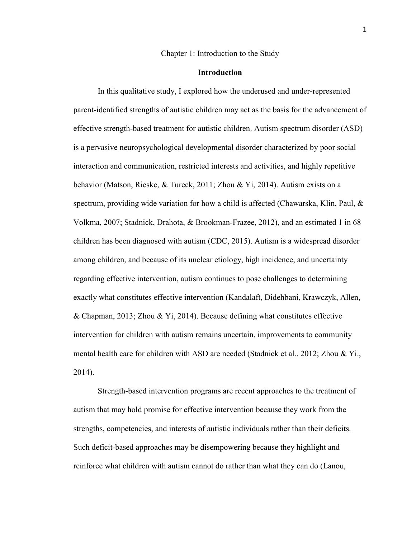#### Chapter 1: Introduction to the Study

#### **Introduction**

In this qualitative study, I explored how the underused and under-represented parent-identified strengths of autistic children may act as the basis for the advancement of effective strength-based treatment for autistic children. Autism spectrum disorder (ASD) is a pervasive neuropsychological developmental disorder characterized by poor social interaction and communication, restricted interests and activities, and highly repetitive behavior (Matson, Rieske, & Tureck, 2011; Zhou & Yi, 2014). Autism exists on a spectrum, providing wide variation for how a child is affected (Chawarska, Klin, Paul,  $\&$ Volkma, 2007; Stadnick, Drahota, & Brookman-Frazee, 2012), and an estimated 1 in 68 children has been diagnosed with autism (CDC, 2015). Autism is a widespread disorder among children, and because of its unclear etiology, high incidence, and uncertainty regarding effective intervention, autism continues to pose challenges to determining exactly what constitutes effective intervention (Kandalaft, Didehbani, Krawczyk, Allen, & Chapman, 2013; Zhou & Yi, 2014). Because defining what constitutes effective intervention for children with autism remains uncertain, improvements to community mental health care for children with ASD are needed (Stadnick et al., 2012; Zhou & Yi., 2014).

Strength-based intervention programs are recent approaches to the treatment of autism that may hold promise for effective intervention because they work from the strengths, competencies, and interests of autistic individuals rather than their deficits. Such deficit-based approaches may be disempowering because they highlight and reinforce what children with autism cannot do rather than what they can do (Lanou,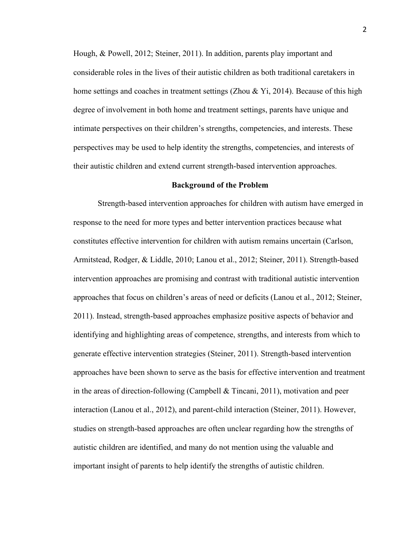Hough, & Powell, 2012; Steiner, 2011). In addition, parents play important and considerable roles in the lives of their autistic children as both traditional caretakers in home settings and coaches in treatment settings (Zhou & Yi, 2014). Because of this high degree of involvement in both home and treatment settings, parents have unique and intimate perspectives on their children's strengths, competencies, and interests. These perspectives may be used to help identity the strengths, competencies, and interests of their autistic children and extend current strength-based intervention approaches.

#### **Background of the Problem**

Strength-based intervention approaches for children with autism have emerged in response to the need for more types and better intervention practices because what constitutes effective intervention for children with autism remains uncertain (Carlson, Armitstead, Rodger, & Liddle, 2010; Lanou et al., 2012; Steiner, 2011). Strength-based intervention approaches are promising and contrast with traditional autistic intervention approaches that focus on children's areas of need or deficits (Lanou et al., 2012; Steiner, 2011). Instead, strength-based approaches emphasize positive aspects of behavior and identifying and highlighting areas of competence, strengths, and interests from which to generate effective intervention strategies (Steiner, 2011). Strength-based intervention approaches have been shown to serve as the basis for effective intervention and treatment in the areas of direction-following (Campbell  $\&$  Tincani, 2011), motivation and peer interaction (Lanou et al., 2012), and parent-child interaction (Steiner, 2011). However, studies on strength-based approaches are often unclear regarding how the strengths of autistic children are identified, and many do not mention using the valuable and important insight of parents to help identify the strengths of autistic children.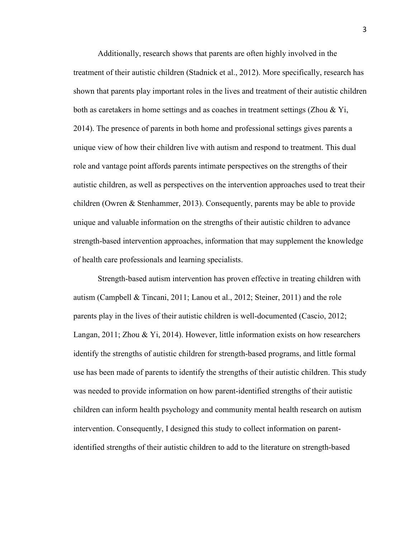Additionally, research shows that parents are often highly involved in the treatment of their autistic children (Stadnick et al., 2012). More specifically, research has shown that parents play important roles in the lives and treatment of their autistic children both as caretakers in home settings and as coaches in treatment settings (Zhou & Yi, 2014). The presence of parents in both home and professional settings gives parents a unique view of how their children live with autism and respond to treatment. This dual role and vantage point affords parents intimate perspectives on the strengths of their autistic children, as well as perspectives on the intervention approaches used to treat their children (Owren & Stenhammer, 2013). Consequently, parents may be able to provide unique and valuable information on the strengths of their autistic children to advance strength-based intervention approaches, information that may supplement the knowledge of health care professionals and learning specialists.

Strength-based autism intervention has proven effective in treating children with autism (Campbell & Tincani, 2011; Lanou et al., 2012; Steiner, 2011) and the role parents play in the lives of their autistic children is well-documented (Cascio, 2012; Langan, 2011; Zhou & Yi, 2014). However, little information exists on how researchers identify the strengths of autistic children for strength-based programs, and little formal use has been made of parents to identify the strengths of their autistic children. This study was needed to provide information on how parent-identified strengths of their autistic children can inform health psychology and community mental health research on autism intervention. Consequently, I designed this study to collect information on parentidentified strengths of their autistic children to add to the literature on strength-based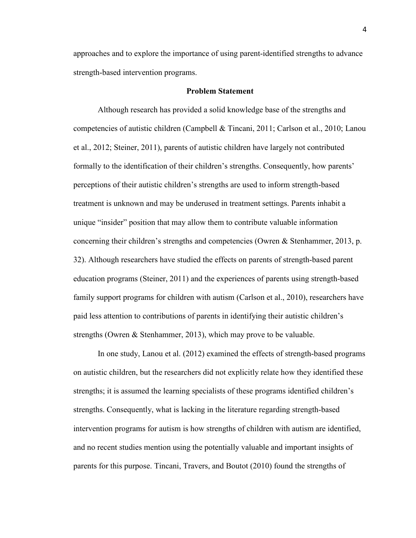approaches and to explore the importance of using parent-identified strengths to advance strength-based intervention programs.

#### **Problem Statement**

 Although research has provided a solid knowledge base of the strengths and competencies of autistic children (Campbell & Tincani, 2011; Carlson et al., 2010; Lanou et al., 2012; Steiner, 2011), parents of autistic children have largely not contributed formally to the identification of their children's strengths. Consequently, how parents' perceptions of their autistic children's strengths are used to inform strength-based treatment is unknown and may be underused in treatment settings. Parents inhabit a unique "insider" position that may allow them to contribute valuable information concerning their children's strengths and competencies (Owren & Stenhammer, 2013, p. 32). Although researchers have studied the effects on parents of strength-based parent education programs (Steiner, 2011) and the experiences of parents using strength-based family support programs for children with autism (Carlson et al., 2010), researchers have paid less attention to contributions of parents in identifying their autistic children's strengths (Owren & Stenhammer, 2013), which may prove to be valuable.

In one study, Lanou et al. (2012) examined the effects of strength-based programs on autistic children, but the researchers did not explicitly relate how they identified these strengths; it is assumed the learning specialists of these programs identified children's strengths. Consequently, what is lacking in the literature regarding strength-based intervention programs for autism is how strengths of children with autism are identified, and no recent studies mention using the potentially valuable and important insights of parents for this purpose. Tincani, Travers, and Boutot (2010) found the strengths of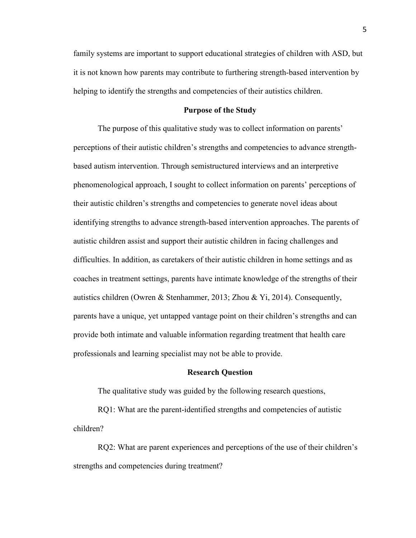family systems are important to support educational strategies of children with ASD, but it is not known how parents may contribute to furthering strength-based intervention by helping to identify the strengths and competencies of their autistics children.

#### **Purpose of the Study**

The purpose of this qualitative study was to collect information on parents' perceptions of their autistic children's strengths and competencies to advance strengthbased autism intervention. Through semistructured interviews and an interpretive phenomenological approach, I sought to collect information on parents' perceptions of their autistic children's strengths and competencies to generate novel ideas about identifying strengths to advance strength-based intervention approaches. The parents of autistic children assist and support their autistic children in facing challenges and difficulties. In addition, as caretakers of their autistic children in home settings and as coaches in treatment settings, parents have intimate knowledge of the strengths of their autistics children (Owren & Stenhammer, 2013; Zhou & Yi, 2014). Consequently, parents have a unique, yet untapped vantage point on their children's strengths and can provide both intimate and valuable information regarding treatment that health care professionals and learning specialist may not be able to provide.

#### **Research Question**

The qualitative study was guided by the following research questions,

RQ1: What are the parent-identified strengths and competencies of autistic children?

RQ2: What are parent experiences and perceptions of the use of their children's strengths and competencies during treatment?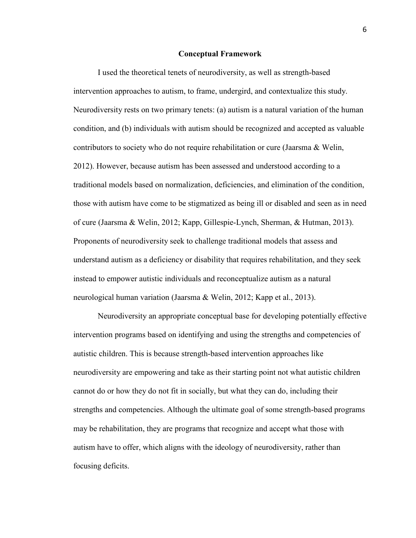#### **Conceptual Framework**

I used the theoretical tenets of neurodiversity, as well as strength-based intervention approaches to autism, to frame, undergird, and contextualize this study. Neurodiversity rests on two primary tenets: (a) autism is a natural variation of the human condition, and (b) individuals with autism should be recognized and accepted as valuable contributors to society who do not require rehabilitation or cure (Jaarsma & Welin, 2012). However, because autism has been assessed and understood according to a traditional models based on normalization, deficiencies, and elimination of the condition, those with autism have come to be stigmatized as being ill or disabled and seen as in need of cure (Jaarsma & Welin, 2012; Kapp, Gillespie-Lynch, Sherman, & Hutman, 2013). Proponents of neurodiversity seek to challenge traditional models that assess and understand autism as a deficiency or disability that requires rehabilitation, and they seek instead to empower autistic individuals and reconceptualize autism as a natural neurological human variation (Jaarsma & Welin, 2012; Kapp et al., 2013).

Neurodiversity an appropriate conceptual base for developing potentially effective intervention programs based on identifying and using the strengths and competencies of autistic children. This is because strength-based intervention approaches like neurodiversity are empowering and take as their starting point not what autistic children cannot do or how they do not fit in socially, but what they can do, including their strengths and competencies. Although the ultimate goal of some strength-based programs may be rehabilitation, they are programs that recognize and accept what those with autism have to offer, which aligns with the ideology of neurodiversity, rather than focusing deficits.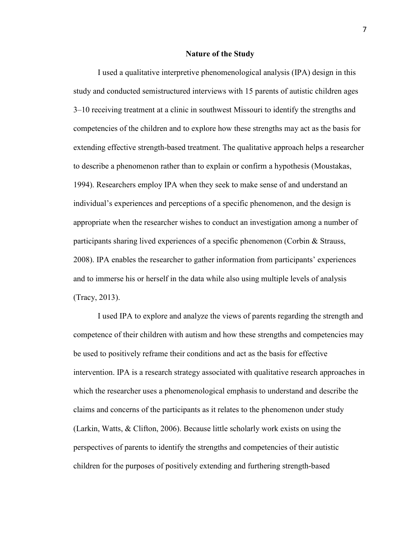#### **Nature of the Study**

I used a qualitative interpretive phenomenological analysis (IPA) design in this study and conducted semistructured interviews with 15 parents of autistic children ages 3–10 receiving treatment at a clinic in southwest Missouri to identify the strengths and competencies of the children and to explore how these strengths may act as the basis for extending effective strength-based treatment. The qualitative approach helps a researcher to describe a phenomenon rather than to explain or confirm a hypothesis (Moustakas, 1994). Researchers employ IPA when they seek to make sense of and understand an individual's experiences and perceptions of a specific phenomenon, and the design is appropriate when the researcher wishes to conduct an investigation among a number of participants sharing lived experiences of a specific phenomenon (Corbin & Strauss, 2008). IPA enables the researcher to gather information from participants' experiences and to immerse his or herself in the data while also using multiple levels of analysis (Tracy, 2013).

I used IPA to explore and analyze the views of parents regarding the strength and competence of their children with autism and how these strengths and competencies may be used to positively reframe their conditions and act as the basis for effective intervention. IPA is a research strategy associated with qualitative research approaches in which the researcher uses a phenomenological emphasis to understand and describe the claims and concerns of the participants as it relates to the phenomenon under study (Larkin, Watts, & Clifton, 2006). Because little scholarly work exists on using the perspectives of parents to identify the strengths and competencies of their autistic children for the purposes of positively extending and furthering strength-based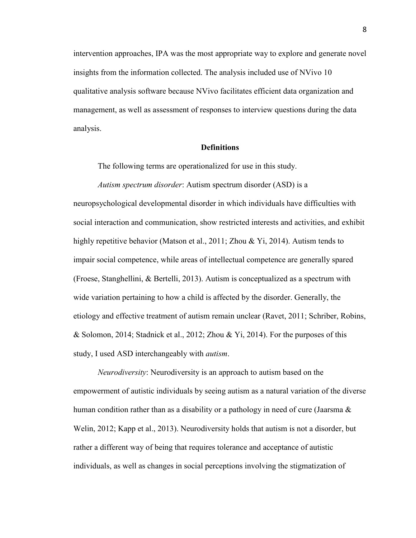intervention approaches, IPA was the most appropriate way to explore and generate novel insights from the information collected. The analysis included use of NVivo 10 qualitative analysis software because NVivo facilitates efficient data organization and management, as well as assessment of responses to interview questions during the data analysis.

#### **Definitions**

The following terms are operationalized for use in this study.

*Autism spectrum disorder*: Autism spectrum disorder (ASD) is a neuropsychological developmental disorder in which individuals have difficulties with social interaction and communication, show restricted interests and activities, and exhibit highly repetitive behavior (Matson et al., 2011; Zhou & Yi, 2014). Autism tends to impair social competence, while areas of intellectual competence are generally spared (Froese, Stanghellini, & Bertelli, 2013). Autism is conceptualized as a spectrum with wide variation pertaining to how a child is affected by the disorder. Generally, the etiology and effective treatment of autism remain unclear (Ravet, 2011; Schriber, Robins, & Solomon, 2014; Stadnick et al., 2012; Zhou & Yi, 2014). For the purposes of this study, I used ASD interchangeably with *autism*.

*Neurodiversity*: Neurodiversity is an approach to autism based on the empowerment of autistic individuals by seeing autism as a natural variation of the diverse human condition rather than as a disability or a pathology in need of cure (Jaarsma  $\&$ Welin, 2012; Kapp et al., 2013). Neurodiversity holds that autism is not a disorder, but rather a different way of being that requires tolerance and acceptance of autistic individuals, as well as changes in social perceptions involving the stigmatization of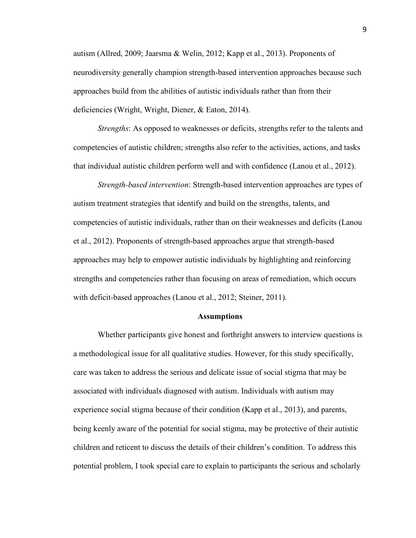autism (Allred, 2009; Jaarsma & Welin, 2012; Kapp et al., 2013). Proponents of neurodiversity generally champion strength-based intervention approaches because such approaches build from the abilities of autistic individuals rather than from their deficiencies (Wright, Wright, Diener, & Eaton, 2014).

*Strengths*: As opposed to weaknesses or deficits, strengths refer to the talents and competencies of autistic children; strengths also refer to the activities, actions, and tasks that individual autistic children perform well and with confidence (Lanou et al., 2012).

*Strength-based intervention*: Strength-based intervention approaches are types of autism treatment strategies that identify and build on the strengths, talents, and competencies of autistic individuals, rather than on their weaknesses and deficits (Lanou et al., 2012). Proponents of strength-based approaches argue that strength-based approaches may help to empower autistic individuals by highlighting and reinforcing strengths and competencies rather than focusing on areas of remediation, which occurs with deficit-based approaches (Lanou et al., 2012; Steiner, 2011).

#### **Assumptions**

Whether participants give honest and forthright answers to interview questions is a methodological issue for all qualitative studies. However, for this study specifically, care was taken to address the serious and delicate issue of social stigma that may be associated with individuals diagnosed with autism. Individuals with autism may experience social stigma because of their condition (Kapp et al., 2013), and parents, being keenly aware of the potential for social stigma, may be protective of their autistic children and reticent to discuss the details of their children's condition. To address this potential problem, I took special care to explain to participants the serious and scholarly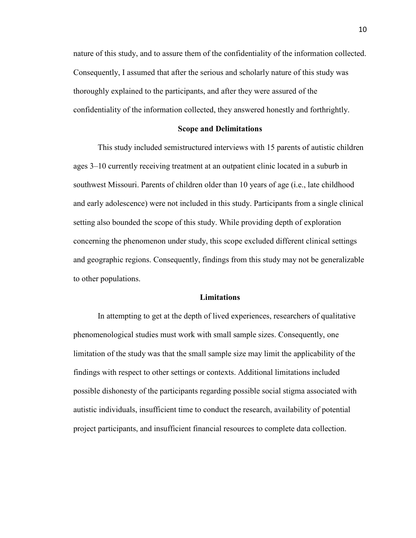nature of this study, and to assure them of the confidentiality of the information collected. Consequently, I assumed that after the serious and scholarly nature of this study was thoroughly explained to the participants, and after they were assured of the confidentiality of the information collected, they answered honestly and forthrightly.

#### **Scope and Delimitations**

This study included semistructured interviews with 15 parents of autistic children ages 3–10 currently receiving treatment at an outpatient clinic located in a suburb in southwest Missouri. Parents of children older than 10 years of age (i.e., late childhood and early adolescence) were not included in this study. Participants from a single clinical setting also bounded the scope of this study. While providing depth of exploration concerning the phenomenon under study, this scope excluded different clinical settings and geographic regions. Consequently, findings from this study may not be generalizable to other populations.

#### **Limitations**

In attempting to get at the depth of lived experiences, researchers of qualitative phenomenological studies must work with small sample sizes. Consequently, one limitation of the study was that the small sample size may limit the applicability of the findings with respect to other settings or contexts. Additional limitations included possible dishonesty of the participants regarding possible social stigma associated with autistic individuals, insufficient time to conduct the research, availability of potential project participants, and insufficient financial resources to complete data collection.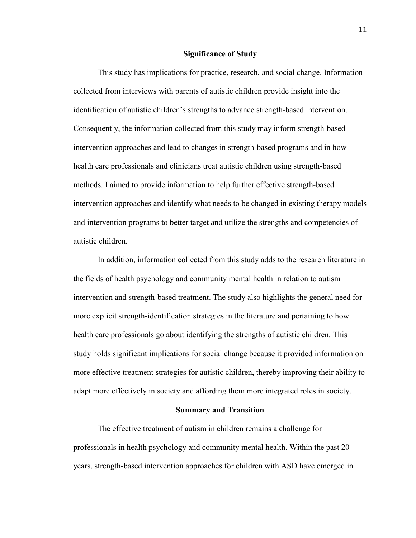#### **Significance of Study**

This study has implications for practice, research, and social change. Information collected from interviews with parents of autistic children provide insight into the identification of autistic children's strengths to advance strength-based intervention. Consequently, the information collected from this study may inform strength-based intervention approaches and lead to changes in strength-based programs and in how health care professionals and clinicians treat autistic children using strength-based methods. I aimed to provide information to help further effective strength-based intervention approaches and identify what needs to be changed in existing therapy models and intervention programs to better target and utilize the strengths and competencies of autistic children.

In addition, information collected from this study adds to the research literature in the fields of health psychology and community mental health in relation to autism intervention and strength-based treatment. The study also highlights the general need for more explicit strength-identification strategies in the literature and pertaining to how health care professionals go about identifying the strengths of autistic children. This study holds significant implications for social change because it provided information on more effective treatment strategies for autistic children, thereby improving their ability to adapt more effectively in society and affording them more integrated roles in society.

#### **Summary and Transition**

The effective treatment of autism in children remains a challenge for professionals in health psychology and community mental health. Within the past 20 years, strength-based intervention approaches for children with ASD have emerged in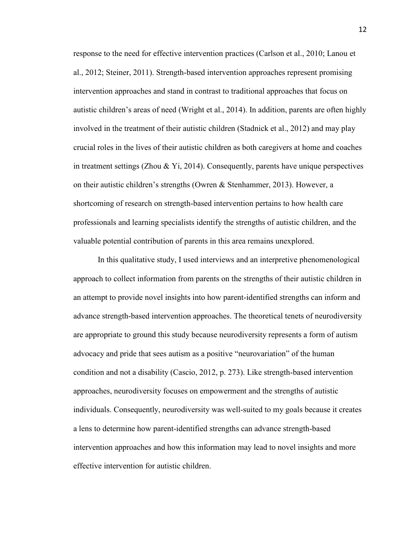response to the need for effective intervention practices (Carlson et al., 2010; Lanou et al., 2012; Steiner, 2011). Strength-based intervention approaches represent promising intervention approaches and stand in contrast to traditional approaches that focus on autistic children's areas of need (Wright et al., 2014). In addition, parents are often highly involved in the treatment of their autistic children (Stadnick et al., 2012) and may play crucial roles in the lives of their autistic children as both caregivers at home and coaches in treatment settings (Zhou & Yi, 2014). Consequently, parents have unique perspectives on their autistic children's strengths (Owren & Stenhammer, 2013). However, a shortcoming of research on strength-based intervention pertains to how health care professionals and learning specialists identify the strengths of autistic children, and the valuable potential contribution of parents in this area remains unexplored.

In this qualitative study, I used interviews and an interpretive phenomenological approach to collect information from parents on the strengths of their autistic children in an attempt to provide novel insights into how parent-identified strengths can inform and advance strength-based intervention approaches. The theoretical tenets of neurodiversity are appropriate to ground this study because neurodiversity represents a form of autism advocacy and pride that sees autism as a positive "neurovariation" of the human condition and not a disability (Cascio, 2012, p. 273). Like strength-based intervention approaches, neurodiversity focuses on empowerment and the strengths of autistic individuals. Consequently, neurodiversity was well-suited to my goals because it creates a lens to determine how parent-identified strengths can advance strength-based intervention approaches and how this information may lead to novel insights and more effective intervention for autistic children.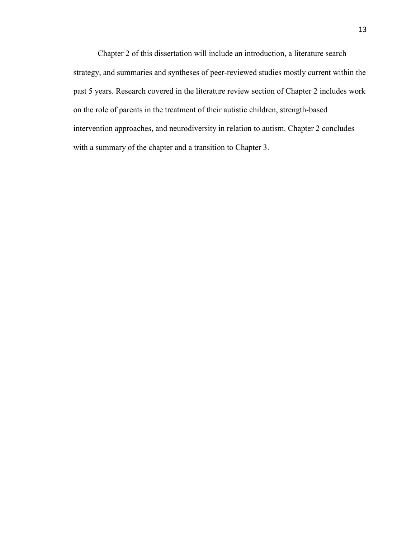Chapter 2 of this dissertation will include an introduction, a literature search strategy, and summaries and syntheses of peer-reviewed studies mostly current within the past 5 years. Research covered in the literature review section of Chapter 2 includes work on the role of parents in the treatment of their autistic children, strength-based intervention approaches, and neurodiversity in relation to autism. Chapter 2 concludes with a summary of the chapter and a transition to Chapter 3.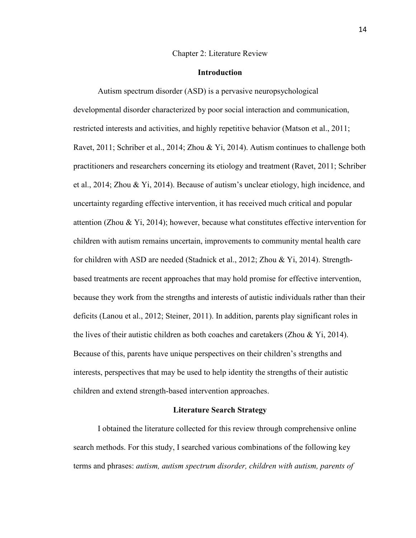#### Chapter 2: Literature Review

#### **Introduction**

Autism spectrum disorder (ASD) is a pervasive neuropsychological developmental disorder characterized by poor social interaction and communication, restricted interests and activities, and highly repetitive behavior (Matson et al., 2011; Ravet, 2011; Schriber et al., 2014; Zhou & Yi, 2014). Autism continues to challenge both practitioners and researchers concerning its etiology and treatment (Ravet, 2011; Schriber et al., 2014; Zhou & Yi, 2014). Because of autism's unclear etiology, high incidence, and uncertainty regarding effective intervention, it has received much critical and popular attention (Zhou & Yi, 2014); however, because what constitutes effective intervention for children with autism remains uncertain, improvements to community mental health care for children with ASD are needed (Stadnick et al., 2012; Zhou & Yi, 2014). Strengthbased treatments are recent approaches that may hold promise for effective intervention, because they work from the strengths and interests of autistic individuals rather than their deficits (Lanou et al., 2012; Steiner, 2011). In addition, parents play significant roles in the lives of their autistic children as both coaches and caretakers (Zhou & Yi, 2014). Because of this, parents have unique perspectives on their children's strengths and interests, perspectives that may be used to help identity the strengths of their autistic children and extend strength-based intervention approaches.

#### **Literature Search Strategy**

I obtained the literature collected for this review through comprehensive online search methods. For this study, I searched various combinations of the following key terms and phrases: *autism, autism spectrum disorder, children with autism, parents of*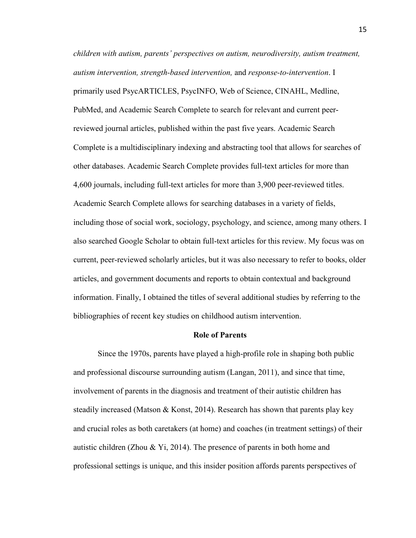*children with autism, parents' perspectives on autism, neurodiversity, autism treatment, autism intervention, strength-based intervention,* and *response-to-intervention*. I primarily used PsycARTICLES, PsycINFO, Web of Science, CINAHL, Medline, PubMed, and Academic Search Complete to search for relevant and current peerreviewed journal articles, published within the past five years. Academic Search Complete is a multidisciplinary indexing and abstracting tool that allows for searches of other databases. Academic Search Complete provides full-text articles for more than 4,600 journals, including full-text articles for more than 3,900 peer-reviewed titles. Academic Search Complete allows for searching databases in a variety of fields, including those of social work, sociology, psychology, and science, among many others. I also searched Google Scholar to obtain full-text articles for this review. My focus was on current, peer-reviewed scholarly articles, but it was also necessary to refer to books, older articles, and government documents and reports to obtain contextual and background information. Finally, I obtained the titles of several additional studies by referring to the bibliographies of recent key studies on childhood autism intervention.

#### **Role of Parents**

Since the 1970s, parents have played a high-profile role in shaping both public and professional discourse surrounding autism (Langan, 2011), and since that time, involvement of parents in the diagnosis and treatment of their autistic children has steadily increased (Matson & Konst, 2014). Research has shown that parents play key and crucial roles as both caretakers (at home) and coaches (in treatment settings) of their autistic children (Zhou & Yi, 2014). The presence of parents in both home and professional settings is unique, and this insider position affords parents perspectives of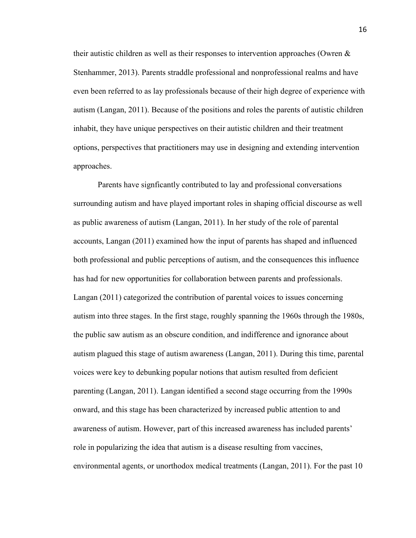their autistic children as well as their responses to intervention approaches (Owren & Stenhammer, 2013). Parents straddle professional and nonprofessional realms and have even been referred to as lay professionals because of their high degree of experience with autism (Langan, 2011). Because of the positions and roles the parents of autistic children inhabit, they have unique perspectives on their autistic children and their treatment options, perspectives that practitioners may use in designing and extending intervention approaches.

Parents have signficantly contributed to lay and professional conversations surrounding autism and have played important roles in shaping official discourse as well as public awareness of autism (Langan, 2011). In her study of the role of parental accounts, Langan (2011) examined how the input of parents has shaped and influenced both professional and public perceptions of autism, and the consequences this influence has had for new opportunities for collaboration between parents and professionals. Langan (2011) categorized the contribution of parental voices to issues concerning autism into three stages. In the first stage, roughly spanning the 1960s through the 1980s, the public saw autism as an obscure condition, and indifference and ignorance about autism plagued this stage of autism awareness (Langan, 2011). During this time, parental voices were key to debunking popular notions that autism resulted from deficient parenting (Langan, 2011). Langan identified a second stage occurring from the 1990s onward, and this stage has been characterized by increased public attention to and awareness of autism. However, part of this increased awareness has included parents' role in popularizing the idea that autism is a disease resulting from vaccines, environmental agents, or unorthodox medical treatments (Langan, 2011). For the past 10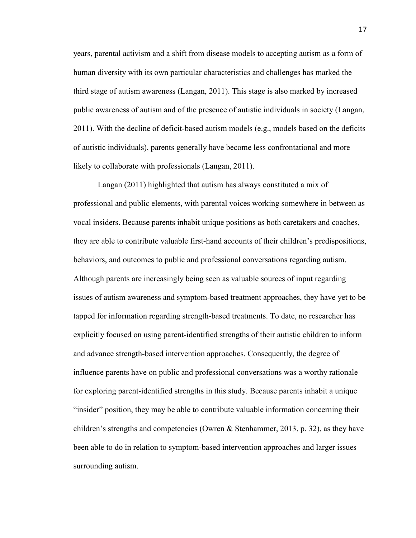years, parental activism and a shift from disease models to accepting autism as a form of human diversity with its own particular characteristics and challenges has marked the third stage of autism awareness (Langan, 2011). This stage is also marked by increased public awareness of autism and of the presence of autistic individuals in society (Langan, 2011). With the decline of deficit-based autism models (e.g., models based on the deficits of autistic individuals), parents generally have become less confrontational and more likely to collaborate with professionals (Langan, 2011).

Langan (2011) highlighted that autism has always constituted a mix of professional and public elements, with parental voices working somewhere in between as vocal insiders. Because parents inhabit unique positions as both caretakers and coaches, they are able to contribute valuable first-hand accounts of their children's predispositions, behaviors, and outcomes to public and professional conversations regarding autism. Although parents are increasingly being seen as valuable sources of input regarding issues of autism awareness and symptom-based treatment approaches, they have yet to be tapped for information regarding strength-based treatments. To date, no researcher has explicitly focused on using parent-identified strengths of their autistic children to inform and advance strength-based intervention approaches. Consequently, the degree of influence parents have on public and professional conversations was a worthy rationale for exploring parent-identified strengths in this study. Because parents inhabit a unique "insider" position, they may be able to contribute valuable information concerning their children's strengths and competencies (Owren & Stenhammer, 2013, p. 32), as they have been able to do in relation to symptom-based intervention approaches and larger issues surrounding autism.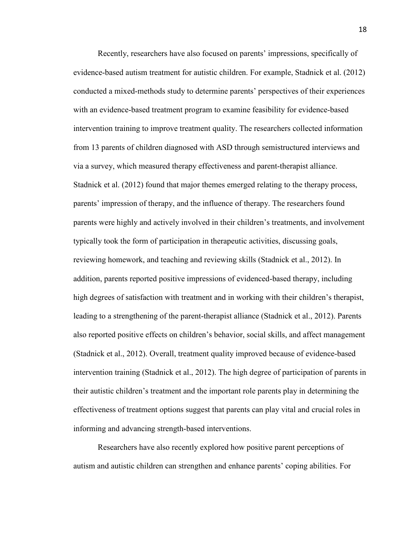Recently, researchers have also focused on parents' impressions, specifically of evidence-based autism treatment for autistic children. For example, Stadnick et al. (2012) conducted a mixed-methods study to determine parents' perspectives of their experiences with an evidence-based treatment program to examine feasibility for evidence-based intervention training to improve treatment quality. The researchers collected information from 13 parents of children diagnosed with ASD through semistructured interviews and via a survey, which measured therapy effectiveness and parent-therapist alliance. Stadnick et al. (2012) found that major themes emerged relating to the therapy process, parents' impression of therapy, and the influence of therapy. The researchers found parents were highly and actively involved in their children's treatments, and involvement typically took the form of participation in therapeutic activities, discussing goals, reviewing homework, and teaching and reviewing skills (Stadnick et al., 2012). In addition, parents reported positive impressions of evidenced-based therapy, including high degrees of satisfaction with treatment and in working with their children's therapist, leading to a strengthening of the parent-therapist alliance (Stadnick et al., 2012). Parents also reported positive effects on children's behavior, social skills, and affect management (Stadnick et al., 2012). Overall, treatment quality improved because of evidence-based intervention training (Stadnick et al., 2012). The high degree of participation of parents in their autistic children's treatment and the important role parents play in determining the effectiveness of treatment options suggest that parents can play vital and crucial roles in informing and advancing strength-based interventions.

Researchers have also recently explored how positive parent perceptions of autism and autistic children can strengthen and enhance parents' coping abilities. For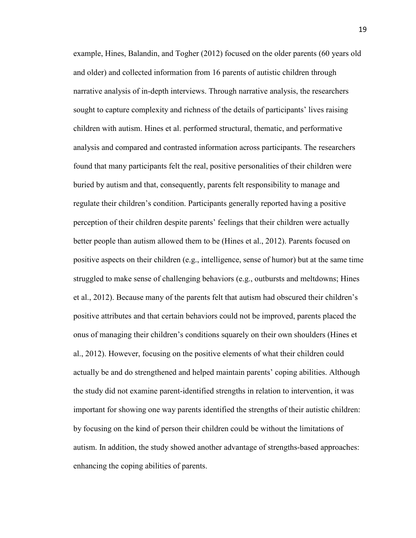example, Hines, Balandin, and Togher (2012) focused on the older parents (60 years old and older) and collected information from 16 parents of autistic children through narrative analysis of in-depth interviews. Through narrative analysis, the researchers sought to capture complexity and richness of the details of participants' lives raising children with autism. Hines et al. performed structural, thematic, and performative analysis and compared and contrasted information across participants. The researchers found that many participants felt the real, positive personalities of their children were buried by autism and that, consequently, parents felt responsibility to manage and regulate their children's condition. Participants generally reported having a positive perception of their children despite parents' feelings that their children were actually better people than autism allowed them to be (Hines et al., 2012). Parents focused on positive aspects on their children (e.g., intelligence, sense of humor) but at the same time struggled to make sense of challenging behaviors (e.g., outbursts and meltdowns; Hines et al., 2012). Because many of the parents felt that autism had obscured their children's positive attributes and that certain behaviors could not be improved, parents placed the onus of managing their children's conditions squarely on their own shoulders (Hines et al., 2012). However, focusing on the positive elements of what their children could actually be and do strengthened and helped maintain parents' coping abilities. Although the study did not examine parent-identified strengths in relation to intervention, it was important for showing one way parents identified the strengths of their autistic children: by focusing on the kind of person their children could be without the limitations of autism. In addition, the study showed another advantage of strengths-based approaches: enhancing the coping abilities of parents.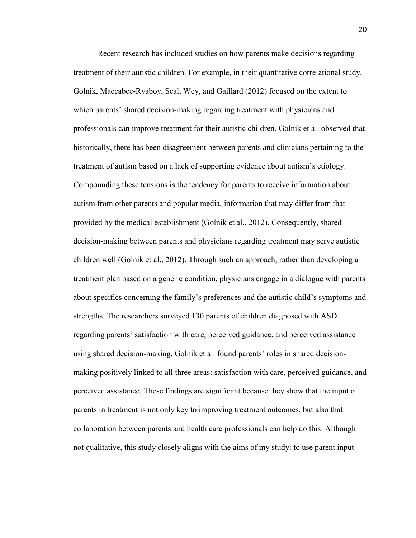Recent research has included studies on how parents make decisions regarding treatment of their autistic children. For example, in their quantitative correlational study, Golnik, Maccabee-Ryaboy, Scal, Wey, and Gaillard (2012) focused on the extent to which parents' shared decision-making regarding treatment with physicians and professionals can improve treatment for their autistic children. Golnik et al. observed that historically, there has been disagreement between parents and clinicians pertaining to the treatment of autism based on a lack of supporting evidence about autism's etiology. Compounding these tensions is the tendency for parents to receive information about autism from other parents and popular media, information that may differ from that provided by the medical establishment (Golnik et al., 2012). Consequently, shared decision-making between parents and physicians regarding treatment may serve autistic children well (Golnik et al., 2012). Through such an approach, rather than developing a treatment plan based on a generic condition, physicians engage in a dialogue with parents about specifics concerning the family's preferences and the autistic child's symptoms and strengths. The researchers surveyed 130 parents of children diagnosed with ASD regarding parents' satisfaction with care, perceived guidance, and perceived assistance using shared decision-making. Golnik et al. found parents' roles in shared decisionmaking positively linked to all three areas: satisfaction with care, perceived guidance, and perceived assistance. These findings are significant because they show that the input of parents in treatment is not only key to improving treatment outcomes, but also that collaboration between parents and health care professionals can help do this. Although not qualitative, this study closely aligns with the aims of my study: to use parent input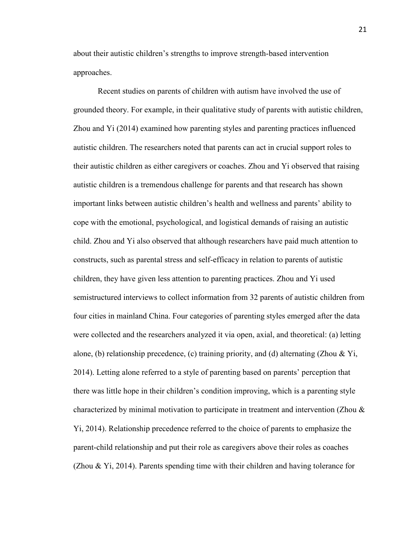about their autistic children's strengths to improve strength-based intervention approaches.

Recent studies on parents of children with autism have involved the use of grounded theory. For example, in their qualitative study of parents with autistic children, Zhou and Yi (2014) examined how parenting styles and parenting practices influenced autistic children. The researchers noted that parents can act in crucial support roles to their autistic children as either caregivers or coaches. Zhou and Yi observed that raising autistic children is a tremendous challenge for parents and that research has shown important links between autistic children's health and wellness and parents' ability to cope with the emotional, psychological, and logistical demands of raising an autistic child. Zhou and Yi also observed that although researchers have paid much attention to constructs, such as parental stress and self-efficacy in relation to parents of autistic children, they have given less attention to parenting practices. Zhou and Yi used semistructured interviews to collect information from 32 parents of autistic children from four cities in mainland China. Four categories of parenting styles emerged after the data were collected and the researchers analyzed it via open, axial, and theoretical: (a) letting alone, (b) relationship precedence, (c) training priority, and (d) alternating (Zhou & Yi, 2014). Letting alone referred to a style of parenting based on parents' perception that there was little hope in their children's condition improving, which is a parenting style characterized by minimal motivation to participate in treatment and intervention (Zhou & Yi, 2014). Relationship precedence referred to the choice of parents to emphasize the parent-child relationship and put their role as caregivers above their roles as coaches (Zhou & Yi, 2014). Parents spending time with their children and having tolerance for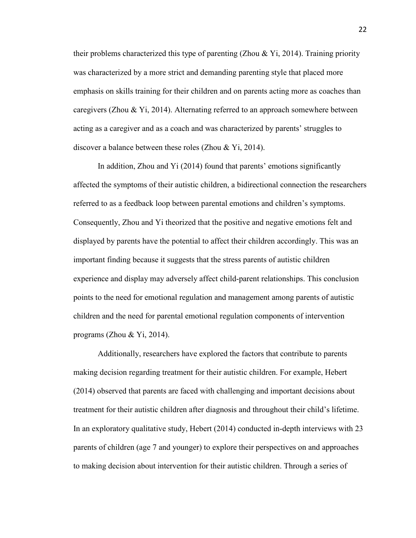their problems characterized this type of parenting (Zhou & Yi, 2014). Training priority was characterized by a more strict and demanding parenting style that placed more emphasis on skills training for their children and on parents acting more as coaches than caregivers (Zhou & Yi, 2014). Alternating referred to an approach somewhere between acting as a caregiver and as a coach and was characterized by parents' struggles to discover a balance between these roles (Zhou & Yi, 2014).

In addition, Zhou and Yi (2014) found that parents' emotions significantly affected the symptoms of their autistic children, a bidirectional connection the researchers referred to as a feedback loop between parental emotions and children's symptoms. Consequently, Zhou and Yi theorized that the positive and negative emotions felt and displayed by parents have the potential to affect their children accordingly. This was an important finding because it suggests that the stress parents of autistic children experience and display may adversely affect child-parent relationships. This conclusion points to the need for emotional regulation and management among parents of autistic children and the need for parental emotional regulation components of intervention programs (Zhou  $&$  Yi, 2014).

Additionally, researchers have explored the factors that contribute to parents making decision regarding treatment for their autistic children. For example, Hebert (2014) observed that parents are faced with challenging and important decisions about treatment for their autistic children after diagnosis and throughout their child's lifetime. In an exploratory qualitative study, Hebert (2014) conducted in-depth interviews with 23 parents of children (age 7 and younger) to explore their perspectives on and approaches to making decision about intervention for their autistic children. Through a series of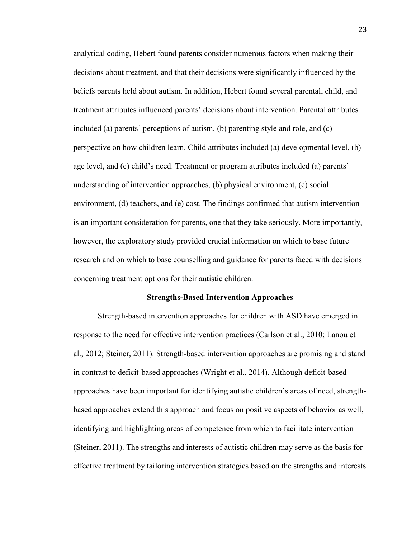analytical coding, Hebert found parents consider numerous factors when making their decisions about treatment, and that their decisions were significantly influenced by the beliefs parents held about autism. In addition, Hebert found several parental, child, and treatment attributes influenced parents' decisions about intervention. Parental attributes included (a) parents' perceptions of autism, (b) parenting style and role, and (c) perspective on how children learn. Child attributes included (a) developmental level, (b) age level, and (c) child's need. Treatment or program attributes included (a) parents' understanding of intervention approaches, (b) physical environment, (c) social environment, (d) teachers, and (e) cost. The findings confirmed that autism intervention is an important consideration for parents, one that they take seriously. More importantly, however, the exploratory study provided crucial information on which to base future research and on which to base counselling and guidance for parents faced with decisions concerning treatment options for their autistic children.

#### **Strengths-Based Intervention Approaches**

Strength-based intervention approaches for children with ASD have emerged in response to the need for effective intervention practices (Carlson et al., 2010; Lanou et al., 2012; Steiner, 2011). Strength-based intervention approaches are promising and stand in contrast to deficit-based approaches (Wright et al., 2014). Although deficit-based approaches have been important for identifying autistic children's areas of need, strengthbased approaches extend this approach and focus on positive aspects of behavior as well, identifying and highlighting areas of competence from which to facilitate intervention (Steiner, 2011). The strengths and interests of autistic children may serve as the basis for effective treatment by tailoring intervention strategies based on the strengths and interests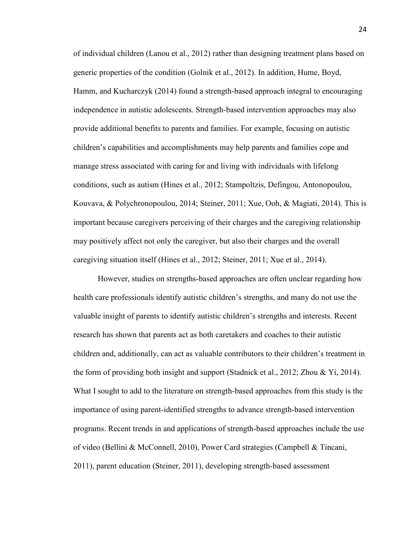of individual children (Lanou et al., 2012) rather than designing treatment plans based on generic properties of the condition (Golnik et al., 2012). In addition, Hume, Boyd, Hamm, and Kucharczyk (2014) found a strength-based approach integral to encouraging independence in autistic adolescents. Strength-based intervention approaches may also provide additional benefits to parents and families. For example, focusing on autistic children's capabilities and accomplishments may help parents and families cope and manage stress associated with caring for and living with individuals with lifelong conditions, such as autism (Hines et al., 2012; Stampoltzis, Defingou, Antonopoulou, Kouvava, & Polychronopoulou, 2014; Steiner, 2011; Xue, Ooh, & Magiati, 2014). This is important because caregivers perceiving of their charges and the caregiving relationship may positively affect not only the caregiver, but also their charges and the overall caregiving situation itself (Hines et al., 2012; Steiner, 2011; Xue et al., 2014).

However, studies on strengths-based approaches are often unclear regarding how health care professionals identify autistic children's strengths, and many do not use the valuable insight of parents to identify autistic children's strengths and interests. Recent research has shown that parents act as both caretakers and coaches to their autistic children and, additionally, can act as valuable contributors to their children's treatment in the form of providing both insight and support (Stadnick et al., 2012; Zhou & Yi, 2014). What I sought to add to the literature on strength-based approaches from this study is the importance of using parent-identified strengths to advance strength-based intervention programs. Recent trends in and applications of strength-based approaches include the use of video (Bellini & McConnell, 2010), Power Card strategies (Campbell & Tincani, 2011), parent education (Steiner, 2011), developing strength-based assessment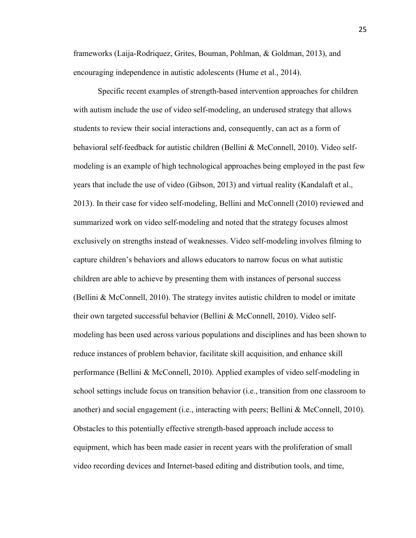frameworks (Laija-Rodriquez, Grites, Bouman, Pohlman, & Goldman, 2013), and encouraging independence in autistic adolescents (Hume et al., 2014).

Specific recent examples of strength-based intervention approaches for children with autism include the use of video self-modeling, an underused strategy that allows students to review their social interactions and, consequently, can act as a form of behavioral self-feedback for autistic children (Bellini & McConnell, 2010). Video selfmodeling is an example of high technological approaches being employed in the past few years that include the use of video (Gibson, 2013) and virtual reality (Kandalaft et al., 2013). In their case for video self-modeling, Bellini and McConnell (2010) reviewed and summarized work on video self-modeling and noted that the strategy focuses almost exclusively on strengths instead of weaknesses. Video self-modeling involves filming to capture children's behaviors and allows educators to narrow focus on what autistic children are able to achieve by presenting them with instances of personal success (Bellini & McConnell, 2010). The strategy invites autistic children to model or imitate their own targeted successful behavior (Bellini & McConnell, 2010). Video selfmodeling has been used across various populations and disciplines and has been shown to reduce instances of problem behavior, facilitate skill acquisition, and enhance skill performance (Bellini & McConnell, 2010). Applied examples of video self-modeling in school settings include focus on transition behavior (i.e., transition from one classroom to another) and social engagement (i.e., interacting with peers; Bellini & McConnell, 2010). Obstacles to this potentially effective strength-based approach include access to equipment, which has been made easier in recent years with the proliferation of small video recording devices and Internet-based editing and distribution tools, and time,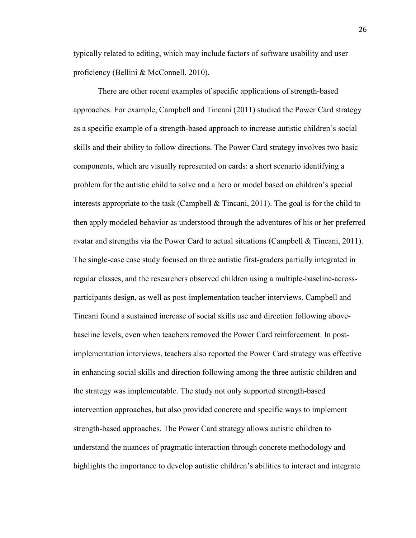typically related to editing, which may include factors of software usability and user proficiency (Bellini & McConnell, 2010).

There are other recent examples of specific applications of strength-based approaches. For example, Campbell and Tincani (2011) studied the Power Card strategy as a specific example of a strength-based approach to increase autistic children's social skills and their ability to follow directions. The Power Card strategy involves two basic components, which are visually represented on cards: a short scenario identifying a problem for the autistic child to solve and a hero or model based on children's special interests appropriate to the task (Campbell  $\&$  Tincani, 2011). The goal is for the child to then apply modeled behavior as understood through the adventures of his or her preferred avatar and strengths via the Power Card to actual situations (Campbell & Tincani, 2011). The single-case case study focused on three autistic first-graders partially integrated in regular classes, and the researchers observed children using a multiple-baseline-acrossparticipants design, as well as post-implementation teacher interviews. Campbell and Tincani found a sustained increase of social skills use and direction following abovebaseline levels, even when teachers removed the Power Card reinforcement. In postimplementation interviews, teachers also reported the Power Card strategy was effective in enhancing social skills and direction following among the three autistic children and the strategy was implementable. The study not only supported strength-based intervention approaches, but also provided concrete and specific ways to implement strength-based approaches. The Power Card strategy allows autistic children to understand the nuances of pragmatic interaction through concrete methodology and highlights the importance to develop autistic children's abilities to interact and integrate

26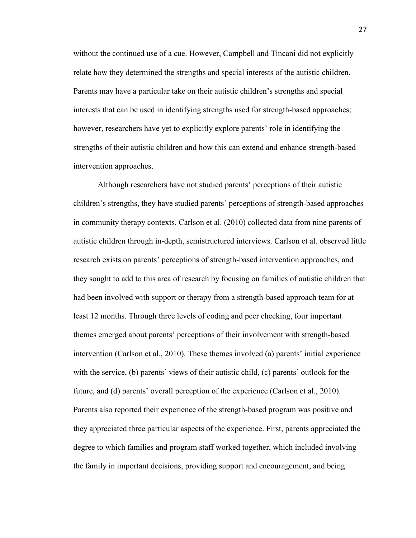without the continued use of a cue. However, Campbell and Tincani did not explicitly relate how they determined the strengths and special interests of the autistic children. Parents may have a particular take on their autistic children's strengths and special interests that can be used in identifying strengths used for strength-based approaches; however, researchers have yet to explicitly explore parents' role in identifying the strengths of their autistic children and how this can extend and enhance strength-based intervention approaches.

Although researchers have not studied parents' perceptions of their autistic children's strengths, they have studied parents' perceptions of strength-based approaches in community therapy contexts. Carlson et al. (2010) collected data from nine parents of autistic children through in-depth, semistructured interviews. Carlson et al. observed little research exists on parents' perceptions of strength-based intervention approaches, and they sought to add to this area of research by focusing on families of autistic children that had been involved with support or therapy from a strength-based approach team for at least 12 months. Through three levels of coding and peer checking, four important themes emerged about parents' perceptions of their involvement with strength-based intervention (Carlson et al., 2010). These themes involved (a) parents' initial experience with the service, (b) parents' views of their autistic child, (c) parents' outlook for the future, and (d) parents' overall perception of the experience (Carlson et al., 2010). Parents also reported their experience of the strength-based program was positive and they appreciated three particular aspects of the experience. First, parents appreciated the degree to which families and program staff worked together, which included involving the family in important decisions, providing support and encouragement, and being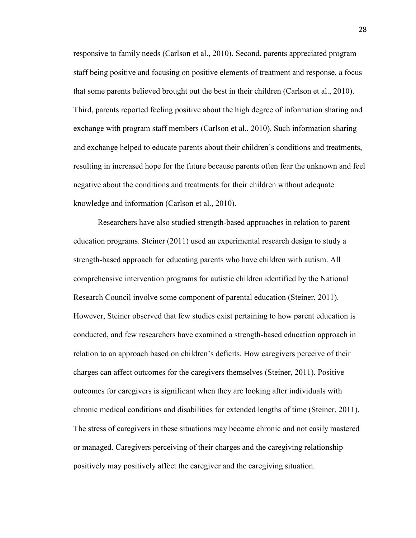responsive to family needs (Carlson et al., 2010). Second, parents appreciated program staff being positive and focusing on positive elements of treatment and response, a focus that some parents believed brought out the best in their children (Carlson et al., 2010). Third, parents reported feeling positive about the high degree of information sharing and exchange with program staff members (Carlson et al., 2010). Such information sharing and exchange helped to educate parents about their children's conditions and treatments, resulting in increased hope for the future because parents often fear the unknown and feel negative about the conditions and treatments for their children without adequate knowledge and information (Carlson et al., 2010).

Researchers have also studied strength-based approaches in relation to parent education programs. Steiner (2011) used an experimental research design to study a strength-based approach for educating parents who have children with autism. All comprehensive intervention programs for autistic children identified by the National Research Council involve some component of parental education (Steiner, 2011). However, Steiner observed that few studies exist pertaining to how parent education is conducted, and few researchers have examined a strength-based education approach in relation to an approach based on children's deficits. How caregivers perceive of their charges can affect outcomes for the caregivers themselves (Steiner, 2011). Positive outcomes for caregivers is significant when they are looking after individuals with chronic medical conditions and disabilities for extended lengths of time (Steiner, 2011). The stress of caregivers in these situations may become chronic and not easily mastered or managed. Caregivers perceiving of their charges and the caregiving relationship positively may positively affect the caregiver and the caregiving situation.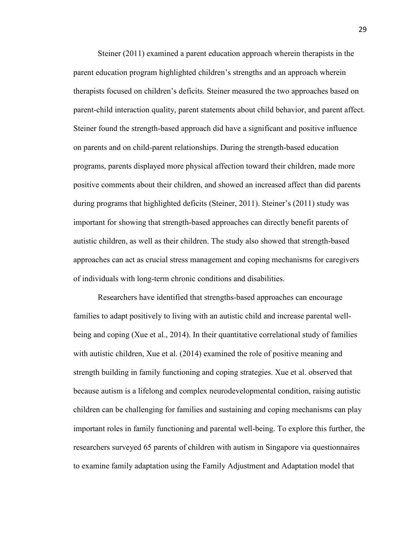Steiner (2011) examined a parent education approach wherein therapists in the parent education program highlighted children's strengths and an approach wherein therapists focused on children's deficits. Steiner measured the two approaches based on parent-child interaction quality, parent statements about child behavior, and parent affect. Steiner found the strength-based approach did have a significant and positive influence on parents and on child-parent relationships. During the strength-based education programs, parents displayed more physical affection toward their children, made more positive comments about their children, and showed an increased affect than did parents during programs that highlighted deficits (Steiner, 2011). Steiner's (2011) study was important for showing that strength-based approaches can directly benefit parents of autistic children, as well as their children. The study also showed that strength-based approaches can act as crucial stress management and coping mechanisms for caregivers of individuals with long-term chronic conditions and disabilities.

Researchers have identified that strengths-based approaches can encourage families to adapt positively to living with an autistic child and increase parental wellbeing and coping (Xue et al., 2014). In their quantitative correlational study of families with autistic children, Xue et al. (2014) examined the role of positive meaning and strength building in family functioning and coping strategies. Xue et al. observed that because autism is a lifelong and complex neurodevelopmental condition, raising autistic children can be challenging for families and sustaining and coping mechanisms can play important roles in family functioning and parental well-being. To explore this further, the researchers surveyed 65 parents of children with autism in Singapore via questionnaires to examine family adaptation using the Family Adjustment and Adaptation model that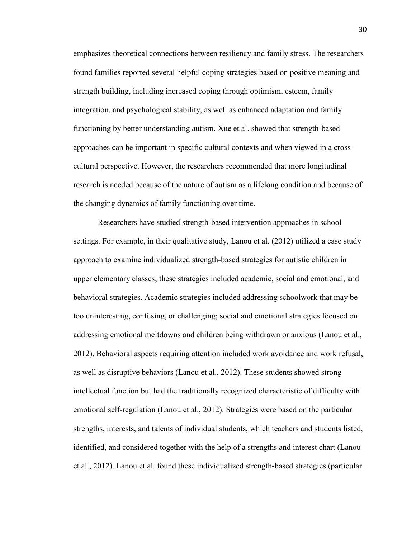emphasizes theoretical connections between resiliency and family stress. The researchers found families reported several helpful coping strategies based on positive meaning and strength building, including increased coping through optimism, esteem, family integration, and psychological stability, as well as enhanced adaptation and family functioning by better understanding autism. Xue et al. showed that strength-based approaches can be important in specific cultural contexts and when viewed in a crosscultural perspective. However, the researchers recommended that more longitudinal research is needed because of the nature of autism as a lifelong condition and because of the changing dynamics of family functioning over time.

Researchers have studied strength-based intervention approaches in school settings. For example, in their qualitative study, Lanou et al. (2012) utilized a case study approach to examine individualized strength-based strategies for autistic children in upper elementary classes; these strategies included academic, social and emotional, and behavioral strategies. Academic strategies included addressing schoolwork that may be too uninteresting, confusing, or challenging; social and emotional strategies focused on addressing emotional meltdowns and children being withdrawn or anxious (Lanou et al., 2012). Behavioral aspects requiring attention included work avoidance and work refusal, as well as disruptive behaviors (Lanou et al., 2012). These students showed strong intellectual function but had the traditionally recognized characteristic of difficulty with emotional self-regulation (Lanou et al., 2012). Strategies were based on the particular strengths, interests, and talents of individual students, which teachers and students listed, identified, and considered together with the help of a strengths and interest chart (Lanou et al., 2012). Lanou et al. found these individualized strength-based strategies (particular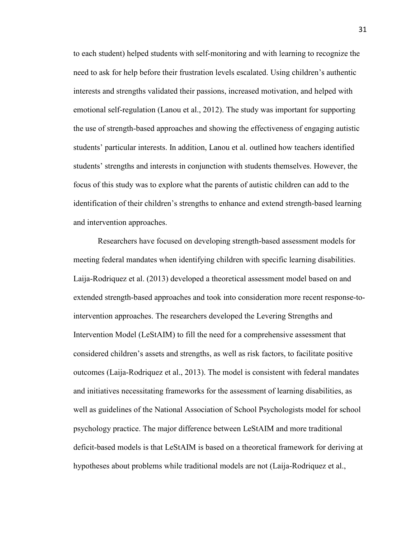to each student) helped students with self-monitoring and with learning to recognize the need to ask for help before their frustration levels escalated. Using children's authentic interests and strengths validated their passions, increased motivation, and helped with emotional self-regulation (Lanou et al., 2012). The study was important for supporting the use of strength-based approaches and showing the effectiveness of engaging autistic students' particular interests. In addition, Lanou et al. outlined how teachers identified students' strengths and interests in conjunction with students themselves. However, the focus of this study was to explore what the parents of autistic children can add to the identification of their children's strengths to enhance and extend strength-based learning and intervention approaches.

Researchers have focused on developing strength-based assessment models for meeting federal mandates when identifying children with specific learning disabilities. Laija-Rodriquez et al. (2013) developed a theoretical assessment model based on and extended strength-based approaches and took into consideration more recent response-tointervention approaches. The researchers developed the Levering Strengths and Intervention Model (LeStAIM) to fill the need for a comprehensive assessment that considered children's assets and strengths, as well as risk factors, to facilitate positive outcomes (Laija-Rodriquez et al., 2013). The model is consistent with federal mandates and initiatives necessitating frameworks for the assessment of learning disabilities, as well as guidelines of the National Association of School Psychologists model for school psychology practice. The major difference between LeStAIM and more traditional deficit-based models is that LeStAIM is based on a theoretical framework for deriving at hypotheses about problems while traditional models are not (Laija-Rodriquez et al.,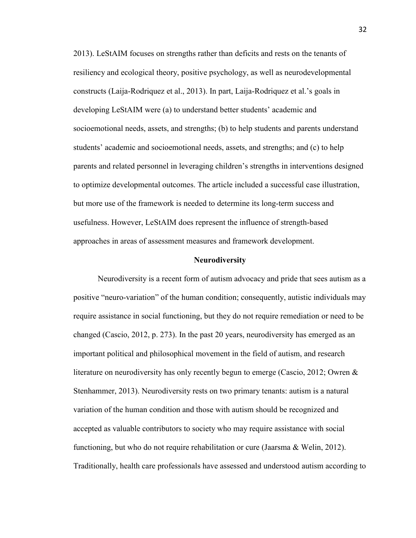2013). LeStAIM focuses on strengths rather than deficits and rests on the tenants of resiliency and ecological theory, positive psychology, as well as neurodevelopmental constructs (Laija-Rodriquez et al., 2013). In part, Laija-Rodriquez et al.'s goals in developing LeStAIM were (a) to understand better students' academic and socioemotional needs, assets, and strengths; (b) to help students and parents understand students' academic and socioemotional needs, assets, and strengths; and (c) to help parents and related personnel in leveraging children's strengths in interventions designed to optimize developmental outcomes. The article included a successful case illustration, but more use of the framework is needed to determine its long-term success and usefulness. However, LeStAIM does represent the influence of strength-based approaches in areas of assessment measures and framework development.

#### **Neurodiversity**

Neurodiversity is a recent form of autism advocacy and pride that sees autism as a positive "neuro-variation" of the human condition; consequently, autistic individuals may require assistance in social functioning, but they do not require remediation or need to be changed (Cascio, 2012, p. 273). In the past 20 years, neurodiversity has emerged as an important political and philosophical movement in the field of autism, and research literature on neurodiversity has only recently begun to emerge (Cascio, 2012; Owren & Stenhammer, 2013). Neurodiversity rests on two primary tenants: autism is a natural variation of the human condition and those with autism should be recognized and accepted as valuable contributors to society who may require assistance with social functioning, but who do not require rehabilitation or cure (Jaarsma & Welin, 2012). Traditionally, health care professionals have assessed and understood autism according to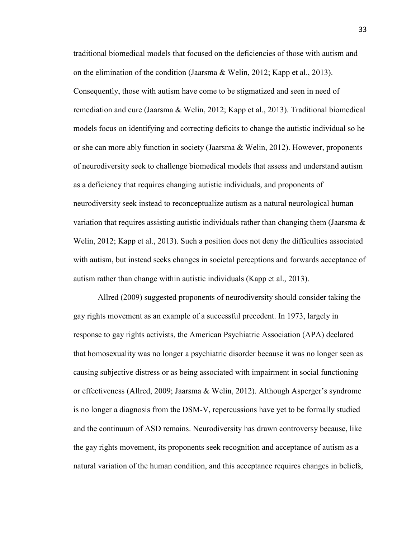traditional biomedical models that focused on the deficiencies of those with autism and on the elimination of the condition (Jaarsma & Welin, 2012; Kapp et al., 2013). Consequently, those with autism have come to be stigmatized and seen in need of remediation and cure (Jaarsma & Welin, 2012; Kapp et al., 2013). Traditional biomedical models focus on identifying and correcting deficits to change the autistic individual so he or she can more ably function in society (Jaarsma & Welin, 2012). However, proponents of neurodiversity seek to challenge biomedical models that assess and understand autism as a deficiency that requires changing autistic individuals, and proponents of neurodiversity seek instead to reconceptualize autism as a natural neurological human variation that requires assisting autistic individuals rather than changing them (Jaarsma  $\&$ Welin, 2012; Kapp et al., 2013). Such a position does not deny the difficulties associated with autism, but instead seeks changes in societal perceptions and forwards acceptance of autism rather than change within autistic individuals (Kapp et al., 2013).

Allred (2009) suggested proponents of neurodiversity should consider taking the gay rights movement as an example of a successful precedent. In 1973, largely in response to gay rights activists, the American Psychiatric Association (APA) declared that homosexuality was no longer a psychiatric disorder because it was no longer seen as causing subjective distress or as being associated with impairment in social functioning or effectiveness (Allred, 2009; Jaarsma & Welin, 2012). Although Asperger's syndrome is no longer a diagnosis from the DSM-V, repercussions have yet to be formally studied and the continuum of ASD remains. Neurodiversity has drawn controversy because, like the gay rights movement, its proponents seek recognition and acceptance of autism as a natural variation of the human condition, and this acceptance requires changes in beliefs,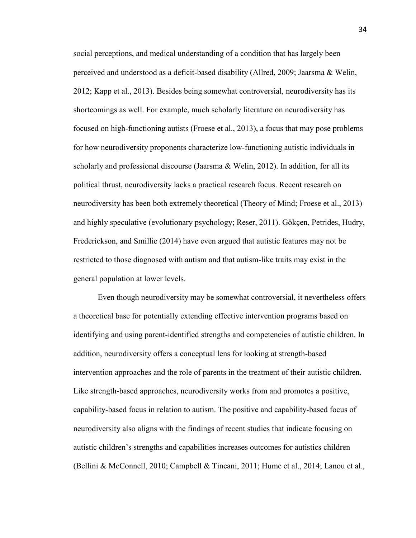social perceptions, and medical understanding of a condition that has largely been perceived and understood as a deficit-based disability (Allred, 2009; Jaarsma & Welin, 2012; Kapp et al., 2013). Besides being somewhat controversial, neurodiversity has its shortcomings as well. For example, much scholarly literature on neurodiversity has focused on high-functioning autists (Froese et al., 2013), a focus that may pose problems for how neurodiversity proponents characterize low-functioning autistic individuals in scholarly and professional discourse (Jaarsma  $\&$  Welin, 2012). In addition, for all its political thrust, neurodiversity lacks a practical research focus. Recent research on neurodiversity has been both extremely theoretical (Theory of Mind; Froese et al., 2013) and highly speculative (evolutionary psychology; Reser, 2011). Gökçen, Petrides, Hudry, Frederickson, and Smillie (2014) have even argued that autistic features may not be restricted to those diagnosed with autism and that autism-like traits may exist in the general population at lower levels.

Even though neurodiversity may be somewhat controversial, it nevertheless offers a theoretical base for potentially extending effective intervention programs based on identifying and using parent-identified strengths and competencies of autistic children. In addition, neurodiversity offers a conceptual lens for looking at strength-based intervention approaches and the role of parents in the treatment of their autistic children. Like strength-based approaches, neurodiversity works from and promotes a positive, capability-based focus in relation to autism. The positive and capability-based focus of neurodiversity also aligns with the findings of recent studies that indicate focusing on autistic children's strengths and capabilities increases outcomes for autistics children (Bellini & McConnell, 2010; Campbell & Tincani, 2011; Hume et al., 2014; Lanou et al.,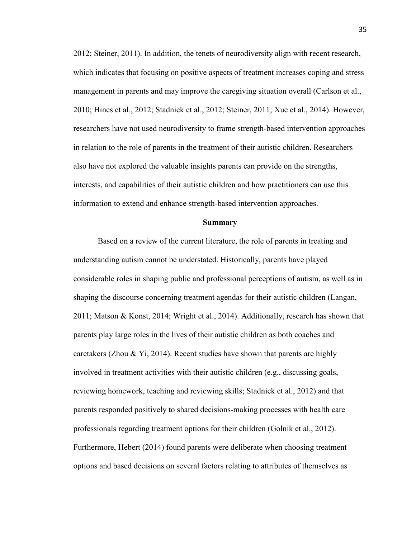2012; Steiner, 2011). In addition, the tenets of neurodiversity align with recent research, which indicates that focusing on positive aspects of treatment increases coping and stress management in parents and may improve the caregiving situation overall (Carlson et al., 2010; Hines et al., 2012; Stadnick et al., 2012; Steiner, 2011; Xue et al., 2014). However, researchers have not used neurodiversity to frame strength-based intervention approaches in relation to the role of parents in the treatment of their autistic children. Researchers also have not explored the valuable insights parents can provide on the strengths, interests, and capabilities of their autistic children and how practitioners can use this information to extend and enhance strength-based intervention approaches.

#### **Summary**

Based on a review of the current literature, the role of parents in treating and understanding autism cannot be understated. Historically, parents have played considerable roles in shaping public and professional perceptions of autism, as well as in shaping the discourse concerning treatment agendas for their autistic children (Langan, 2011; Matson & Konst, 2014; Wright et al., 2014). Additionally, research has shown that parents play large roles in the lives of their autistic children as both coaches and caretakers (Zhou & Yi, 2014). Recent studies have shown that parents are highly involved in treatment activities with their autistic children (e.g., discussing goals, reviewing homework, teaching and reviewing skills; Stadnick et al., 2012) and that parents responded positively to shared decisions-making processes with health care professionals regarding treatment options for their children (Golnik et al., 2012). Furthermore, Hebert (2014) found parents were deliberate when choosing treatment options and based decisions on several factors relating to attributes of themselves as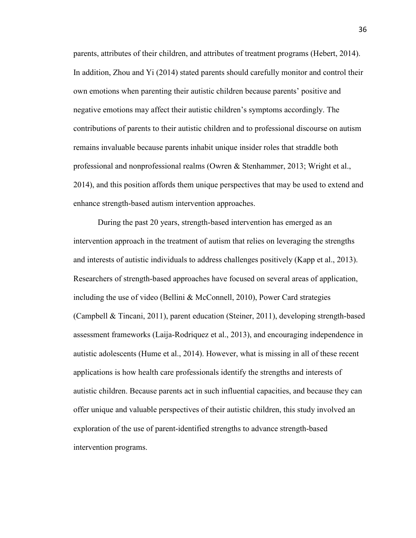parents, attributes of their children, and attributes of treatment programs (Hebert, 2014). In addition, Zhou and Yi (2014) stated parents should carefully monitor and control their own emotions when parenting their autistic children because parents' positive and negative emotions may affect their autistic children's symptoms accordingly. The contributions of parents to their autistic children and to professional discourse on autism remains invaluable because parents inhabit unique insider roles that straddle both professional and nonprofessional realms (Owren & Stenhammer, 2013; Wright et al., 2014), and this position affords them unique perspectives that may be used to extend and enhance strength-based autism intervention approaches.

During the past 20 years, strength-based intervention has emerged as an intervention approach in the treatment of autism that relies on leveraging the strengths and interests of autistic individuals to address challenges positively (Kapp et al., 2013). Researchers of strength-based approaches have focused on several areas of application, including the use of video (Bellini  $\&$  McConnell, 2010), Power Card strategies (Campbell & Tincani, 2011), parent education (Steiner, 2011), developing strength-based assessment frameworks (Laija-Rodriquez et al., 2013), and encouraging independence in autistic adolescents (Hume et al., 2014). However, what is missing in all of these recent applications is how health care professionals identify the strengths and interests of autistic children. Because parents act in such influential capacities, and because they can offer unique and valuable perspectives of their autistic children, this study involved an exploration of the use of parent-identified strengths to advance strength-based intervention programs.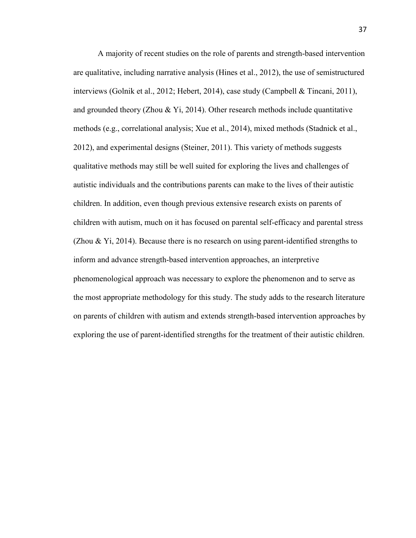A majority of recent studies on the role of parents and strength-based intervention are qualitative, including narrative analysis (Hines et al., 2012), the use of semistructured interviews (Golnik et al., 2012; Hebert, 2014), case study (Campbell & Tincani, 2011), and grounded theory (Zhou & Yi, 2014). Other research methods include quantitative methods (e.g., correlational analysis; Xue et al., 2014), mixed methods (Stadnick et al., 2012), and experimental designs (Steiner, 2011). This variety of methods suggests qualitative methods may still be well suited for exploring the lives and challenges of autistic individuals and the contributions parents can make to the lives of their autistic children. In addition, even though previous extensive research exists on parents of children with autism, much on it has focused on parental self-efficacy and parental stress (Zhou  $\&$  Yi, 2014). Because there is no research on using parent-identified strengths to inform and advance strength-based intervention approaches, an interpretive phenomenological approach was necessary to explore the phenomenon and to serve as the most appropriate methodology for this study. The study adds to the research literature on parents of children with autism and extends strength-based intervention approaches by exploring the use of parent-identified strengths for the treatment of their autistic children.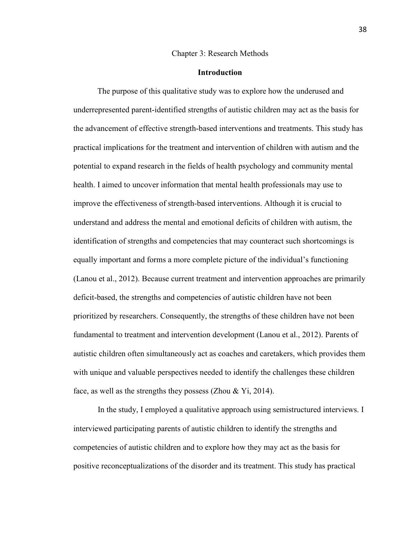#### Chapter 3: Research Methods

## **Introduction**

The purpose of this qualitative study was to explore how the underused and underrepresented parent-identified strengths of autistic children may act as the basis for the advancement of effective strength-based interventions and treatments. This study has practical implications for the treatment and intervention of children with autism and the potential to expand research in the fields of health psychology and community mental health. I aimed to uncover information that mental health professionals may use to improve the effectiveness of strength-based interventions. Although it is crucial to understand and address the mental and emotional deficits of children with autism, the identification of strengths and competencies that may counteract such shortcomings is equally important and forms a more complete picture of the individual's functioning (Lanou et al., 2012). Because current treatment and intervention approaches are primarily deficit-based, the strengths and competencies of autistic children have not been prioritized by researchers. Consequently, the strengths of these children have not been fundamental to treatment and intervention development (Lanou et al., 2012). Parents of autistic children often simultaneously act as coaches and caretakers, which provides them with unique and valuable perspectives needed to identify the challenges these children face, as well as the strengths they possess (Zhou  $&$  Yi, 2014).

In the study, I employed a qualitative approach using semistructured interviews. I interviewed participating parents of autistic children to identify the strengths and competencies of autistic children and to explore how they may act as the basis for positive reconceptualizations of the disorder and its treatment. This study has practical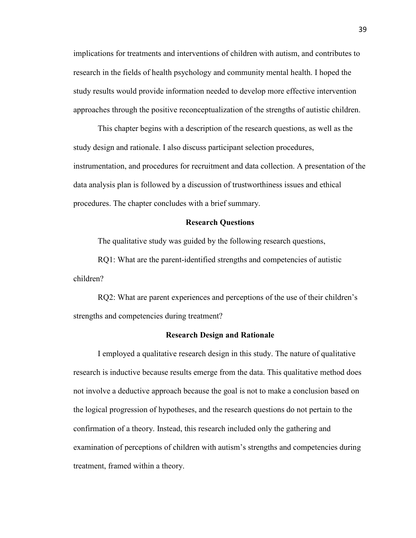implications for treatments and interventions of children with autism, and contributes to research in the fields of health psychology and community mental health. I hoped the study results would provide information needed to develop more effective intervention approaches through the positive reconceptualization of the strengths of autistic children.

This chapter begins with a description of the research questions, as well as the study design and rationale. I also discuss participant selection procedures, instrumentation, and procedures for recruitment and data collection. A presentation of the data analysis plan is followed by a discussion of trustworthiness issues and ethical procedures. The chapter concludes with a brief summary.

## **Research Questions**

The qualitative study was guided by the following research questions,

RQ1: What are the parent-identified strengths and competencies of autistic children?

RQ2: What are parent experiences and perceptions of the use of their children's strengths and competencies during treatment?

### **Research Design and Rationale**

I employed a qualitative research design in this study. The nature of qualitative research is inductive because results emerge from the data. This qualitative method does not involve a deductive approach because the goal is not to make a conclusion based on the logical progression of hypotheses, and the research questions do not pertain to the confirmation of a theory. Instead, this research included only the gathering and examination of perceptions of children with autism's strengths and competencies during treatment, framed within a theory.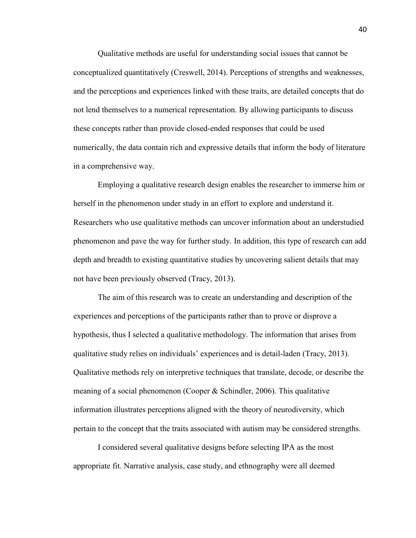Qualitative methods are useful for understanding social issues that cannot be conceptualized quantitatively (Creswell, 2014). Perceptions of strengths and weaknesses, and the perceptions and experiences linked with these traits, are detailed concepts that do not lend themselves to a numerical representation. By allowing participants to discuss these concepts rather than provide closed-ended responses that could be used numerically, the data contain rich and expressive details that inform the body of literature in a comprehensive way.

Employing a qualitative research design enables the researcher to immerse him or herself in the phenomenon under study in an effort to explore and understand it. Researchers who use qualitative methods can uncover information about an understudied phenomenon and pave the way for further study. In addition, this type of research can add depth and breadth to existing quantitative studies by uncovering salient details that may not have been previously observed (Tracy, 2013).

The aim of this research was to create an understanding and description of the experiences and perceptions of the participants rather than to prove or disprove a hypothesis, thus I selected a qualitative methodology. The information that arises from qualitative study relies on individuals' experiences and is detail-laden (Tracy, 2013). Qualitative methods rely on interpretive techniques that translate, decode, or describe the meaning of a social phenomenon (Cooper & Schindler, 2006). This qualitative information illustrates perceptions aligned with the theory of neurodiversity, which pertain to the concept that the traits associated with autism may be considered strengths.

I considered several qualitative designs before selecting IPA as the most appropriate fit. Narrative analysis, case study, and ethnography were all deemed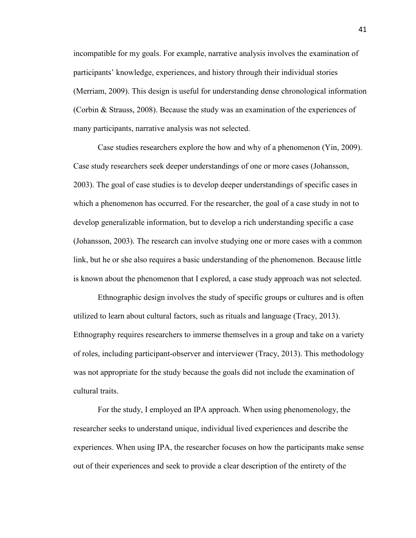incompatible for my goals. For example, narrative analysis involves the examination of participants' knowledge, experiences, and history through their individual stories (Merriam, 2009). This design is useful for understanding dense chronological information (Corbin & Strauss, 2008). Because the study was an examination of the experiences of many participants, narrative analysis was not selected.

Case studies researchers explore the how and why of a phenomenon (Yin, 2009). Case study researchers seek deeper understandings of one or more cases (Johansson, 2003). The goal of case studies is to develop deeper understandings of specific cases in which a phenomenon has occurred. For the researcher, the goal of a case study in not to develop generalizable information, but to develop a rich understanding specific a case (Johansson, 2003). The research can involve studying one or more cases with a common link, but he or she also requires a basic understanding of the phenomenon. Because little is known about the phenomenon that I explored, a case study approach was not selected.

Ethnographic design involves the study of specific groups or cultures and is often utilized to learn about cultural factors, such as rituals and language (Tracy, 2013). Ethnography requires researchers to immerse themselves in a group and take on a variety of roles, including participant-observer and interviewer (Tracy, 2013). This methodology was not appropriate for the study because the goals did not include the examination of cultural traits.

For the study, I employed an IPA approach. When using phenomenology, the researcher seeks to understand unique, individual lived experiences and describe the experiences. When using IPA, the researcher focuses on how the participants make sense out of their experiences and seek to provide a clear description of the entirety of the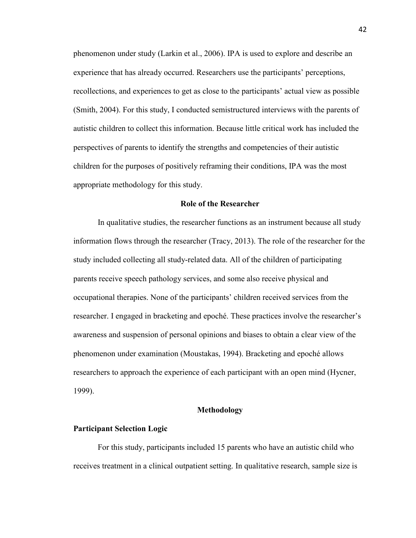phenomenon under study (Larkin et al., 2006). IPA is used to explore and describe an experience that has already occurred. Researchers use the participants' perceptions, recollections, and experiences to get as close to the participants' actual view as possible (Smith, 2004). For this study, I conducted semistructured interviews with the parents of autistic children to collect this information. Because little critical work has included the perspectives of parents to identify the strengths and competencies of their autistic children for the purposes of positively reframing their conditions, IPA was the most appropriate methodology for this study.

# **Role of the Researcher**

In qualitative studies, the researcher functions as an instrument because all study information flows through the researcher (Tracy, 2013). The role of the researcher for the study included collecting all study-related data. All of the children of participating parents receive speech pathology services, and some also receive physical and occupational therapies. None of the participants' children received services from the researcher. I engaged in bracketing and epoché. These practices involve the researcher's awareness and suspension of personal opinions and biases to obtain a clear view of the phenomenon under examination (Moustakas, 1994). Bracketing and epoché allows researchers to approach the experience of each participant with an open mind (Hycner, 1999).

## **Methodology**

#### **Participant Selection Logic**

For this study, participants included 15 parents who have an autistic child who receives treatment in a clinical outpatient setting. In qualitative research, sample size is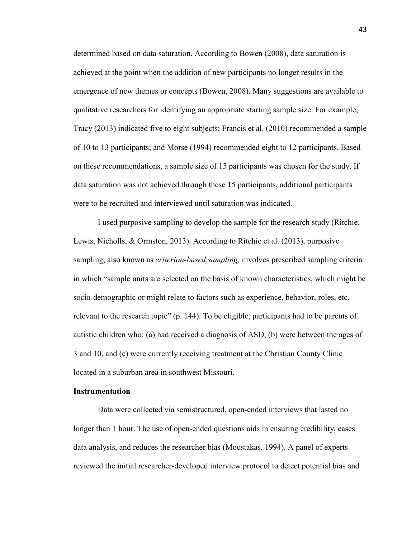determined based on data saturation. According to Bowen (2008), data saturation is achieved at the point when the addition of new participants no longer results in the emergence of new themes or concepts (Bowen, 2008). Many suggestions are available to qualitative researchers for identifying an appropriate starting sample size. For example, Tracy (2013) indicated five to eight subjects; Francis et al. (2010) recommended a sample of 10 to 13 participants; and Morse (1994) recommended eight to 12 participants. Based on these recommendations, a sample size of 15 participants was chosen for the study. If data saturation was not achieved through these 15 participants, additional participants were to be recruited and interviewed until saturation was indicated.

I used purposive sampling to develop the sample for the research study (Ritchie, Lewis, Nicholls, & Ormston, 2013). According to Ritchie et al. (2013), purposive sampling, also known as *criterion-based sampling,* involves prescribed sampling criteria in which "sample units are selected on the basis of known characteristics, which might be socio-demographic or might relate to factors such as experience, behavior, roles, etc. relevant to the research topic" (p. 144). To be eligible, participants had to be parents of autistic children who: (a) had received a diagnosis of ASD, (b) were between the ages of 3 and 10, and (c) were currently receiving treatment at the Christian County Clinic located in a suburban area in southwest Missouri.

# **Instrumentation**

Data were collected via semistructured, open-ended interviews that lasted no longer than 1 hour. The use of open-ended questions aids in ensuring credibility, eases data analysis, and reduces the researcher bias (Moustakas, 1994). A panel of experts reviewed the initial researcher-developed interview protocol to detect potential bias and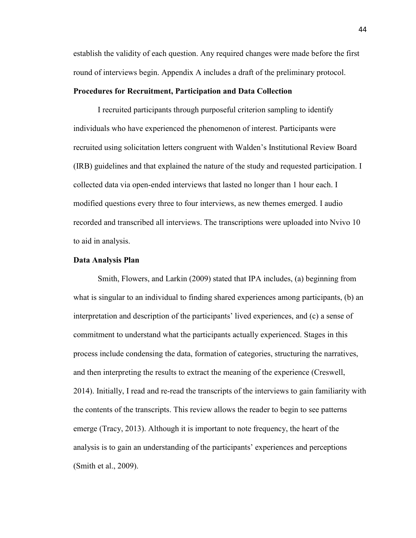establish the validity of each question. Any required changes were made before the first round of interviews begin. Appendix A includes a draft of the preliminary protocol.

## **Procedures for Recruitment, Participation and Data Collection**

I recruited participants through purposeful criterion sampling to identify individuals who have experienced the phenomenon of interest. Participants were recruited using solicitation letters congruent with Walden's Institutional Review Board (IRB) guidelines and that explained the nature of the study and requested participation. I collected data via open-ended interviews that lasted no longer than 1 hour each. I modified questions every three to four interviews, as new themes emerged. I audio recorded and transcribed all interviews. The transcriptions were uploaded into Nvivo 10 to aid in analysis.

### **Data Analysis Plan**

Smith, Flowers, and Larkin (2009) stated that IPA includes, (a) beginning from what is singular to an individual to finding shared experiences among participants, (b) an interpretation and description of the participants' lived experiences, and (c) a sense of commitment to understand what the participants actually experienced. Stages in this process include condensing the data, formation of categories, structuring the narratives, and then interpreting the results to extract the meaning of the experience (Creswell, 2014). Initially, I read and re-read the transcripts of the interviews to gain familiarity with the contents of the transcripts. This review allows the reader to begin to see patterns emerge (Tracy, 2013). Although it is important to note frequency, the heart of the analysis is to gain an understanding of the participants' experiences and perceptions (Smith et al., 2009).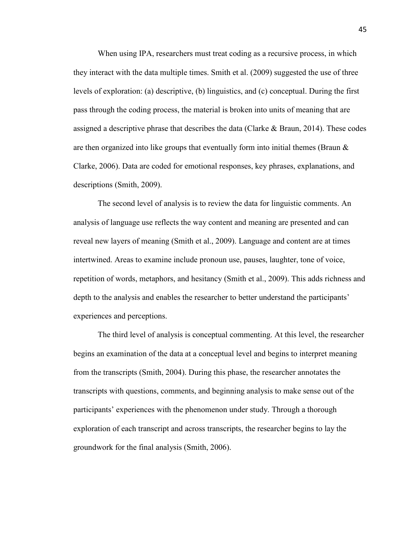When using IPA, researchers must treat coding as a recursive process, in which they interact with the data multiple times. Smith et al. (2009) suggested the use of three levels of exploration: (a) descriptive, (b) linguistics, and (c) conceptual. During the first pass through the coding process, the material is broken into units of meaning that are assigned a descriptive phrase that describes the data (Clarke & Braun, 2014). These codes are then organized into like groups that eventually form into initial themes (Braun  $\&$ Clarke, 2006). Data are coded for emotional responses, key phrases, explanations, and descriptions (Smith, 2009).

The second level of analysis is to review the data for linguistic comments. An analysis of language use reflects the way content and meaning are presented and can reveal new layers of meaning (Smith et al., 2009). Language and content are at times intertwined. Areas to examine include pronoun use, pauses, laughter, tone of voice, repetition of words, metaphors, and hesitancy (Smith et al., 2009). This adds richness and depth to the analysis and enables the researcher to better understand the participants' experiences and perceptions.

The third level of analysis is conceptual commenting. At this level, the researcher begins an examination of the data at a conceptual level and begins to interpret meaning from the transcripts (Smith, 2004). During this phase, the researcher annotates the transcripts with questions, comments, and beginning analysis to make sense out of the participants' experiences with the phenomenon under study. Through a thorough exploration of each transcript and across transcripts, the researcher begins to lay the groundwork for the final analysis (Smith, 2006).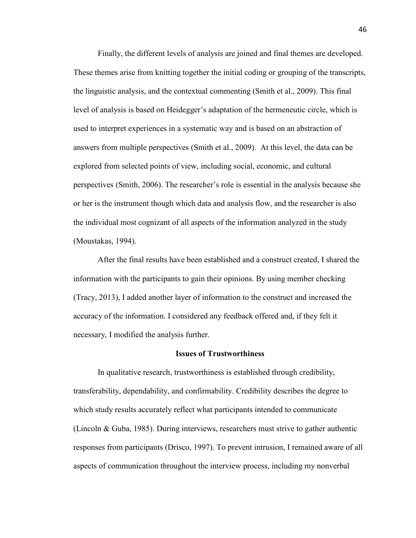Finally, the different levels of analysis are joined and final themes are developed. These themes arise from knitting together the initial coding or grouping of the transcripts, the linguistic analysis, and the contextual commenting (Smith et al., 2009). This final level of analysis is based on Heidegger's adaptation of the hermeneutic circle, which is used to interpret experiences in a systematic way and is based on an abstraction of answers from multiple perspectives (Smith et al., 2009). At this level, the data can be explored from selected points of view, including social, economic, and cultural perspectives (Smith, 2006). The researcher's role is essential in the analysis because she or her is the instrument though which data and analysis flow, and the researcher is also the individual most cognizant of all aspects of the information analyzed in the study (Moustakas, 1994).

After the final results have been established and a construct created, I shared the information with the participants to gain their opinions. By using member checking (Tracy, 2013), I added another layer of information to the construct and increased the accuracy of the information. I considered any feedback offered and, if they felt it necessary, I modified the analysis further.

#### **Issues of Trustworthiness**

In qualitative research, trustworthiness is established through credibility, transferability, dependability, and confirmability. Credibility describes the degree to which study results accurately reflect what participants intended to communicate (Lincoln & Guba, 1985). During interviews, researchers must strive to gather authentic responses from participants (Drisco, 1997). To prevent intrusion, I remained aware of all aspects of communication throughout the interview process, including my nonverbal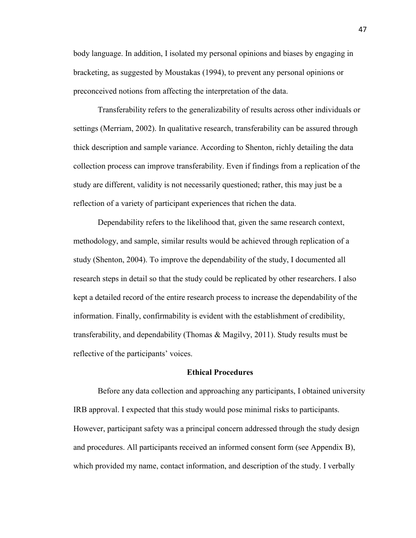body language. In addition, I isolated my personal opinions and biases by engaging in bracketing, as suggested by Moustakas (1994), to prevent any personal opinions or preconceived notions from affecting the interpretation of the data.

Transferability refers to the generalizability of results across other individuals or settings (Merriam, 2002). In qualitative research, transferability can be assured through thick description and sample variance. According to Shenton, richly detailing the data collection process can improve transferability. Even if findings from a replication of the study are different, validity is not necessarily questioned; rather, this may just be a reflection of a variety of participant experiences that richen the data.

Dependability refers to the likelihood that, given the same research context, methodology, and sample, similar results would be achieved through replication of a study (Shenton, 2004). To improve the dependability of the study, I documented all research steps in detail so that the study could be replicated by other researchers. I also kept a detailed record of the entire research process to increase the dependability of the information. Finally, confirmability is evident with the establishment of credibility, transferability, and dependability (Thomas & Magilvy, 2011). Study results must be reflective of the participants' voices.

## **Ethical Procedures**

Before any data collection and approaching any participants, I obtained university IRB approval. I expected that this study would pose minimal risks to participants. However, participant safety was a principal concern addressed through the study design and procedures. All participants received an informed consent form (see Appendix B), which provided my name, contact information, and description of the study. I verbally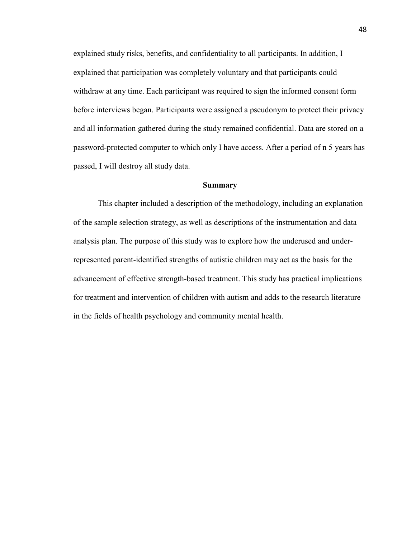explained study risks, benefits, and confidentiality to all participants. In addition, I explained that participation was completely voluntary and that participants could withdraw at any time. Each participant was required to sign the informed consent form before interviews began. Participants were assigned a pseudonym to protect their privacy and all information gathered during the study remained confidential. Data are stored on a password-protected computer to which only I have access. After a period of n 5 years has passed, I will destroy all study data.

### **Summary**

This chapter included a description of the methodology, including an explanation of the sample selection strategy, as well as descriptions of the instrumentation and data analysis plan. The purpose of this study was to explore how the underused and underrepresented parent-identified strengths of autistic children may act as the basis for the advancement of effective strength-based treatment. This study has practical implications for treatment and intervention of children with autism and adds to the research literature in the fields of health psychology and community mental health.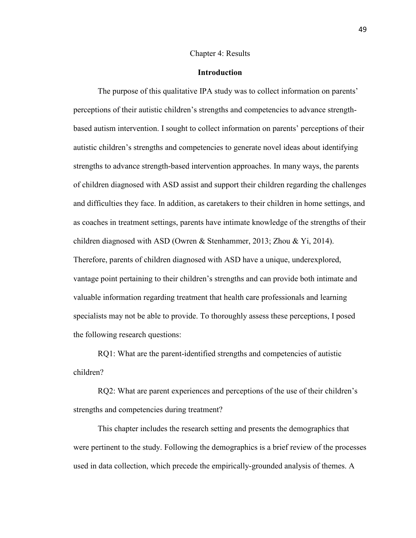#### Chapter 4: Results

## **Introduction**

 The purpose of this qualitative IPA study was to collect information on parents' perceptions of their autistic children's strengths and competencies to advance strengthbased autism intervention. I sought to collect information on parents' perceptions of their autistic children's strengths and competencies to generate novel ideas about identifying strengths to advance strength-based intervention approaches. In many ways, the parents of children diagnosed with ASD assist and support their children regarding the challenges and difficulties they face. In addition, as caretakers to their children in home settings, and as coaches in treatment settings, parents have intimate knowledge of the strengths of their children diagnosed with ASD (Owren & Stenhammer, 2013; Zhou & Yi, 2014). Therefore, parents of children diagnosed with ASD have a unique, underexplored, vantage point pertaining to their children's strengths and can provide both intimate and valuable information regarding treatment that health care professionals and learning specialists may not be able to provide. To thoroughly assess these perceptions, I posed the following research questions:

RQ1: What are the parent-identified strengths and competencies of autistic children?

RQ2: What are parent experiences and perceptions of the use of their children's strengths and competencies during treatment?

 This chapter includes the research setting and presents the demographics that were pertinent to the study. Following the demographics is a brief review of the processes used in data collection, which precede the empirically-grounded analysis of themes. A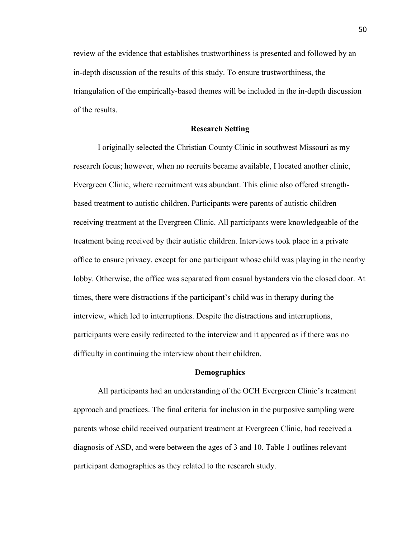review of the evidence that establishes trustworthiness is presented and followed by an in-depth discussion of the results of this study. To ensure trustworthiness, the triangulation of the empirically-based themes will be included in the in-depth discussion of the results.

#### **Research Setting**

I originally selected the Christian County Clinic in southwest Missouri as my research focus; however, when no recruits became available, I located another clinic, Evergreen Clinic, where recruitment was abundant. This clinic also offered strengthbased treatment to autistic children. Participants were parents of autistic children receiving treatment at the Evergreen Clinic. All participants were knowledgeable of the treatment being received by their autistic children. Interviews took place in a private office to ensure privacy, except for one participant whose child was playing in the nearby lobby. Otherwise, the office was separated from casual bystanders via the closed door. At times, there were distractions if the participant's child was in therapy during the interview, which led to interruptions. Despite the distractions and interruptions, participants were easily redirected to the interview and it appeared as if there was no difficulty in continuing the interview about their children.

#### **Demographics**

All participants had an understanding of the OCH Evergreen Clinic's treatment approach and practices. The final criteria for inclusion in the purposive sampling were parents whose child received outpatient treatment at Evergreen Clinic, had received a diagnosis of ASD, and were between the ages of 3 and 10. Table 1 outlines relevant participant demographics as they related to the research study.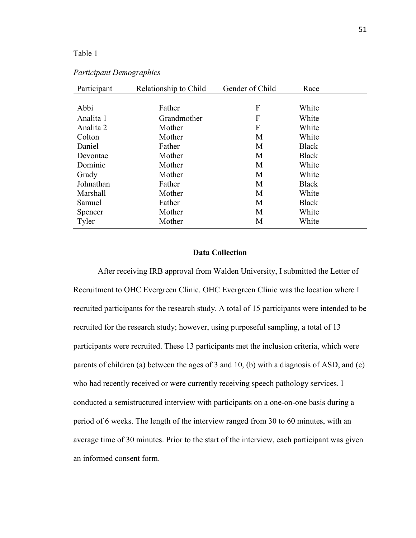# Table 1

| Participant | Relationship to Child | Gender of Child | Race         |  |
|-------------|-----------------------|-----------------|--------------|--|
|             |                       |                 |              |  |
| Abbi        | Father                | F               | White        |  |
| Analita 1   | Grandmother           | F               | White        |  |
| Analita 2   | Mother                | F               | White        |  |
| Colton      | Mother                | M               | White        |  |
| Daniel      | Father                | M               | <b>Black</b> |  |
| Devontae    | Mother                | M               | <b>Black</b> |  |
| Dominic     | Mother                | M               | White        |  |
| Grady       | Mother                | М               | White        |  |
| Johnathan   | Father                | M               | <b>Black</b> |  |
| Marshall    | Mother                | M               | White        |  |
| Samuel      | Father                | M               | <b>Black</b> |  |
| Spencer     | Mother                | M               | White        |  |
| Tyler       | Mother                | M               | White        |  |

# *Participant Demographics*

# **Data Collection**

After receiving IRB approval from Walden University, I submitted the Letter of Recruitment to OHC Evergreen Clinic. OHC Evergreen Clinic was the location where I recruited participants for the research study. A total of 15 participants were intended to be recruited for the research study; however, using purposeful sampling, a total of 13 participants were recruited. These 13 participants met the inclusion criteria, which were parents of children (a) between the ages of 3 and 10, (b) with a diagnosis of ASD, and (c) who had recently received or were currently receiving speech pathology services. I conducted a semistructured interview with participants on a one-on-one basis during a period of 6 weeks. The length of the interview ranged from 30 to 60 minutes, with an average time of 30 minutes. Prior to the start of the interview, each participant was given an informed consent form.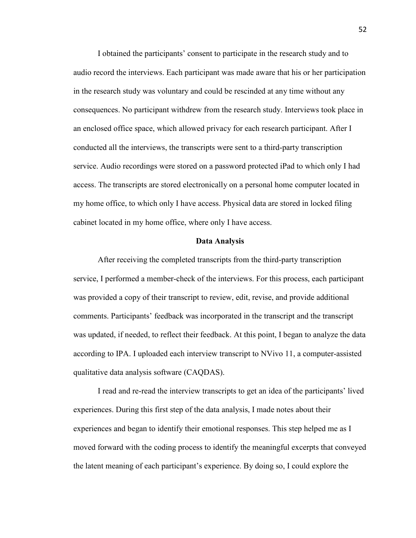I obtained the participants' consent to participate in the research study and to audio record the interviews. Each participant was made aware that his or her participation in the research study was voluntary and could be rescinded at any time without any consequences. No participant withdrew from the research study. Interviews took place in an enclosed office space, which allowed privacy for each research participant. After I conducted all the interviews, the transcripts were sent to a third-party transcription service. Audio recordings were stored on a password protected iPad to which only I had access. The transcripts are stored electronically on a personal home computer located in my home office, to which only I have access. Physical data are stored in locked filing cabinet located in my home office, where only I have access.

## **Data Analysis**

 After receiving the completed transcripts from the third-party transcription service, I performed a member-check of the interviews. For this process, each participant was provided a copy of their transcript to review, edit, revise, and provide additional comments. Participants' feedback was incorporated in the transcript and the transcript was updated, if needed, to reflect their feedback. At this point, I began to analyze the data according to IPA. I uploaded each interview transcript to NVivo 11, a computer-assisted qualitative data analysis software (CAQDAS).

 I read and re-read the interview transcripts to get an idea of the participants' lived experiences. During this first step of the data analysis, I made notes about their experiences and began to identify their emotional responses. This step helped me as I moved forward with the coding process to identify the meaningful excerpts that conveyed the latent meaning of each participant's experience. By doing so, I could explore the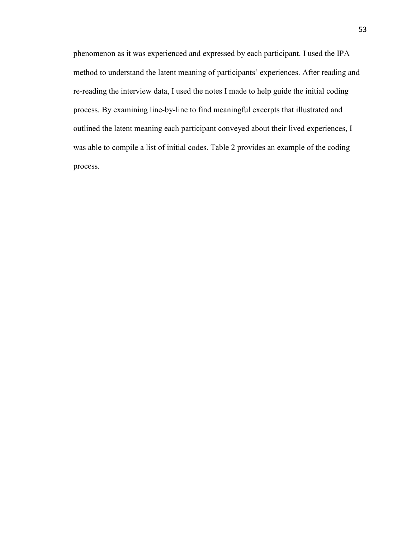phenomenon as it was experienced and expressed by each participant. I used the IPA method to understand the latent meaning of participants' experiences. After reading and re-reading the interview data, I used the notes I made to help guide the initial coding process. By examining line-by-line to find meaningful excerpts that illustrated and outlined the latent meaning each participant conveyed about their lived experiences, I was able to compile a list of initial codes. Table 2 provides an example of the coding process.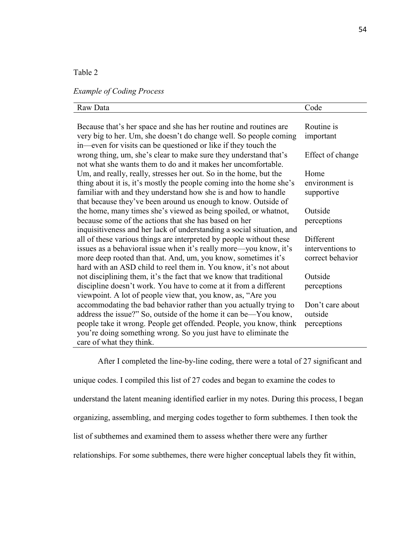# Table 2

# *Example of Coding Process*

| Raw Data                                                              | Code             |
|-----------------------------------------------------------------------|------------------|
|                                                                       |                  |
| Because that's her space and she has her routine and routines are     | Routine is       |
| very big to her. Um, she doesn't do change well. So people coming     | important        |
| in—even for visits can be questioned or like if they touch the        |                  |
| wrong thing, um, she's clear to make sure they understand that's      | Effect of change |
| not what she wants them to do and it makes her uncomfortable.         |                  |
| Um, and really, really, stresses her out. So in the home, but the     | Home             |
| thing about it is, it's mostly the people coming into the home she's  | environment is   |
| familiar with and they understand how she is and how to handle        | supportive       |
| that because they've been around us enough to know. Outside of        |                  |
| the home, many times she's viewed as being spoiled, or whatnot,       | Outside          |
| because some of the actions that she has based on her                 | perceptions      |
| inquisitiveness and her lack of understanding a social situation, and |                  |
| all of these various things are interpreted by people without these   | Different        |
| issues as a behavioral issue when it's really more—you know, it's     | interventions to |
| more deep rooted than that. And, um, you know, sometimes it's         | correct behavior |
| hard with an ASD child to reel them in. You know, it's not about      |                  |
| not disciplining them, it's the fact that we know that traditional    | Outside          |
| discipline doesn't work. You have to come at it from a different      | perceptions      |
| viewpoint. A lot of people view that, you know, as, "Are you          |                  |
| accommodating the bad behavior rather than you actually trying to     | Don't care about |
| address the issue?" So, outside of the home it can be—You know,       | outside          |
| people take it wrong. People get offended. People, you know, think    | perceptions      |
| you're doing something wrong. So you just have to eliminate the       |                  |
| care of what they think.                                              |                  |

 After I completed the line-by-line coding, there were a total of 27 significant and unique codes. I compiled this list of 27 codes and began to examine the codes to understand the latent meaning identified earlier in my notes. During this process, I began organizing, assembling, and merging codes together to form subthemes. I then took the list of subthemes and examined them to assess whether there were any further relationships. For some subthemes, there were higher conceptual labels they fit within,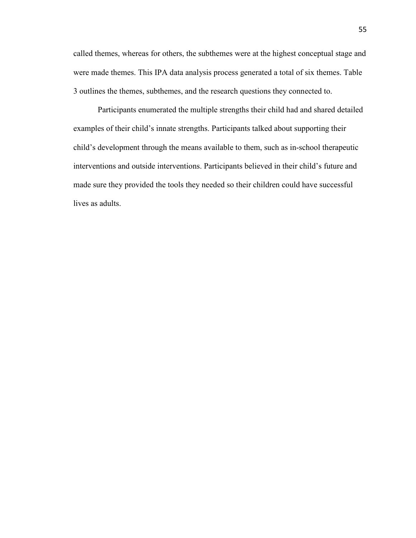called themes, whereas for others, the subthemes were at the highest conceptual stage and were made themes. This IPA data analysis process generated a total of six themes. Table 3 outlines the themes, subthemes, and the research questions they connected to.

 Participants enumerated the multiple strengths their child had and shared detailed examples of their child's innate strengths. Participants talked about supporting their child's development through the means available to them, such as in-school therapeutic interventions and outside interventions. Participants believed in their child's future and made sure they provided the tools they needed so their children could have successful lives as adults.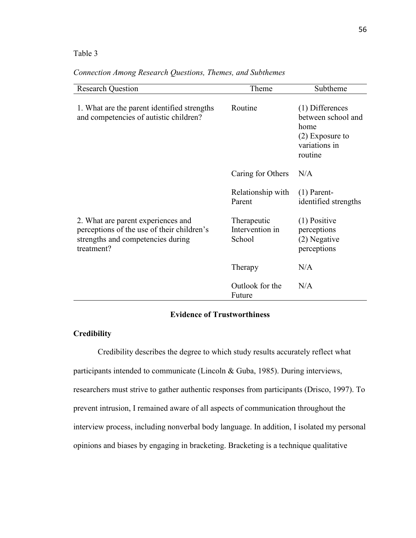# Table 3

| Connection Among Research Questions, Themes, and Subthemes |  |  |
|------------------------------------------------------------|--|--|

| <b>Research Question</b>                                                                                                            | Theme                                    | Subtheme                                                                                         |
|-------------------------------------------------------------------------------------------------------------------------------------|------------------------------------------|--------------------------------------------------------------------------------------------------|
| 1. What are the parent identified strengths<br>and competencies of autistic children?                                               | Routine                                  | $(1)$ Differences<br>between school and<br>home<br>$(2)$ Exposure to<br>variations in<br>routine |
|                                                                                                                                     | Caring for Others                        | N/A                                                                                              |
|                                                                                                                                     | Relationship with<br>Parent              | $(1)$ Parent-<br>identified strengths                                                            |
| 2. What are parent experiences and<br>perceptions of the use of their children's<br>strengths and competencies during<br>treatment? | Therapeutic<br>Intervention in<br>School | $(1)$ Positive<br>perceptions<br>(2) Negative<br>perceptions                                     |
|                                                                                                                                     | Therapy                                  | N/A                                                                                              |
|                                                                                                                                     | Outlook for the<br>Future                | N/A                                                                                              |

# **Evidence of Trustworthiness**

# **Credibility**

 Credibility describes the degree to which study results accurately reflect what participants intended to communicate (Lincoln & Guba, 1985). During interviews, researchers must strive to gather authentic responses from participants (Drisco, 1997). To prevent intrusion, I remained aware of all aspects of communication throughout the interview process, including nonverbal body language. In addition, I isolated my personal opinions and biases by engaging in bracketing. Bracketing is a technique qualitative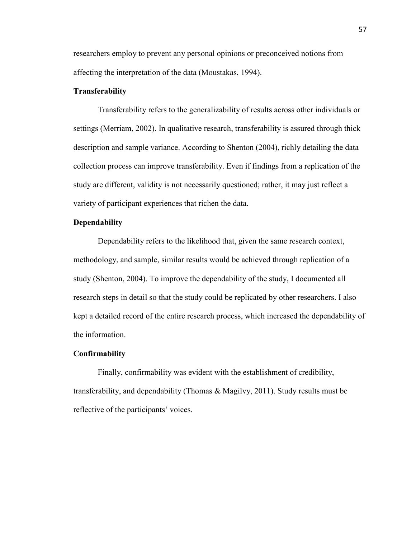researchers employ to prevent any personal opinions or preconceived notions from affecting the interpretation of the data (Moustakas, 1994).

## **Transferability**

 Transferability refers to the generalizability of results across other individuals or settings (Merriam, 2002). In qualitative research, transferability is assured through thick description and sample variance. According to Shenton (2004), richly detailing the data collection process can improve transferability. Even if findings from a replication of the study are different, validity is not necessarily questioned; rather, it may just reflect a variety of participant experiences that richen the data.

# **Dependability**

 Dependability refers to the likelihood that, given the same research context, methodology, and sample, similar results would be achieved through replication of a study (Shenton, 2004). To improve the dependability of the study, I documented all research steps in detail so that the study could be replicated by other researchers. I also kept a detailed record of the entire research process, which increased the dependability of the information.

## **Confirmability**

 Finally, confirmability was evident with the establishment of credibility, transferability, and dependability (Thomas & Magilvy, 2011). Study results must be reflective of the participants' voices.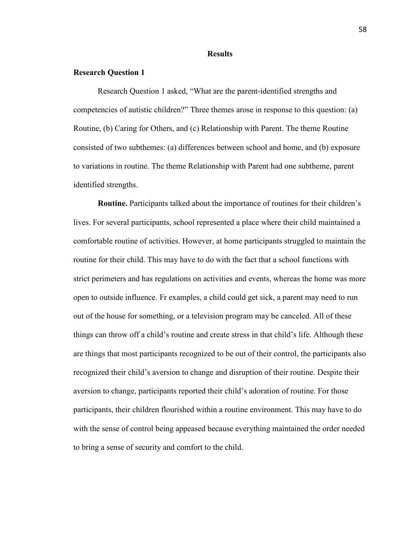### **Results**

## **Research Question 1**

 Research Question 1 asked, "What are the parent-identified strengths and competencies of autistic children?" Three themes arose in response to this question: (a) Routine, (b) Caring for Others, and (c) Relationship with Parent. The theme Routine consisted of two subthemes: (a) differences between school and home, and (b) exposure to variations in routine. The theme Relationship with Parent had one subtheme, parent identified strengths.

 **Routine.** Participants talked about the importance of routines for their children's lives. For several participants, school represented a place where their child maintained a comfortable routine of activities. However, at home participants struggled to maintain the routine for their child. This may have to do with the fact that a school functions with strict perimeters and has regulations on activities and events, whereas the home was more open to outside influence. Fr examples, a child could get sick, a parent may need to run out of the house for something, or a television program may be canceled. All of these things can throw off a child's routine and create stress in that child's life. Although these are things that most participants recognized to be out of their control, the participants also recognized their child's aversion to change and disruption of their routine. Despite their aversion to change, participants reported their child's adoration of routine. For those participants, their children flourished within a routine environment. This may have to do with the sense of control being appeased because everything maintained the order needed to bring a sense of security and comfort to the child.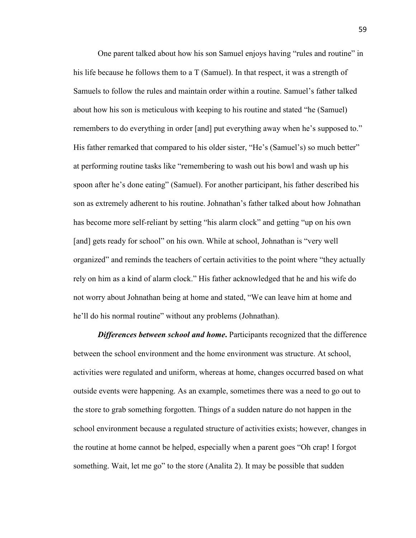One parent talked about how his son Samuel enjoys having "rules and routine" in his life because he follows them to a T (Samuel). In that respect, it was a strength of Samuels to follow the rules and maintain order within a routine. Samuel's father talked about how his son is meticulous with keeping to his routine and stated "he (Samuel) remembers to do everything in order [and] put everything away when he's supposed to." His father remarked that compared to his older sister, "He's (Samuel's) so much better" at performing routine tasks like "remembering to wash out his bowl and wash up his spoon after he's done eating" (Samuel). For another participant, his father described his son as extremely adherent to his routine. Johnathan's father talked about how Johnathan has become more self-reliant by setting "his alarm clock" and getting "up on his own [and] gets ready for school" on his own. While at school, Johnathan is "very well organized" and reminds the teachers of certain activities to the point where "they actually rely on him as a kind of alarm clock." His father acknowledged that he and his wife do not worry about Johnathan being at home and stated, "We can leave him at home and he'll do his normal routine" without any problems (Johnathan).

*Differences between school and home.* Participants recognized that the difference between the school environment and the home environment was structure. At school, activities were regulated and uniform, whereas at home, changes occurred based on what outside events were happening. As an example, sometimes there was a need to go out to the store to grab something forgotten. Things of a sudden nature do not happen in the school environment because a regulated structure of activities exists; however, changes in the routine at home cannot be helped, especially when a parent goes "Oh crap! I forgot something. Wait, let me go" to the store (Analita 2). It may be possible that sudden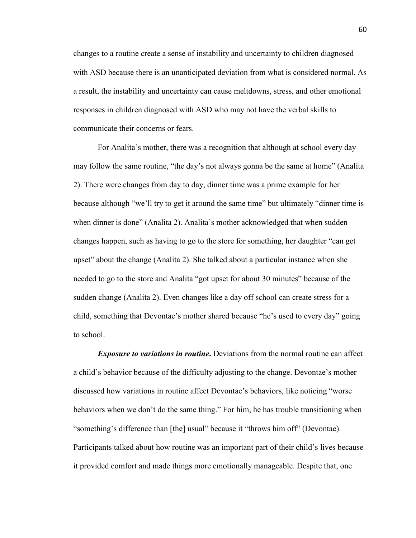changes to a routine create a sense of instability and uncertainty to children diagnosed with ASD because there is an unanticipated deviation from what is considered normal. As a result, the instability and uncertainty can cause meltdowns, stress, and other emotional responses in children diagnosed with ASD who may not have the verbal skills to communicate their concerns or fears.

 For Analita's mother, there was a recognition that although at school every day may follow the same routine, "the day's not always gonna be the same at home" (Analita 2). There were changes from day to day, dinner time was a prime example for her because although "we'll try to get it around the same time" but ultimately "dinner time is when dinner is done" (Analita 2). Analita's mother acknowledged that when sudden changes happen, such as having to go to the store for something, her daughter "can get upset" about the change (Analita 2). She talked about a particular instance when she needed to go to the store and Analita "got upset for about 30 minutes" because of the sudden change (Analita 2). Even changes like a day off school can create stress for a child, something that Devontae's mother shared because "he's used to every day" going to school.

 *Exposure to variations in routine***.** Deviations from the normal routine can affect a child's behavior because of the difficulty adjusting to the change. Devontae's mother discussed how variations in routine affect Devontae's behaviors, like noticing "worse behaviors when we don't do the same thing." For him, he has trouble transitioning when "something's difference than [the] usual" because it "throws him off" (Devontae). Participants talked about how routine was an important part of their child's lives because it provided comfort and made things more emotionally manageable. Despite that, one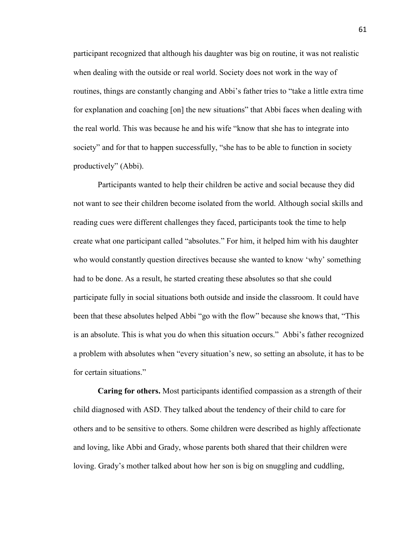participant recognized that although his daughter was big on routine, it was not realistic when dealing with the outside or real world. Society does not work in the way of routines, things are constantly changing and Abbi's father tries to "take a little extra time for explanation and coaching [on] the new situations" that Abbi faces when dealing with the real world. This was because he and his wife "know that she has to integrate into society" and for that to happen successfully, "she has to be able to function in society productively" (Abbi).

 Participants wanted to help their children be active and social because they did not want to see their children become isolated from the world. Although social skills and reading cues were different challenges they faced, participants took the time to help create what one participant called "absolutes." For him, it helped him with his daughter who would constantly question directives because she wanted to know 'why' something had to be done. As a result, he started creating these absolutes so that she could participate fully in social situations both outside and inside the classroom. It could have been that these absolutes helped Abbi "go with the flow" because she knows that, "This is an absolute. This is what you do when this situation occurs." Abbi's father recognized a problem with absolutes when "every situation's new, so setting an absolute, it has to be for certain situations."

 **Caring for others.** Most participants identified compassion as a strength of their child diagnosed with ASD. They talked about the tendency of their child to care for others and to be sensitive to others. Some children were described as highly affectionate and loving, like Abbi and Grady, whose parents both shared that their children were loving. Grady's mother talked about how her son is big on snuggling and cuddling,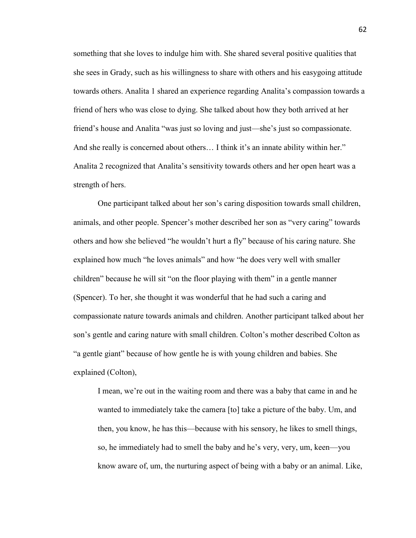something that she loves to indulge him with. She shared several positive qualities that she sees in Grady, such as his willingness to share with others and his easygoing attitude towards others. Analita 1 shared an experience regarding Analita's compassion towards a friend of hers who was close to dying. She talked about how they both arrived at her friend's house and Analita "was just so loving and just—she's just so compassionate. And she really is concerned about others... I think it's an innate ability within her." Analita 2 recognized that Analita's sensitivity towards others and her open heart was a strength of hers.

 One participant talked about her son's caring disposition towards small children, animals, and other people. Spencer's mother described her son as "very caring" towards others and how she believed "he wouldn't hurt a fly" because of his caring nature. She explained how much "he loves animals" and how "he does very well with smaller children" because he will sit "on the floor playing with them" in a gentle manner (Spencer). To her, she thought it was wonderful that he had such a caring and compassionate nature towards animals and children. Another participant talked about her son's gentle and caring nature with small children. Colton's mother described Colton as "a gentle giant" because of how gentle he is with young children and babies. She explained (Colton),

I mean, we're out in the waiting room and there was a baby that came in and he wanted to immediately take the camera [to] take a picture of the baby. Um, and then, you know, he has this—because with his sensory, he likes to smell things, so, he immediately had to smell the baby and he's very, very, um, keen—you know aware of, um, the nurturing aspect of being with a baby or an animal. Like,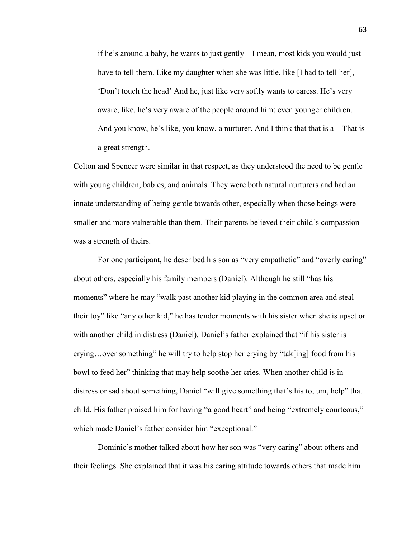if he's around a baby, he wants to just gently—I mean, most kids you would just have to tell them. Like my daughter when she was little, like [I had to tell her], 'Don't touch the head' And he, just like very softly wants to caress. He's very aware, like, he's very aware of the people around him; even younger children. And you know, he's like, you know, a nurturer. And I think that that is a—That is a great strength.

Colton and Spencer were similar in that respect, as they understood the need to be gentle with young children, babies, and animals. They were both natural nurturers and had an innate understanding of being gentle towards other, especially when those beings were smaller and more vulnerable than them. Their parents believed their child's compassion was a strength of theirs.

 For one participant, he described his son as "very empathetic" and "overly caring" about others, especially his family members (Daniel). Although he still "has his moments" where he may "walk past another kid playing in the common area and steal their toy" like "any other kid," he has tender moments with his sister when she is upset or with another child in distress (Daniel). Daniel's father explained that "if his sister is crying…over something" he will try to help stop her crying by "tak[ing] food from his bowl to feed her" thinking that may help soothe her cries. When another child is in distress or sad about something, Daniel "will give something that's his to, um, help" that child. His father praised him for having "a good heart" and being "extremely courteous," which made Daniel's father consider him "exceptional."

 Dominic's mother talked about how her son was "very caring" about others and their feelings. She explained that it was his caring attitude towards others that made him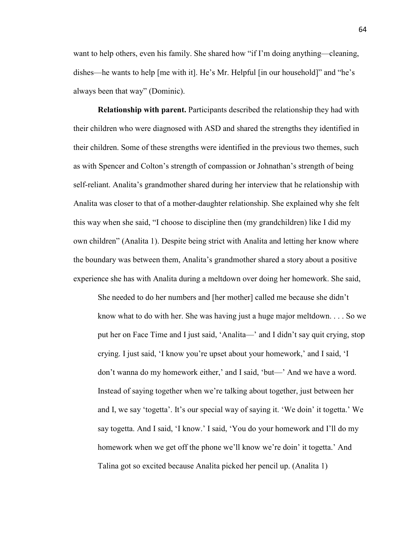want to help others, even his family. She shared how "if I'm doing anything—cleaning, dishes—he wants to help [me with it]. He's Mr. Helpful [in our household]" and "he's always been that way" (Dominic).

 **Relationship with parent.** Participants described the relationship they had with their children who were diagnosed with ASD and shared the strengths they identified in their children. Some of these strengths were identified in the previous two themes, such as with Spencer and Colton's strength of compassion or Johnathan's strength of being self-reliant. Analita's grandmother shared during her interview that he relationship with Analita was closer to that of a mother-daughter relationship. She explained why she felt this way when she said, "I choose to discipline then (my grandchildren) like I did my own children" (Analita 1). Despite being strict with Analita and letting her know where the boundary was between them, Analita's grandmother shared a story about a positive experience she has with Analita during a meltdown over doing her homework. She said,

She needed to do her numbers and [her mother] called me because she didn't know what to do with her. She was having just a huge major meltdown. . . . So we put her on Face Time and I just said, 'Analita—' and I didn't say quit crying, stop crying. I just said, 'I know you're upset about your homework,' and I said, 'I don't wanna do my homework either,' and I said, 'but—' And we have a word. Instead of saying together when we're talking about together, just between her and I, we say 'togetta'. It's our special way of saying it. 'We doin' it togetta.' We say togetta. And I said, 'I know.' I said, 'You do your homework and I'll do my homework when we get off the phone we'll know we're doin' it togetta.' And Talina got so excited because Analita picked her pencil up. (Analita 1)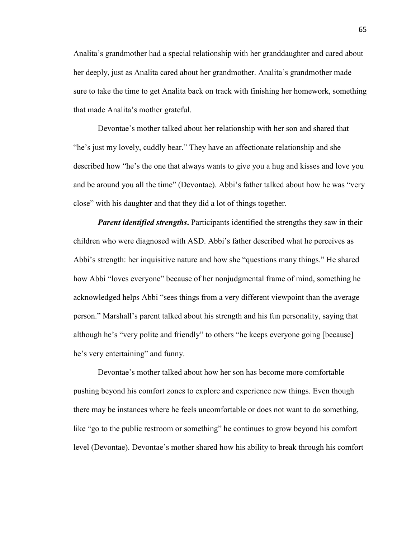Analita's grandmother had a special relationship with her granddaughter and cared about her deeply, just as Analita cared about her grandmother. Analita's grandmother made sure to take the time to get Analita back on track with finishing her homework, something that made Analita's mother grateful.

 Devontae's mother talked about her relationship with her son and shared that "he's just my lovely, cuddly bear." They have an affectionate relationship and she described how "he's the one that always wants to give you a hug and kisses and love you and be around you all the time" (Devontae). Abbi's father talked about how he was "very close" with his daughter and that they did a lot of things together.

*Parent identified strengths*. Participants identified the strengths they saw in their children who were diagnosed with ASD. Abbi's father described what he perceives as Abbi's strength: her inquisitive nature and how she "questions many things." He shared how Abbi "loves everyone" because of her nonjudgmental frame of mind, something he acknowledged helps Abbi "sees things from a very different viewpoint than the average person." Marshall's parent talked about his strength and his fun personality, saying that although he's "very polite and friendly" to others "he keeps everyone going [because] he's very entertaining" and funny.

 Devontae's mother talked about how her son has become more comfortable pushing beyond his comfort zones to explore and experience new things. Even though there may be instances where he feels uncomfortable or does not want to do something, like "go to the public restroom or something" he continues to grow beyond his comfort level (Devontae). Devontae's mother shared how his ability to break through his comfort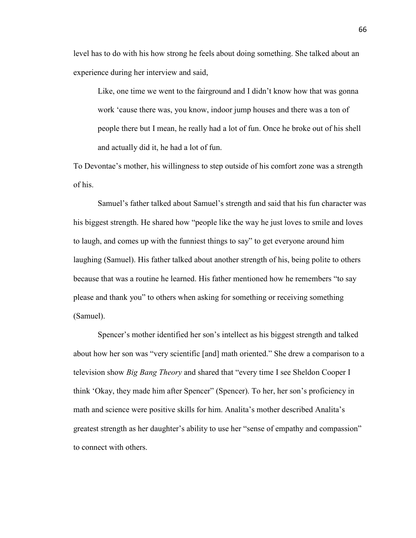level has to do with his how strong he feels about doing something. She talked about an experience during her interview and said,

Like, one time we went to the fairground and I didn't know how that was gonna work 'cause there was, you know, indoor jump houses and there was a ton of people there but I mean, he really had a lot of fun. Once he broke out of his shell and actually did it, he had a lot of fun.

To Devontae's mother, his willingness to step outside of his comfort zone was a strength of his.

Samuel's father talked about Samuel's strength and said that his fun character was his biggest strength. He shared how "people like the way he just loves to smile and loves to laugh, and comes up with the funniest things to say" to get everyone around him laughing (Samuel). His father talked about another strength of his, being polite to others because that was a routine he learned. His father mentioned how he remembers "to say please and thank you" to others when asking for something or receiving something (Samuel).

 Spencer's mother identified her son's intellect as his biggest strength and talked about how her son was "very scientific [and] math oriented." She drew a comparison to a television show *Big Bang Theory* and shared that "every time I see Sheldon Cooper I think 'Okay, they made him after Spencer" (Spencer). To her, her son's proficiency in math and science were positive skills for him. Analita's mother described Analita's greatest strength as her daughter's ability to use her "sense of empathy and compassion" to connect with others.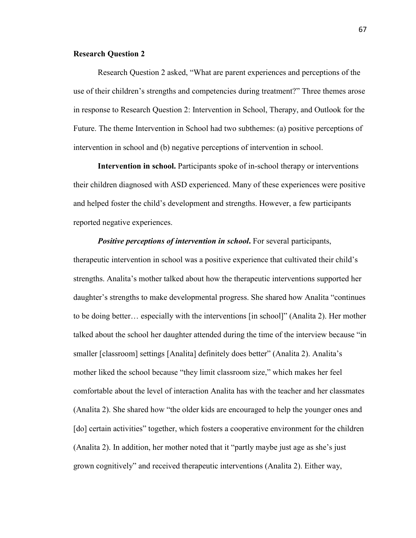## **Research Question 2**

 Research Question 2 asked, "What are parent experiences and perceptions of the use of their children's strengths and competencies during treatment?" Three themes arose in response to Research Question 2: Intervention in School, Therapy, and Outlook for the Future. The theme Intervention in School had two subthemes: (a) positive perceptions of intervention in school and (b) negative perceptions of intervention in school.

 **Intervention in school.** Participants spoke of in-school therapy or interventions their children diagnosed with ASD experienced. Many of these experiences were positive and helped foster the child's development and strengths. However, a few participants reported negative experiences.

*Positive perceptions of intervention in school*. For several participants, therapeutic intervention in school was a positive experience that cultivated their child's strengths. Analita's mother talked about how the therapeutic interventions supported her daughter's strengths to make developmental progress. She shared how Analita "continues to be doing better… especially with the interventions [in school]" (Analita 2). Her mother talked about the school her daughter attended during the time of the interview because "in smaller [classroom] settings [Analita] definitely does better" (Analita 2). Analita's mother liked the school because "they limit classroom size," which makes her feel comfortable about the level of interaction Analita has with the teacher and her classmates (Analita 2). She shared how "the older kids are encouraged to help the younger ones and [do] certain activities" together, which fosters a cooperative environment for the children (Analita 2). In addition, her mother noted that it "partly maybe just age as she's just grown cognitively" and received therapeutic interventions (Analita 2). Either way,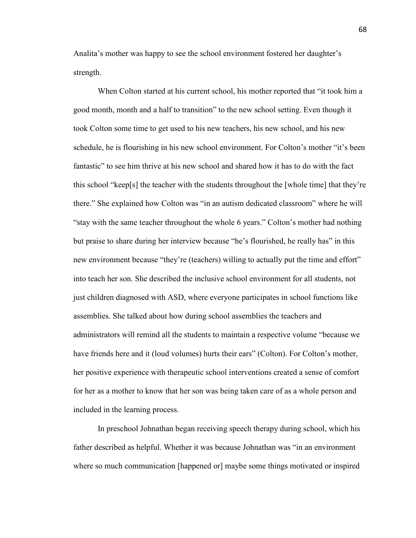Analita's mother was happy to see the school environment fostered her daughter's strength.

 When Colton started at his current school, his mother reported that "it took him a good month, month and a half to transition" to the new school setting. Even though it took Colton some time to get used to his new teachers, his new school, and his new schedule, he is flourishing in his new school environment. For Colton's mother "it's been fantastic" to see him thrive at his new school and shared how it has to do with the fact this school "keep[s] the teacher with the students throughout the [whole time] that they're there." She explained how Colton was "in an autism dedicated classroom" where he will "stay with the same teacher throughout the whole 6 years." Colton's mother had nothing but praise to share during her interview because "he's flourished, he really has" in this new environment because "they're (teachers) willing to actually put the time and effort" into teach her son. She described the inclusive school environment for all students, not just children diagnosed with ASD, where everyone participates in school functions like assemblies. She talked about how during school assemblies the teachers and administrators will remind all the students to maintain a respective volume "because we have friends here and it (loud volumes) hurts their ears" (Colton). For Colton's mother, her positive experience with therapeutic school interventions created a sense of comfort for her as a mother to know that her son was being taken care of as a whole person and included in the learning process.

 In preschool Johnathan began receiving speech therapy during school, which his father described as helpful. Whether it was because Johnathan was "in an environment where so much communication [happened or] maybe some things motivated or inspired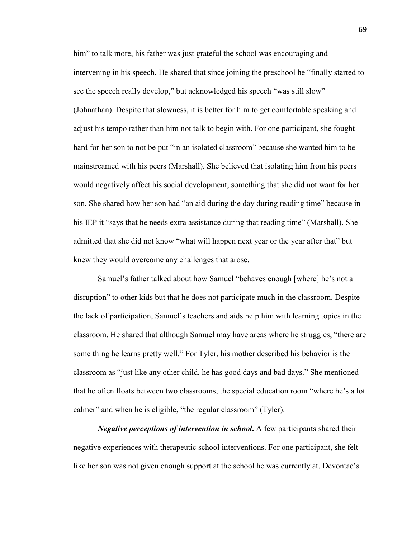him" to talk more, his father was just grateful the school was encouraging and intervening in his speech. He shared that since joining the preschool he "finally started to see the speech really develop," but acknowledged his speech "was still slow" (Johnathan). Despite that slowness, it is better for him to get comfortable speaking and adjust his tempo rather than him not talk to begin with. For one participant, she fought hard for her son to not be put "in an isolated classroom" because she wanted him to be mainstreamed with his peers (Marshall). She believed that isolating him from his peers would negatively affect his social development, something that she did not want for her son. She shared how her son had "an aid during the day during reading time" because in his IEP it "says that he needs extra assistance during that reading time" (Marshall). She admitted that she did not know "what will happen next year or the year after that" but knew they would overcome any challenges that arose.

 Samuel's father talked about how Samuel "behaves enough [where] he's not a disruption" to other kids but that he does not participate much in the classroom. Despite the lack of participation, Samuel's teachers and aids help him with learning topics in the classroom. He shared that although Samuel may have areas where he struggles, "there are some thing he learns pretty well." For Tyler, his mother described his behavior is the classroom as "just like any other child, he has good days and bad days." She mentioned that he often floats between two classrooms, the special education room "where he's a lot calmer" and when he is eligible, "the regular classroom" (Tyler).

 *Negative perceptions of intervention in school***.** A few participants shared their negative experiences with therapeutic school interventions. For one participant, she felt like her son was not given enough support at the school he was currently at. Devontae's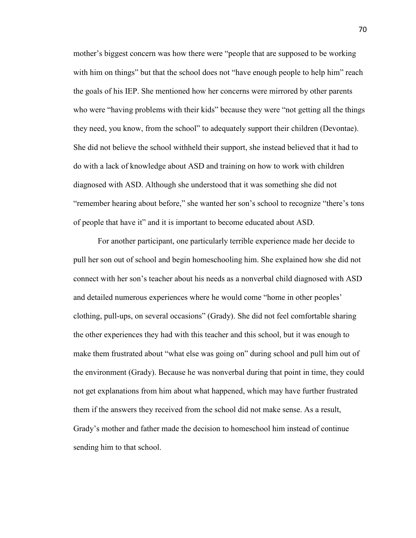mother's biggest concern was how there were "people that are supposed to be working with him on things" but that the school does not "have enough people to help him" reach the goals of his IEP. She mentioned how her concerns were mirrored by other parents who were "having problems with their kids" because they were "not getting all the things they need, you know, from the school" to adequately support their children (Devontae). She did not believe the school withheld their support, she instead believed that it had to do with a lack of knowledge about ASD and training on how to work with children diagnosed with ASD. Although she understood that it was something she did not "remember hearing about before," she wanted her son's school to recognize "there's tons of people that have it" and it is important to become educated about ASD.

 For another participant, one particularly terrible experience made her decide to pull her son out of school and begin homeschooling him. She explained how she did not connect with her son's teacher about his needs as a nonverbal child diagnosed with ASD and detailed numerous experiences where he would come "home in other peoples' clothing, pull-ups, on several occasions" (Grady). She did not feel comfortable sharing the other experiences they had with this teacher and this school, but it was enough to make them frustrated about "what else was going on" during school and pull him out of the environment (Grady). Because he was nonverbal during that point in time, they could not get explanations from him about what happened, which may have further frustrated them if the answers they received from the school did not make sense. As a result, Grady's mother and father made the decision to homeschool him instead of continue sending him to that school.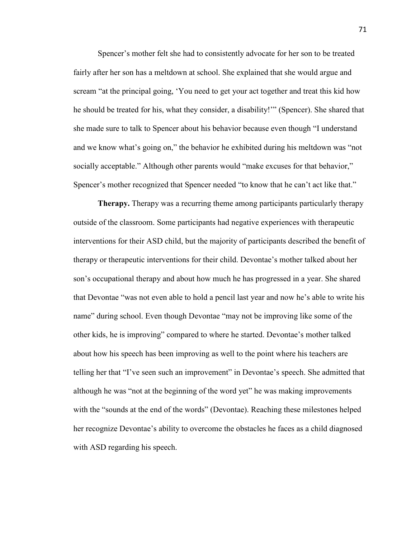Spencer's mother felt she had to consistently advocate for her son to be treated fairly after her son has a meltdown at school. She explained that she would argue and scream "at the principal going, 'You need to get your act together and treat this kid how he should be treated for his, what they consider, a disability!'" (Spencer). She shared that she made sure to talk to Spencer about his behavior because even though "I understand and we know what's going on," the behavior he exhibited during his meltdown was "not socially acceptable." Although other parents would "make excuses for that behavior," Spencer's mother recognized that Spencer needed "to know that he can't act like that."

**Therapy.** Therapy was a recurring theme among participants particularly therapy outside of the classroom. Some participants had negative experiences with therapeutic interventions for their ASD child, but the majority of participants described the benefit of therapy or therapeutic interventions for their child. Devontae's mother talked about her son's occupational therapy and about how much he has progressed in a year. She shared that Devontae "was not even able to hold a pencil last year and now he's able to write his name" during school. Even though Devontae "may not be improving like some of the other kids, he is improving" compared to where he started. Devontae's mother talked about how his speech has been improving as well to the point where his teachers are telling her that "I've seen such an improvement" in Devontae's speech. She admitted that although he was "not at the beginning of the word yet" he was making improvements with the "sounds at the end of the words" (Devontae). Reaching these milestones helped her recognize Devontae's ability to overcome the obstacles he faces as a child diagnosed with ASD regarding his speech.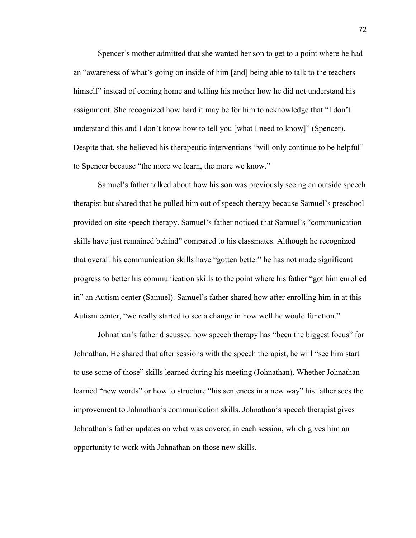Spencer's mother admitted that she wanted her son to get to a point where he had an "awareness of what's going on inside of him [and] being able to talk to the teachers himself" instead of coming home and telling his mother how he did not understand his assignment. She recognized how hard it may be for him to acknowledge that "I don't understand this and I don't know how to tell you [what I need to know]" (Spencer). Despite that, she believed his therapeutic interventions "will only continue to be helpful" to Spencer because "the more we learn, the more we know."

 Samuel's father talked about how his son was previously seeing an outside speech therapist but shared that he pulled him out of speech therapy because Samuel's preschool provided on-site speech therapy. Samuel's father noticed that Samuel's "communication skills have just remained behind" compared to his classmates. Although he recognized that overall his communication skills have "gotten better" he has not made significant progress to better his communication skills to the point where his father "got him enrolled in" an Autism center (Samuel). Samuel's father shared how after enrolling him in at this Autism center, "we really started to see a change in how well he would function."

 Johnathan's father discussed how speech therapy has "been the biggest focus" for Johnathan. He shared that after sessions with the speech therapist, he will "see him start to use some of those" skills learned during his meeting (Johnathan). Whether Johnathan learned "new words" or how to structure "his sentences in a new way" his father sees the improvement to Johnathan's communication skills. Johnathan's speech therapist gives Johnathan's father updates on what was covered in each session, which gives him an opportunity to work with Johnathan on those new skills.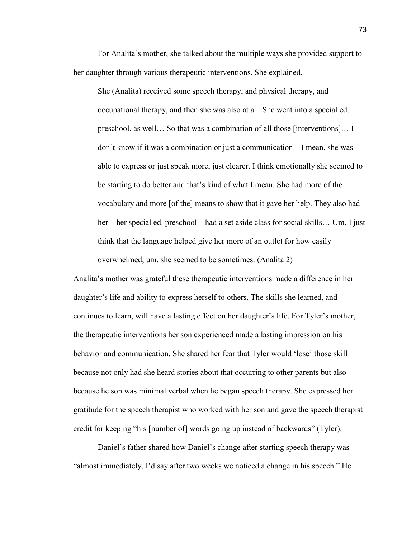For Analita's mother, she talked about the multiple ways she provided support to her daughter through various therapeutic interventions. She explained,

She (Analita) received some speech therapy, and physical therapy, and occupational therapy, and then she was also at a—She went into a special ed. preschool, as well… So that was a combination of all those [interventions]… I don't know if it was a combination or just a communication—I mean, she was able to express or just speak more, just clearer. I think emotionally she seemed to be starting to do better and that's kind of what I mean. She had more of the vocabulary and more [of the] means to show that it gave her help. They also had her—her special ed. preschool—had a set aside class for social skills... Um, I just think that the language helped give her more of an outlet for how easily

Analita's mother was grateful these therapeutic interventions made a difference in her daughter's life and ability to express herself to others. The skills she learned, and continues to learn, will have a lasting effect on her daughter's life. For Tyler's mother, the therapeutic interventions her son experienced made a lasting impression on his behavior and communication. She shared her fear that Tyler would 'lose' those skill because not only had she heard stories about that occurring to other parents but also because he son was minimal verbal when he began speech therapy. She expressed her gratitude for the speech therapist who worked with her son and gave the speech therapist credit for keeping "his [number of] words going up instead of backwards" (Tyler).

overwhelmed, um, she seemed to be sometimes. (Analita 2)

 Daniel's father shared how Daniel's change after starting speech therapy was "almost immediately, I'd say after two weeks we noticed a change in his speech." He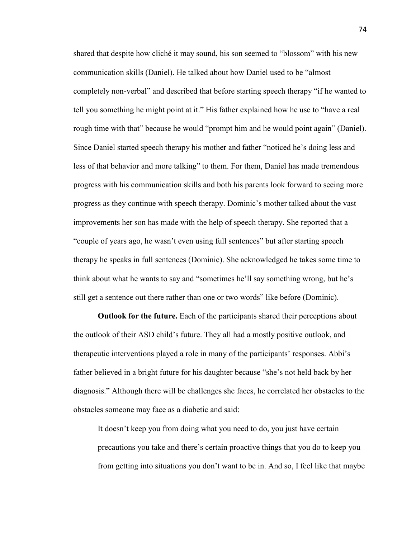shared that despite how cliché it may sound, his son seemed to "blossom" with his new communication skills (Daniel). He talked about how Daniel used to be "almost completely non-verbal" and described that before starting speech therapy "if he wanted to tell you something he might point at it." His father explained how he use to "have a real rough time with that" because he would "prompt him and he would point again" (Daniel). Since Daniel started speech therapy his mother and father "noticed he's doing less and less of that behavior and more talking" to them. For them, Daniel has made tremendous progress with his communication skills and both his parents look forward to seeing more progress as they continue with speech therapy. Dominic's mother talked about the vast improvements her son has made with the help of speech therapy. She reported that a "couple of years ago, he wasn't even using full sentences" but after starting speech therapy he speaks in full sentences (Dominic). She acknowledged he takes some time to think about what he wants to say and "sometimes he'll say something wrong, but he's still get a sentence out there rather than one or two words" like before (Dominic).

 **Outlook for the future.** Each of the participants shared their perceptions about the outlook of their ASD child's future. They all had a mostly positive outlook, and therapeutic interventions played a role in many of the participants' responses. Abbi's father believed in a bright future for his daughter because "she's not held back by her diagnosis." Although there will be challenges she faces, he correlated her obstacles to the obstacles someone may face as a diabetic and said:

It doesn't keep you from doing what you need to do, you just have certain precautions you take and there's certain proactive things that you do to keep you from getting into situations you don't want to be in. And so, I feel like that maybe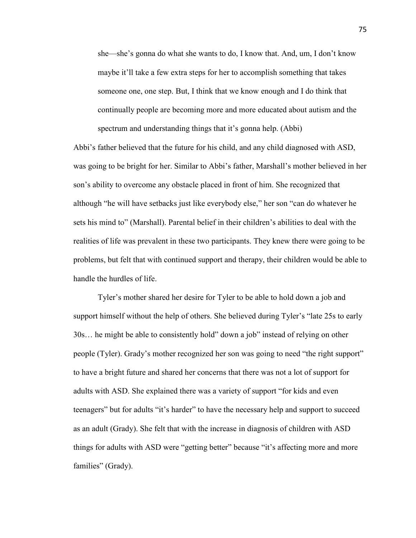she—she's gonna do what she wants to do, I know that. And, um, I don't know maybe it'll take a few extra steps for her to accomplish something that takes someone one, one step. But, I think that we know enough and I do think that continually people are becoming more and more educated about autism and the spectrum and understanding things that it's gonna help. (Abbi)

Abbi's father believed that the future for his child, and any child diagnosed with ASD, was going to be bright for her. Similar to Abbi's father, Marshall's mother believed in her son's ability to overcome any obstacle placed in front of him. She recognized that although "he will have setbacks just like everybody else," her son "can do whatever he sets his mind to" (Marshall). Parental belief in their children's abilities to deal with the realities of life was prevalent in these two participants. They knew there were going to be problems, but felt that with continued support and therapy, their children would be able to handle the hurdles of life.

 Tyler's mother shared her desire for Tyler to be able to hold down a job and support himself without the help of others. She believed during Tyler's "late 25s to early 30s… he might be able to consistently hold" down a job" instead of relying on other people (Tyler). Grady's mother recognized her son was going to need "the right support" to have a bright future and shared her concerns that there was not a lot of support for adults with ASD. She explained there was a variety of support "for kids and even teenagers" but for adults "it's harder" to have the necessary help and support to succeed as an adult (Grady). She felt that with the increase in diagnosis of children with ASD things for adults with ASD were "getting better" because "it's affecting more and more families" (Grady).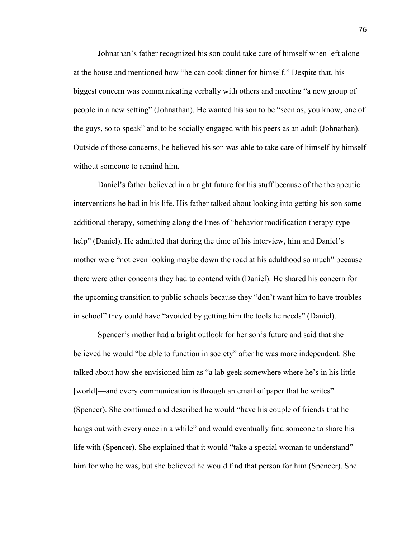Johnathan's father recognized his son could take care of himself when left alone at the house and mentioned how "he can cook dinner for himself." Despite that, his biggest concern was communicating verbally with others and meeting "a new group of people in a new setting" (Johnathan). He wanted his son to be "seen as, you know, one of the guys, so to speak" and to be socially engaged with his peers as an adult (Johnathan). Outside of those concerns, he believed his son was able to take care of himself by himself without someone to remind him.

 Daniel's father believed in a bright future for his stuff because of the therapeutic interventions he had in his life. His father talked about looking into getting his son some additional therapy, something along the lines of "behavior modification therapy-type help" (Daniel). He admitted that during the time of his interview, him and Daniel's mother were "not even looking maybe down the road at his adulthood so much" because there were other concerns they had to contend with (Daniel). He shared his concern for the upcoming transition to public schools because they "don't want him to have troubles in school" they could have "avoided by getting him the tools he needs" (Daniel).

 Spencer's mother had a bright outlook for her son's future and said that she believed he would "be able to function in society" after he was more independent. She talked about how she envisioned him as "a lab geek somewhere where he's in his little [world]—and every communication is through an email of paper that he writes" (Spencer). She continued and described he would "have his couple of friends that he hangs out with every once in a while" and would eventually find someone to share his life with (Spencer). She explained that it would "take a special woman to understand" him for who he was, but she believed he would find that person for him (Spencer). She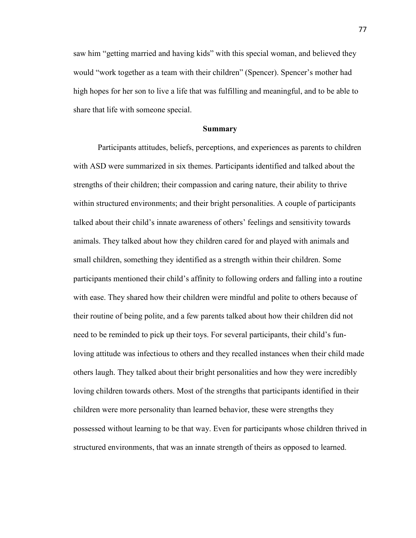saw him "getting married and having kids" with this special woman, and believed they would "work together as a team with their children" (Spencer). Spencer's mother had high hopes for her son to live a life that was fulfilling and meaningful, and to be able to share that life with someone special.

#### **Summary**

 Participants attitudes, beliefs, perceptions, and experiences as parents to children with ASD were summarized in six themes. Participants identified and talked about the strengths of their children; their compassion and caring nature, their ability to thrive within structured environments; and their bright personalities. A couple of participants talked about their child's innate awareness of others' feelings and sensitivity towards animals. They talked about how they children cared for and played with animals and small children, something they identified as a strength within their children. Some participants mentioned their child's affinity to following orders and falling into a routine with ease. They shared how their children were mindful and polite to others because of their routine of being polite, and a few parents talked about how their children did not need to be reminded to pick up their toys. For several participants, their child's funloving attitude was infectious to others and they recalled instances when their child made others laugh. They talked about their bright personalities and how they were incredibly loving children towards others. Most of the strengths that participants identified in their children were more personality than learned behavior, these were strengths they possessed without learning to be that way. Even for participants whose children thrived in structured environments, that was an innate strength of theirs as opposed to learned.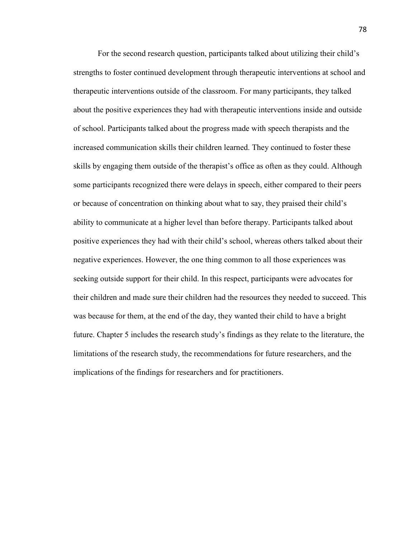For the second research question, participants talked about utilizing their child's strengths to foster continued development through therapeutic interventions at school and therapeutic interventions outside of the classroom. For many participants, they talked about the positive experiences they had with therapeutic interventions inside and outside of school. Participants talked about the progress made with speech therapists and the increased communication skills their children learned. They continued to foster these skills by engaging them outside of the therapist's office as often as they could. Although some participants recognized there were delays in speech, either compared to their peers or because of concentration on thinking about what to say, they praised their child's ability to communicate at a higher level than before therapy. Participants talked about positive experiences they had with their child's school, whereas others talked about their negative experiences. However, the one thing common to all those experiences was seeking outside support for their child. In this respect, participants were advocates for their children and made sure their children had the resources they needed to succeed. This was because for them, at the end of the day, they wanted their child to have a bright future. Chapter 5 includes the research study's findings as they relate to the literature, the limitations of the research study, the recommendations for future researchers, and the implications of the findings for researchers and for practitioners.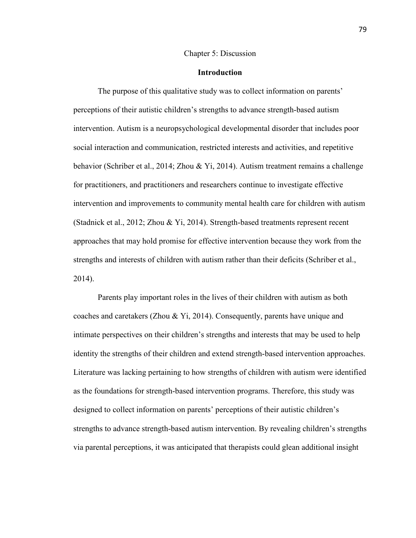#### Chapter 5: Discussion

### **Introduction**

The purpose of this qualitative study was to collect information on parents' perceptions of their autistic children's strengths to advance strength-based autism intervention. Autism is a neuropsychological developmental disorder that includes poor social interaction and communication, restricted interests and activities, and repetitive behavior (Schriber et al., 2014; Zhou & Yi, 2014). Autism treatment remains a challenge for practitioners, and practitioners and researchers continue to investigate effective intervention and improvements to community mental health care for children with autism (Stadnick et al., 2012; Zhou & Yi, 2014). Strength-based treatments represent recent approaches that may hold promise for effective intervention because they work from the strengths and interests of children with autism rather than their deficits (Schriber et al., 2014).

Parents play important roles in the lives of their children with autism as both coaches and caretakers (Zhou & Yi, 2014). Consequently, parents have unique and intimate perspectives on their children's strengths and interests that may be used to help identity the strengths of their children and extend strength-based intervention approaches. Literature was lacking pertaining to how strengths of children with autism were identified as the foundations for strength-based intervention programs. Therefore, this study was designed to collect information on parents' perceptions of their autistic children's strengths to advance strength-based autism intervention. By revealing children's strengths via parental perceptions, it was anticipated that therapists could glean additional insight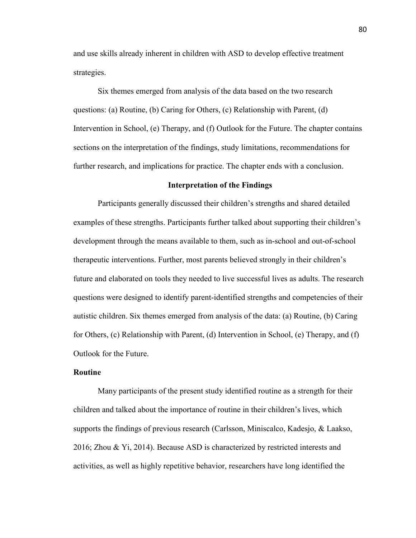and use skills already inherent in children with ASD to develop effective treatment strategies.

Six themes emerged from analysis of the data based on the two research questions: (a) Routine, (b) Caring for Others, (c) Relationship with Parent, (d) Intervention in School, (e) Therapy, and (f) Outlook for the Future. The chapter contains sections on the interpretation of the findings, study limitations, recommendations for further research, and implications for practice. The chapter ends with a conclusion.

#### **Interpretation of the Findings**

Participants generally discussed their children's strengths and shared detailed examples of these strengths. Participants further talked about supporting their children's development through the means available to them, such as in-school and out-of-school therapeutic interventions. Further, most parents believed strongly in their children's future and elaborated on tools they needed to live successful lives as adults. The research questions were designed to identify parent-identified strengths and competencies of their autistic children. Six themes emerged from analysis of the data: (a) Routine, (b) Caring for Others, (c) Relationship with Parent, (d) Intervention in School, (e) Therapy, and (f) Outlook for the Future.

# **Routine**

Many participants of the present study identified routine as a strength for their children and talked about the importance of routine in their children's lives, which supports the findings of previous research (Carlsson, Miniscalco, Kadesjo, & Laakso, 2016; Zhou & Yi, 2014). Because ASD is characterized by restricted interests and activities, as well as highly repetitive behavior, researchers have long identified the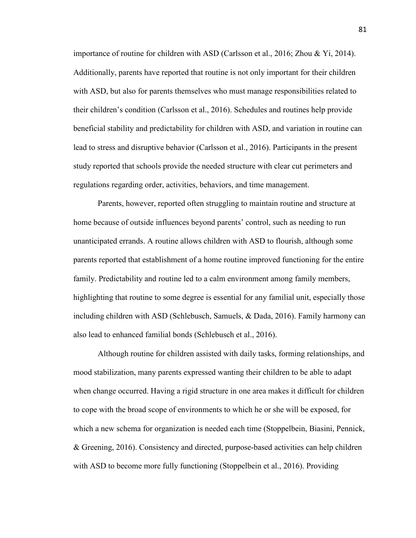importance of routine for children with ASD (Carlsson et al., 2016; Zhou & Yi, 2014). Additionally, parents have reported that routine is not only important for their children with ASD, but also for parents themselves who must manage responsibilities related to their children's condition (Carlsson et al., 2016). Schedules and routines help provide beneficial stability and predictability for children with ASD, and variation in routine can lead to stress and disruptive behavior (Carlsson et al., 2016). Participants in the present study reported that schools provide the needed structure with clear cut perimeters and regulations regarding order, activities, behaviors, and time management.

Parents, however, reported often struggling to maintain routine and structure at home because of outside influences beyond parents' control, such as needing to run unanticipated errands. A routine allows children with ASD to flourish, although some parents reported that establishment of a home routine improved functioning for the entire family. Predictability and routine led to a calm environment among family members, highlighting that routine to some degree is essential for any familial unit, especially those including children with ASD (Schlebusch, Samuels, & Dada, 2016). Family harmony can also lead to enhanced familial bonds (Schlebusch et al., 2016).

Although routine for children assisted with daily tasks, forming relationships, and mood stabilization, many parents expressed wanting their children to be able to adapt when change occurred. Having a rigid structure in one area makes it difficult for children to cope with the broad scope of environments to which he or she will be exposed, for which a new schema for organization is needed each time (Stoppelbein, Biasini, Pennick, & Greening, 2016). Consistency and directed, purpose-based activities can help children with ASD to become more fully functioning (Stoppelbein et al., 2016). Providing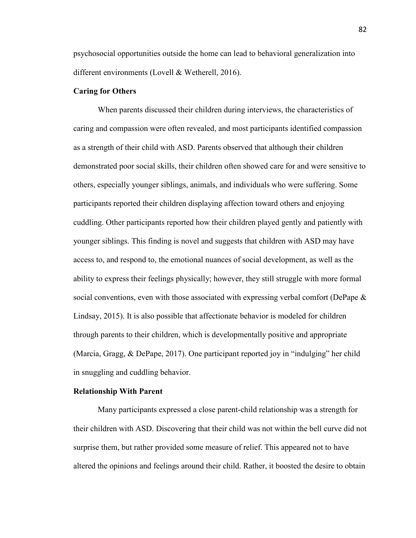psychosocial opportunities outside the home can lead to behavioral generalization into different environments (Lovell & Wetherell, 2016).

## **Caring for Others**

When parents discussed their children during interviews, the characteristics of caring and compassion were often revealed, and most participants identified compassion as a strength of their child with ASD. Parents observed that although their children demonstrated poor social skills, their children often showed care for and were sensitive to others, especially younger siblings, animals, and individuals who were suffering. Some participants reported their children displaying affection toward others and enjoying cuddling. Other participants reported how their children played gently and patiently with younger siblings. This finding is novel and suggests that children with ASD may have access to, and respond to, the emotional nuances of social development, as well as the ability to express their feelings physically; however, they still struggle with more formal social conventions, even with those associated with expressing verbal comfort (DePape  $\&$ Lindsay, 2015). It is also possible that affectionate behavior is modeled for children through parents to their children, which is developmentally positive and appropriate (Marcia, Gragg, & DePape, 2017). One participant reported joy in "indulging" her child in snuggling and cuddling behavior.

## **Relationship With Parent**

 Many participants expressed a close parent-child relationship was a strength for their children with ASD. Discovering that their child was not within the bell curve did not surprise them, but rather provided some measure of relief. This appeared not to have altered the opinions and feelings around their child. Rather, it boosted the desire to obtain

82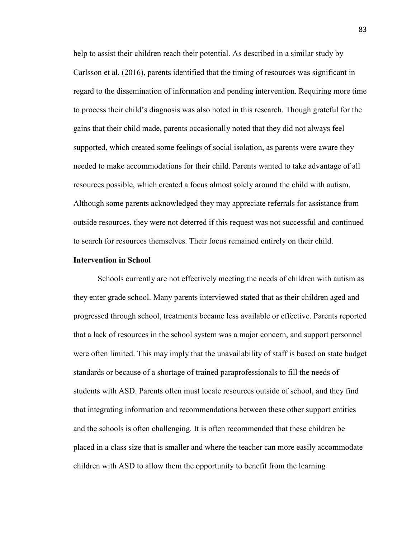help to assist their children reach their potential. As described in a similar study by Carlsson et al. (2016), parents identified that the timing of resources was significant in regard to the dissemination of information and pending intervention. Requiring more time to process their child's diagnosis was also noted in this research. Though grateful for the gains that their child made, parents occasionally noted that they did not always feel supported, which created some feelings of social isolation, as parents were aware they needed to make accommodations for their child. Parents wanted to take advantage of all resources possible, which created a focus almost solely around the child with autism. Although some parents acknowledged they may appreciate referrals for assistance from outside resources, they were not deterred if this request was not successful and continued to search for resources themselves. Their focus remained entirely on their child.

### **Intervention in School**

Schools currently are not effectively meeting the needs of children with autism as they enter grade school. Many parents interviewed stated that as their children aged and progressed through school, treatments became less available or effective. Parents reported that a lack of resources in the school system was a major concern, and support personnel were often limited. This may imply that the unavailability of staff is based on state budget standards or because of a shortage of trained paraprofessionals to fill the needs of students with ASD. Parents often must locate resources outside of school, and they find that integrating information and recommendations between these other support entities and the schools is often challenging. It is often recommended that these children be placed in a class size that is smaller and where the teacher can more easily accommodate children with ASD to allow them the opportunity to benefit from the learning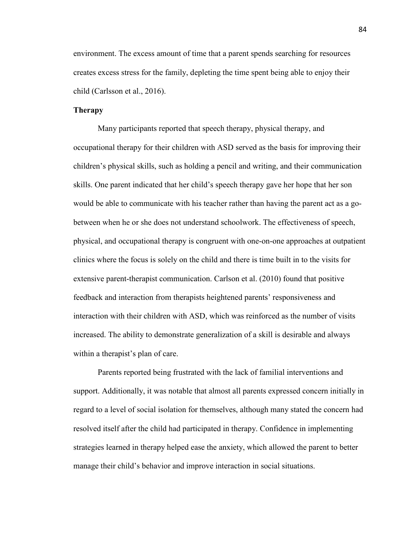environment. The excess amount of time that a parent spends searching for resources creates excess stress for the family, depleting the time spent being able to enjoy their child (Carlsson et al., 2016).

# **Therapy**

Many participants reported that speech therapy, physical therapy, and occupational therapy for their children with ASD served as the basis for improving their children's physical skills, such as holding a pencil and writing, and their communication skills. One parent indicated that her child's speech therapy gave her hope that her son would be able to communicate with his teacher rather than having the parent act as a gobetween when he or she does not understand schoolwork. The effectiveness of speech, physical, and occupational therapy is congruent with one-on-one approaches at outpatient clinics where the focus is solely on the child and there is time built in to the visits for extensive parent-therapist communication. Carlson et al. (2010) found that positive feedback and interaction from therapists heightened parents' responsiveness and interaction with their children with ASD, which was reinforced as the number of visits increased. The ability to demonstrate generalization of a skill is desirable and always within a therapist's plan of care.

Parents reported being frustrated with the lack of familial interventions and support. Additionally, it was notable that almost all parents expressed concern initially in regard to a level of social isolation for themselves, although many stated the concern had resolved itself after the child had participated in therapy. Confidence in implementing strategies learned in therapy helped ease the anxiety, which allowed the parent to better manage their child's behavior and improve interaction in social situations.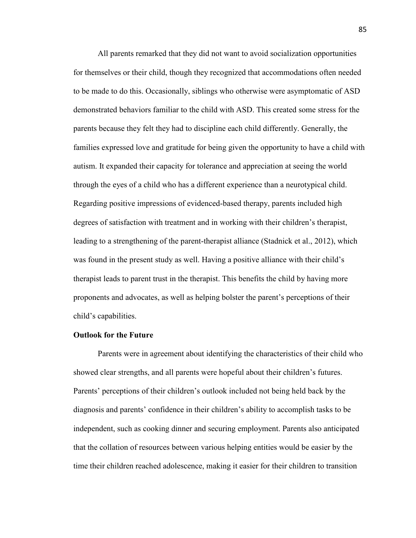All parents remarked that they did not want to avoid socialization opportunities for themselves or their child, though they recognized that accommodations often needed to be made to do this. Occasionally, siblings who otherwise were asymptomatic of ASD demonstrated behaviors familiar to the child with ASD. This created some stress for the parents because they felt they had to discipline each child differently. Generally, the families expressed love and gratitude for being given the opportunity to have a child with autism. It expanded their capacity for tolerance and appreciation at seeing the world through the eyes of a child who has a different experience than a neurotypical child. Regarding positive impressions of evidenced-based therapy, parents included high degrees of satisfaction with treatment and in working with their children's therapist, leading to a strengthening of the parent-therapist alliance (Stadnick et al., 2012), which was found in the present study as well. Having a positive alliance with their child's therapist leads to parent trust in the therapist. This benefits the child by having more proponents and advocates, as well as helping bolster the parent's perceptions of their child's capabilities.

### **Outlook for the Future**

Parents were in agreement about identifying the characteristics of their child who showed clear strengths, and all parents were hopeful about their children's futures. Parents' perceptions of their children's outlook included not being held back by the diagnosis and parents' confidence in their children's ability to accomplish tasks to be independent, such as cooking dinner and securing employment. Parents also anticipated that the collation of resources between various helping entities would be easier by the time their children reached adolescence, making it easier for their children to transition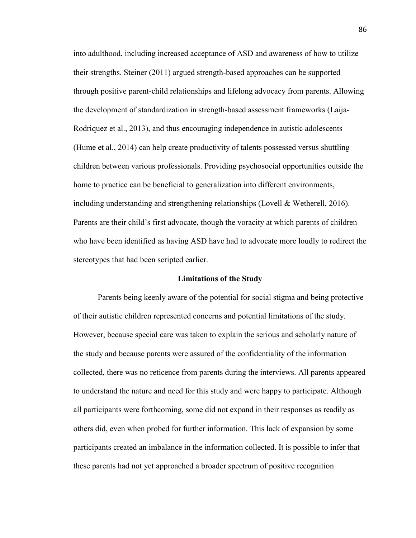into adulthood, including increased acceptance of ASD and awareness of how to utilize their strengths. Steiner (2011) argued strength-based approaches can be supported through positive parent-child relationships and lifelong advocacy from parents. Allowing the development of standardization in strength-based assessment frameworks (Laija-Rodriquez et al., 2013), and thus encouraging independence in autistic adolescents (Hume et al., 2014) can help create productivity of talents possessed versus shuttling children between various professionals. Providing psychosocial opportunities outside the home to practice can be beneficial to generalization into different environments, including understanding and strengthening relationships (Lovell  $\&$  Wetherell, 2016). Parents are their child's first advocate, though the voracity at which parents of children who have been identified as having ASD have had to advocate more loudly to redirect the stereotypes that had been scripted earlier.

### **Limitations of the Study**

Parents being keenly aware of the potential for social stigma and being protective of their autistic children represented concerns and potential limitations of the study. However, because special care was taken to explain the serious and scholarly nature of the study and because parents were assured of the confidentiality of the information collected, there was no reticence from parents during the interviews. All parents appeared to understand the nature and need for this study and were happy to participate. Although all participants were forthcoming, some did not expand in their responses as readily as others did, even when probed for further information. This lack of expansion by some participants created an imbalance in the information collected. It is possible to infer that these parents had not yet approached a broader spectrum of positive recognition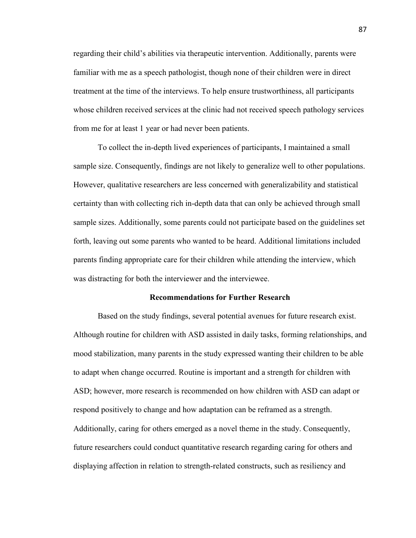regarding their child's abilities via therapeutic intervention. Additionally, parents were familiar with me as a speech pathologist, though none of their children were in direct treatment at the time of the interviews. To help ensure trustworthiness, all participants whose children received services at the clinic had not received speech pathology services from me for at least 1 year or had never been patients.

To collect the in-depth lived experiences of participants, I maintained a small sample size. Consequently, findings are not likely to generalize well to other populations. However, qualitative researchers are less concerned with generalizability and statistical certainty than with collecting rich in-depth data that can only be achieved through small sample sizes. Additionally, some parents could not participate based on the guidelines set forth, leaving out some parents who wanted to be heard. Additional limitations included parents finding appropriate care for their children while attending the interview, which was distracting for both the interviewer and the interviewee.

## **Recommendations for Further Research**

Based on the study findings, several potential avenues for future research exist. Although routine for children with ASD assisted in daily tasks, forming relationships, and mood stabilization, many parents in the study expressed wanting their children to be able to adapt when change occurred. Routine is important and a strength for children with ASD; however, more research is recommended on how children with ASD can adapt or respond positively to change and how adaptation can be reframed as a strength. Additionally, caring for others emerged as a novel theme in the study. Consequently, future researchers could conduct quantitative research regarding caring for others and displaying affection in relation to strength-related constructs, such as resiliency and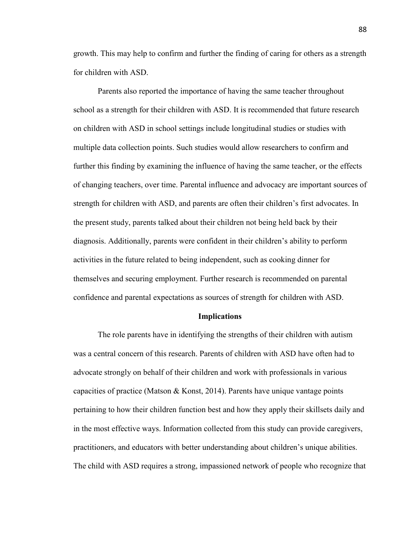growth. This may help to confirm and further the finding of caring for others as a strength for children with ASD.

Parents also reported the importance of having the same teacher throughout school as a strength for their children with ASD. It is recommended that future research on children with ASD in school settings include longitudinal studies or studies with multiple data collection points. Such studies would allow researchers to confirm and further this finding by examining the influence of having the same teacher, or the effects of changing teachers, over time. Parental influence and advocacy are important sources of strength for children with ASD, and parents are often their children's first advocates. In the present study, parents talked about their children not being held back by their diagnosis. Additionally, parents were confident in their children's ability to perform activities in the future related to being independent, such as cooking dinner for themselves and securing employment. Further research is recommended on parental confidence and parental expectations as sources of strength for children with ASD.

### **Implications**

The role parents have in identifying the strengths of their children with autism was a central concern of this research. Parents of children with ASD have often had to advocate strongly on behalf of their children and work with professionals in various capacities of practice (Matson  $\&$  Konst, 2014). Parents have unique vantage points pertaining to how their children function best and how they apply their skillsets daily and in the most effective ways. Information collected from this study can provide caregivers, practitioners, and educators with better understanding about children's unique abilities. The child with ASD requires a strong, impassioned network of people who recognize that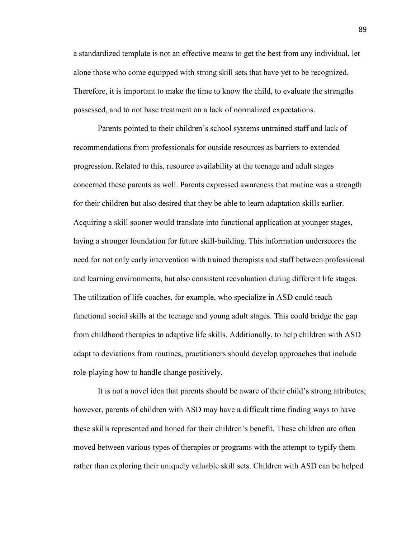a standardized template is not an effective means to get the best from any individual, let alone those who come equipped with strong skill sets that have yet to be recognized. Therefore, it is important to make the time to know the child, to evaluate the strengths possessed, and to not base treatment on a lack of normalized expectations.

Parents pointed to their children's school systems untrained staff and lack of recommendations from professionals for outside resources as barriers to extended progression. Related to this, resource availability at the teenage and adult stages concerned these parents as well. Parents expressed awareness that routine was a strength for their children but also desired that they be able to learn adaptation skills earlier. Acquiring a skill sooner would translate into functional application at younger stages, laying a stronger foundation for future skill-building. This information underscores the need for not only early intervention with trained therapists and staff between professional and learning environments, but also consistent reevaluation during different life stages. The utilization of life coaches, for example, who specialize in ASD could teach functional social skills at the teenage and young adult stages. This could bridge the gap from childhood therapies to adaptive life skills. Additionally, to help children with ASD adapt to deviations from routines, practitioners should develop approaches that include role-playing how to handle change positively.

It is not a novel idea that parents should be aware of their child's strong attributes; however, parents of children with ASD may have a difficult time finding ways to have these skills represented and honed for their children's benefit. These children are often moved between various types of therapies or programs with the attempt to typify them rather than exploring their uniquely valuable skill sets. Children with ASD can be helped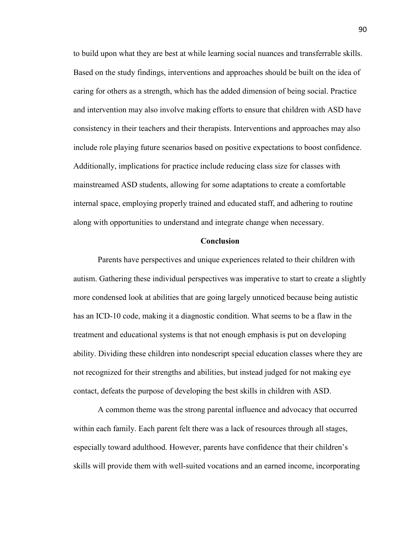to build upon what they are best at while learning social nuances and transferrable skills. Based on the study findings, interventions and approaches should be built on the idea of caring for others as a strength, which has the added dimension of being social. Practice and intervention may also involve making efforts to ensure that children with ASD have consistency in their teachers and their therapists. Interventions and approaches may also include role playing future scenarios based on positive expectations to boost confidence. Additionally, implications for practice include reducing class size for classes with mainstreamed ASD students, allowing for some adaptations to create a comfortable internal space, employing properly trained and educated staff, and adhering to routine along with opportunities to understand and integrate change when necessary.

### **Conclusion**

Parents have perspectives and unique experiences related to their children with autism. Gathering these individual perspectives was imperative to start to create a slightly more condensed look at abilities that are going largely unnoticed because being autistic has an ICD-10 code, making it a diagnostic condition. What seems to be a flaw in the treatment and educational systems is that not enough emphasis is put on developing ability. Dividing these children into nondescript special education classes where they are not recognized for their strengths and abilities, but instead judged for not making eye contact, defeats the purpose of developing the best skills in children with ASD.

A common theme was the strong parental influence and advocacy that occurred within each family. Each parent felt there was a lack of resources through all stages, especially toward adulthood. However, parents have confidence that their children's skills will provide them with well-suited vocations and an earned income, incorporating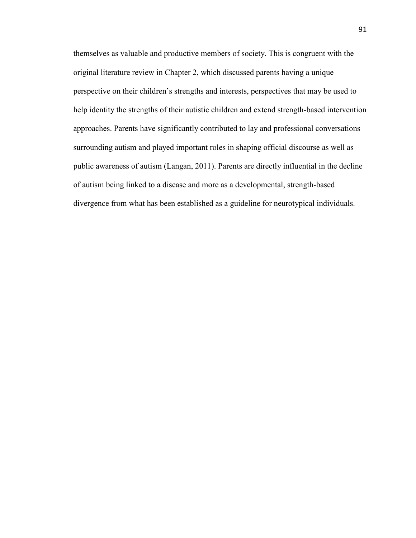themselves as valuable and productive members of society. This is congruent with the original literature review in Chapter 2, which discussed parents having a unique perspective on their children's strengths and interests, perspectives that may be used to help identity the strengths of their autistic children and extend strength-based intervention approaches. Parents have significantly contributed to lay and professional conversations surrounding autism and played important roles in shaping official discourse as well as public awareness of autism (Langan, 2011). Parents are directly influential in the decline of autism being linked to a disease and more as a developmental, strength-based divergence from what has been established as a guideline for neurotypical individuals.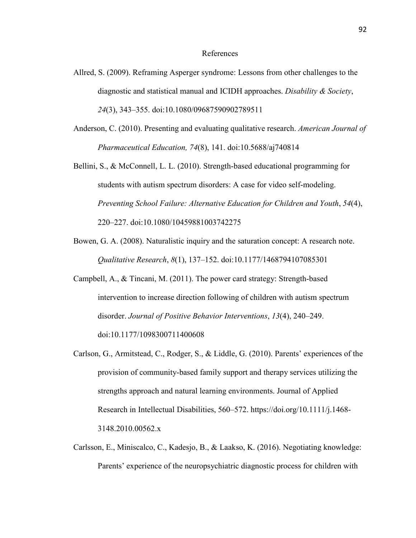#### References

- Allred, S. (2009). Reframing Asperger syndrome: Lessons from other challenges to the diagnostic and statistical manual and ICIDH approaches. *Disability & Society*, *24*(3), 343–355. doi:10.1080/09687590902789511
- Anderson, C. (2010). Presenting and evaluating qualitative research. *American Journal of Pharmaceutical Education, 74*(8), 141. doi:10.5688/aj740814
- Bellini, S., & McConnell, L. L. (2010). Strength-based educational programming for students with autism spectrum disorders: A case for video self-modeling. *Preventing School Failure: Alternative Education for Children and Youth*, *54*(4), 220–227. doi:10.1080/10459881003742275
- Bowen, G. A. (2008). Naturalistic inquiry and the saturation concept: A research note. *Qualitative Research*, *8*(1), 137–152. doi:10.1177/1468794107085301
- Campbell, A., & Tincani, M. (2011). The power card strategy: Strength-based intervention to increase direction following of children with autism spectrum disorder. *Journal of Positive Behavior Interventions*, *13*(4), 240–249. doi:10.1177/1098300711400608
- Carlson, G., Armitstead, C., Rodger, S., & Liddle, G. (2010). Parents' experiences of the provision of community-based family support and therapy services utilizing the strengths approach and natural learning environments. Journal of Applied Research in Intellectual Disabilities, 560–572. https://doi.org/10.1111/j.1468- 3148.2010.00562.x
- Carlsson, E., Miniscalco, C., Kadesjo, B., & Laakso, K. (2016). Negotiating knowledge: Parents' experience of the neuropsychiatric diagnostic process for children with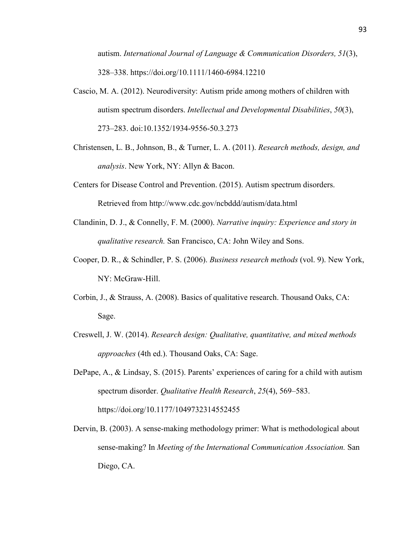autism. *International Journal of Language & Communication Disorders, 51*(3), 328–338. https://doi.org/10.1111/1460-6984.12210

- Cascio, M. A. (2012). Neurodiversity: Autism pride among mothers of children with autism spectrum disorders. *Intellectual and Developmental Disabilities*, *50*(3), 273–283. doi:10.1352/1934-9556-50.3.273
- Christensen, L. B., Johnson, B., & Turner, L. A. (2011). *Research methods, design, and analysis*. New York, NY: Allyn & Bacon.
- Centers for Disease Control and Prevention. (2015). Autism spectrum disorders. Retrieved from http://www.cdc.gov/ncbddd/autism/data.html
- Clandinin, D. J., & Connelly, F. M. (2000). *Narrative inquiry: Experience and story in qualitative research.* San Francisco, CA: John Wiley and Sons.
- Cooper, D. R., & Schindler, P. S. (2006). *Business research methods* (vol. 9). New York, NY: McGraw-Hill.
- Corbin, J., & Strauss, A. (2008). Basics of qualitative research. Thousand Oaks, CA: Sage.
- Creswell, J. W. (2014). *Research design: Qualitative, quantitative, and mixed methods approaches* (4th ed.). Thousand Oaks, CA: Sage.
- DePape, A., & Lindsay, S. (2015). Parents' experiences of caring for a child with autism spectrum disorder. *Qualitative Health Research*, *25*(4), 569–583. https://doi.org/10.1177/1049732314552455
- Dervin, B. (2003). A sense-making methodology primer: What is methodological about sense-making? In *Meeting of the International Communication Association.* San Diego, CA.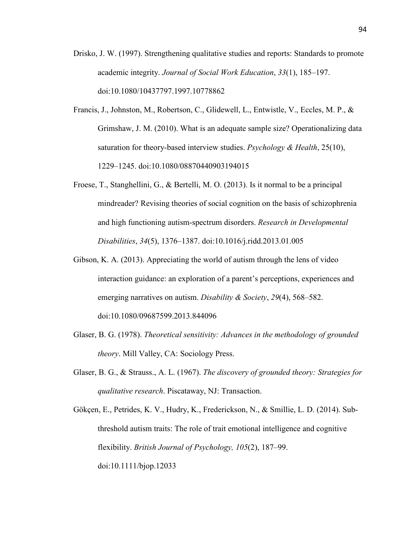- Drisko, J. W. (1997). Strengthening qualitative studies and reports: Standards to promote academic integrity. *Journal of Social Work Education*, *33*(1), 185–197. doi:10.1080/10437797.1997.10778862
- Francis, J., Johnston, M., Robertson, C., Glidewell, L., Entwistle, V., Eccles, M. P., & Grimshaw, J. M. (2010). What is an adequate sample size? Operationalizing data saturation for theory-based interview studies. *Psychology & Health*, 25(10), 1229–1245. doi:10.1080/08870440903194015
- Froese, T., Stanghellini, G., & Bertelli, M. O. (2013). Is it normal to be a principal mindreader? Revising theories of social cognition on the basis of schizophrenia and high functioning autism-spectrum disorders. *Research in Developmental Disabilities*, *34*(5), 1376–1387. doi:10.1016/j.ridd.2013.01.005
- Gibson, K. A. (2013). Appreciating the world of autism through the lens of video interaction guidance: an exploration of a parent's perceptions, experiences and emerging narratives on autism. *Disability & Society*, *29*(4), 568–582. doi:10.1080/09687599.2013.844096
- Glaser, B. G. (1978). *Theoretical sensitivity: Advances in the methodology of grounded theory*. Mill Valley, CA: Sociology Press.
- Glaser, B. G., & Strauss., A. L. (1967). *The discovery of grounded theory: Strategies for qualitative research*. Piscataway, NJ: Transaction.
- Gökçen, E., Petrides, K. V., Hudry, K., Frederickson, N., & Smillie, L. D. (2014). Subthreshold autism traits: The role of trait emotional intelligence and cognitive flexibility. *British Journal of Psychology, 105*(2), 187–99. doi:10.1111/bjop.12033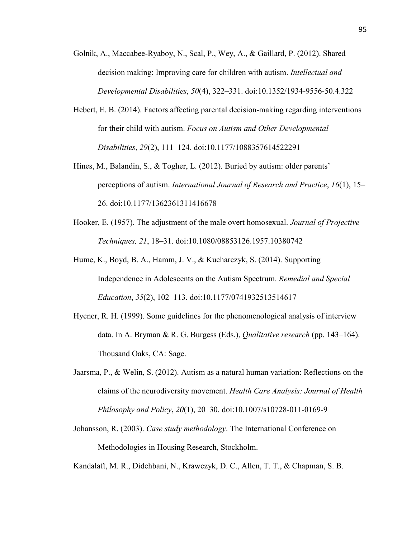- Golnik, A., Maccabee-Ryaboy, N., Scal, P., Wey, A., & Gaillard, P. (2012). Shared decision making: Improving care for children with autism. *Intellectual and Developmental Disabilities*, *50*(4), 322–331. doi:10.1352/1934-9556-50.4.322
- Hebert, E. B. (2014). Factors affecting parental decision-making regarding interventions for their child with autism. *Focus on Autism and Other Developmental Disabilities*, *29*(2), 111–124. doi:10.1177/1088357614522291
- Hines, M., Balandin, S., & Togher, L. (2012). Buried by autism: older parents' perceptions of autism. *International Journal of Research and Practice*, *16*(1), 15– 26. doi:10.1177/1362361311416678
- Hooker, E. (1957). The adjustment of the male overt homosexual. *Journal of Projective Techniques, 21*, 18–31. doi:10.1080/08853126.1957.10380742
- Hume, K., Boyd, B. A., Hamm, J. V., & Kucharczyk, S. (2014). Supporting Independence in Adolescents on the Autism Spectrum. *Remedial and Special Education*, *35*(2), 102–113. doi:10.1177/0741932513514617
- Hycner, R. H. (1999). Some guidelines for the phenomenological analysis of interview data. In A. Bryman & R. G. Burgess (Eds.), *Qualitative research* (pp. 143–164). Thousand Oaks, CA: Sage.
- Jaarsma, P., & Welin, S. (2012). Autism as a natural human variation: Reflections on the claims of the neurodiversity movement. *Health Care Analysis: Journal of Health Philosophy and Policy*, *20*(1), 20–30. doi:10.1007/s10728-011-0169-9
- Johansson, R. (2003). *Case study methodology*. The International Conference on Methodologies in Housing Research, Stockholm.

Kandalaft, M. R., Didehbani, N., Krawczyk, D. C., Allen, T. T., & Chapman, S. B.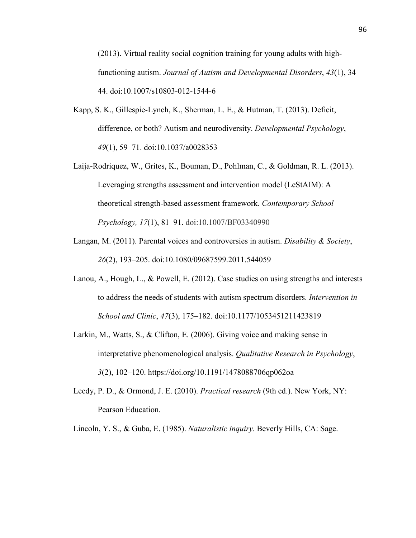(2013). Virtual reality social cognition training for young adults with highfunctioning autism. *Journal of Autism and Developmental Disorders*, *43*(1), 34– 44. doi:10.1007/s10803-012-1544-6

- Kapp, S. K., Gillespie-Lynch, K., Sherman, L. E., & Hutman, T. (2013). Deficit, difference, or both? Autism and neurodiversity. *Developmental Psychology*, *49*(1), 59–71. doi:10.1037/a0028353
- Laija-Rodriquez, W., Grites, K., Bouman, D., Pohlman, C., & Goldman, R. L. (2013). Leveraging strengths assessment and intervention model (LeStAIM): A theoretical strength-based assessment framework. *Contemporary School Psychology, 17*(1), 81–91. doi:10.1007/BF03340990
- Langan, M. (2011). Parental voices and controversies in autism. *Disability & Society*, *26*(2), 193–205. doi:10.1080/09687599.2011.544059
- Lanou, A., Hough, L., & Powell, E. (2012). Case studies on using strengths and interests to address the needs of students with autism spectrum disorders. *Intervention in School and Clinic*, *47*(3), 175–182. doi:10.1177/1053451211423819
- Larkin, M., Watts, S., & Clifton, E. (2006). Giving voice and making sense in interpretative phenomenological analysis. *Qualitative Research in Psychology*, *3*(2), 102–120. https://doi.org/10.1191/1478088706qp062oa
- Leedy, P. D., & Ormond, J. E. (2010). *Practical research* (9th ed.). New York, NY: Pearson Education.

Lincoln, Y. S., & Guba, E. (1985). *Naturalistic inquiry*. Beverly Hills, CA: Sage.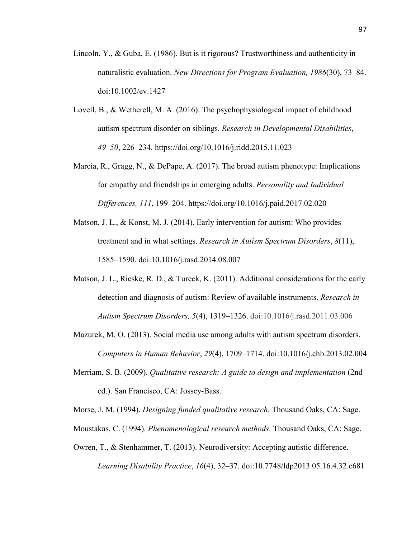- Lincoln, Y., & Guba, E. (1986). But is it rigorous? Trustworthiness and authenticity in naturalistic evaluation. *New Directions for Program Evaluation, 1986*(30), 73–84. doi:10.1002/ev.1427
- Lovell, B., & Wetherell, M. A. (2016). The psychophysiological impact of childhood autism spectrum disorder on siblings. *Research in Developmental Disabilities*, *49–50*, 226–234. https://doi.org/10.1016/j.ridd.2015.11.023
- Marcia, R., Gragg, N., & DePape, A. (2017). The broad autism phenotype: Implications for empathy and friendships in emerging adults. *Personality and Individual Differences, 111*, 199–204. https://doi.org/10.1016/j.paid.2017.02.020
- Matson, J. L., & Konst, M. J. (2014). Early intervention for autism: Who provides treatment and in what settings. *Research in Autism Spectrum Disorders*, *8*(11), 1585–1590. doi:10.1016/j.rasd.2014.08.007
- Matson, J. L., Rieske, R. D., & Tureck, K. (2011). Additional considerations for the early detection and diagnosis of autism: Review of available instruments. *Research in Autism Spectrum Disorders, 5*(4), 1319–1326. doi:10.1016/j.rasd.2011.03.006
- Mazurek, M. O. (2013). Social media use among adults with autism spectrum disorders. *Computers in Human Behavior*, *29*(4), 1709–1714. doi:10.1016/j.chb.2013.02.004
- Merriam, S. B. (2009). *Qualitative research: A guide to design and implementation* (2nd ed.). San Francisco, CA: Jossey-Bass.

Morse, J. M. (1994). *Designing funded qualitative research*. Thousand Oaks, CA: Sage.

- Moustakas, C. (1994). *Phenomenological research methods*. Thousand Oaks, CA: Sage.
- Owren, T., & Stenhammer, T. (2013). Neurodiversity: Accepting autistic difference. *Learning Disability Practice*, *16*(4), 32–37. doi:10.7748/ldp2013.05.16.4.32.e681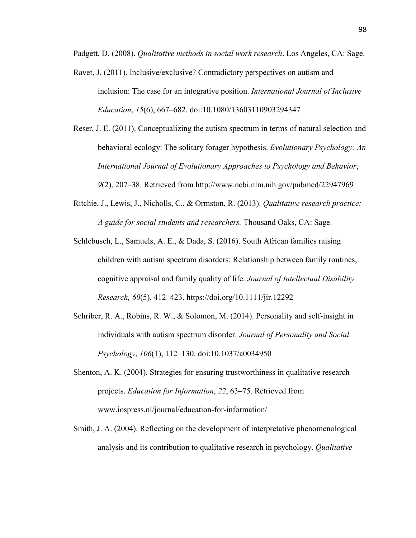Padgett, D. (2008). *Qualitative methods in social work research*. Los Angeles, CA: Sage.

- Ravet, J. (2011). Inclusive/exclusive? Contradictory perspectives on autism and inclusion: The case for an integrative position. *International Journal of Inclusive Education*, *15*(6), 667–682. doi:10.1080/13603110903294347
- Reser, J. E. (2011). Conceptualizing the autism spectrum in terms of natural selection and behavioral ecology: The solitary forager hypothesis. *Evolutionary Psychology: An International Journal of Evolutionary Approaches to Psychology and Behavior*, *9*(2), 207–38. Retrieved from http://www.ncbi.nlm.nih.gov/pubmed/22947969
- Ritchie, J., Lewis, J., Nicholls, C., & Ormston, R. (2013). *Qualitative research practice: A guide for social students and researchers.* Thousand Oaks, CA: Sage.
- Schlebusch, L., Samuels, A. E., & Dada, S. (2016). South African families raising children with autism spectrum disorders: Relationship between family routines, cognitive appraisal and family quality of life. *Journal of Intellectual Disability Research, 60*(5), 412–423. https://doi.org/10.1111/jir.12292
- Schriber, R. A., Robins, R. W., & Solomon, M. (2014). Personality and self-insight in individuals with autism spectrum disorder. *Journal of Personality and Social Psychology*, *106*(1), 112–130. doi:10.1037/a0034950
- Shenton, A. K. (2004). Strategies for ensuring trustworthiness in qualitative research projects. *Education for Information*, *22*, 63–75. Retrieved from www.iospress.nl/journal/education-for-information/
- Smith, J. A. (2004). Reflecting on the development of interpretative phenomenological analysis and its contribution to qualitative research in psychology. *Qualitative*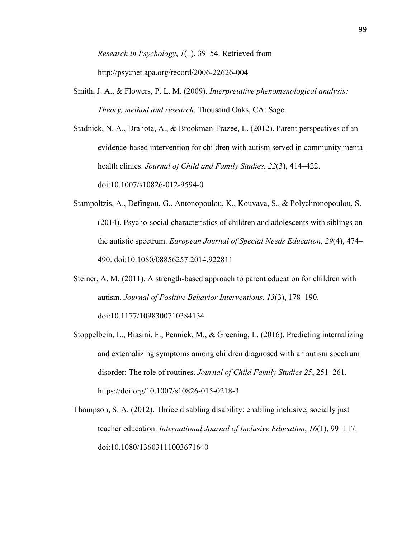*Research in Psychology*, *1*(1), 39–54. Retrieved from http://psycnet.apa.org/record/2006-22626-004

- Smith, J. A., & Flowers, P. L. M. (2009). *Interpretative phenomenological analysis: Theory, method and research*. Thousand Oaks, CA: Sage.
- Stadnick, N. A., Drahota, A., & Brookman-Frazee, L. (2012). Parent perspectives of an evidence-based intervention for children with autism served in community mental health clinics. *Journal of Child and Family Studies*, *22*(3), 414–422. doi:10.1007/s10826-012-9594-0
- Stampoltzis, A., Defingou, G., Antonopoulou, K., Kouvava, S., & Polychronopoulou, S. (2014). Psycho-social characteristics of children and adolescents with siblings on the autistic spectrum. *European Journal of Special Needs Education*, *29*(4), 474– 490. doi:10.1080/08856257.2014.922811
- Steiner, A. M. (2011). A strength-based approach to parent education for children with autism. *Journal of Positive Behavior Interventions*, *13*(3), 178–190. doi:10.1177/1098300710384134
- Stoppelbein, L., Biasini, F., Pennick, M., & Greening, L. (2016). Predicting internalizing and externalizing symptoms among children diagnosed with an autism spectrum disorder: The role of routines. *Journal of Child Family Studies 25*, 251–261. https://doi.org/10.1007/s10826-015-0218-3
- Thompson, S. A. (2012). Thrice disabling disability: enabling inclusive, socially just teacher education. *International Journal of Inclusive Education*, *16*(1), 99–117. doi:10.1080/13603111003671640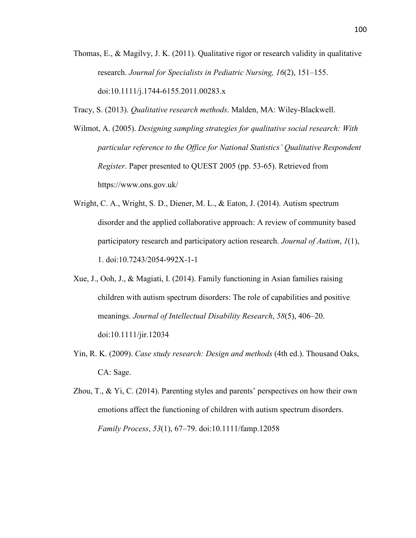- Thomas, E., & Magilvy, J. K. (2011). Qualitative rigor or research validity in qualitative research. *Journal for Specialists in Pediatric Nursing, 16*(2), 151–155. doi:10.1111/j.1744-6155.2011.00283.x
- Tracy, S. (2013). *Qualitative research methods*. Malden, MA: Wiley-Blackwell.
- Wilmot, A. (2005). *Designing sampling strategies for qualitative social research: With particular reference to the Office for National Statistics' Qualitative Respondent Register*. Paper presented to QUEST 2005 (pp. 53-65). Retrieved from https://www.ons.gov.uk/
- Wright, C. A., Wright, S. D., Diener, M. L., & Eaton, J. (2014). Autism spectrum disorder and the applied collaborative approach: A review of community based participatory research and participatory action research. *Journal of Autism*, *1*(1), 1. doi:10.7243/2054-992X-1-1
- Xue, J., Ooh, J., & Magiati, I. (2014). Family functioning in Asian families raising children with autism spectrum disorders: The role of capabilities and positive meanings. *Journal of Intellectual Disability Research*, *58*(5), 406–20. doi:10.1111/jir.12034
- Yin, R. K. (2009). *Case study research: Design and methods* (4th ed.). Thousand Oaks, CA: Sage.
- Zhou, T., & Yi, C. (2014). Parenting styles and parents' perspectives on how their own emotions affect the functioning of children with autism spectrum disorders. *Family Process*, *53*(1), 67–79. doi:10.1111/famp.12058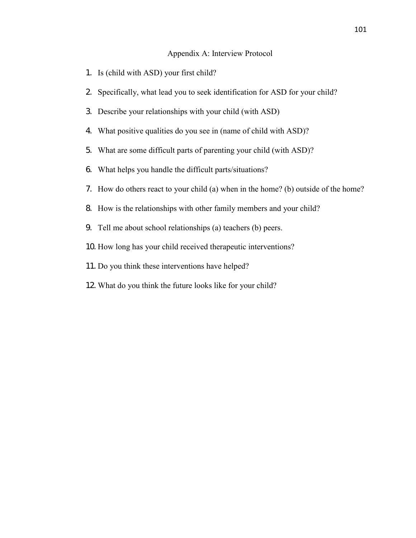#### Appendix A: Interview Protocol

- 1. Is (child with ASD) your first child?
- 2. Specifically, what lead you to seek identification for ASD for your child?
- 3. Describe your relationships with your child (with ASD)
- 4. What positive qualities do you see in (name of child with ASD)?
- 5. What are some difficult parts of parenting your child (with ASD)?
- 6. What helps you handle the difficult parts/situations?
- 7. How do others react to your child (a) when in the home? (b) outside of the home?
- 8. How is the relationships with other family members and your child?
- 9. Tell me about school relationships (a) teachers (b) peers.
- 10. How long has your child received therapeutic interventions?
- 11. Do you think these interventions have helped?
- 12. What do you think the future looks like for your child?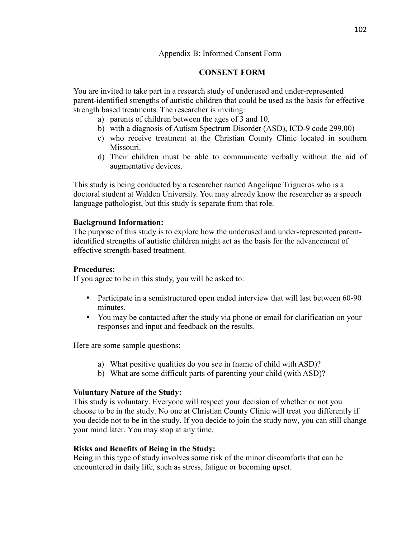## Appendix B: Informed Consent Form

# **CONSENT FORM**

You are invited to take part in a research study of underused and under-represented parent-identified strengths of autistic children that could be used as the basis for effective strength based treatments. The researcher is inviting:

- a) parents of children between the ages of 3 and 10,
- b) with a diagnosis of Autism Spectrum Disorder (ASD), ICD-9 code 299.00)
- c) who receive treatment at the Christian County Clinic located in southern Missouri.
- d) Their children must be able to communicate verbally without the aid of augmentative devices.

This study is being conducted by a researcher named Angelique Trigueros who is a doctoral student at Walden University. You may already know the researcher as a speech language pathologist, but this study is separate from that role.

### **Background Information:**

The purpose of this study is to explore how the underused and under-represented parentidentified strengths of autistic children might act as the basis for the advancement of effective strength-based treatment.

#### **Procedures:**

If you agree to be in this study, you will be asked to:

- Participate in a semistructured open ended interview that will last between 60-90 minutes.
- You may be contacted after the study via phone or email for clarification on your responses and input and feedback on the results.

Here are some sample questions:

- a) What positive qualities do you see in (name of child with ASD)?
- b) What are some difficult parts of parenting your child (with ASD)?

### **Voluntary Nature of the Study:**

This study is voluntary. Everyone will respect your decision of whether or not you choose to be in the study. No one at Christian County Clinic will treat you differently if you decide not to be in the study. If you decide to join the study now, you can still change your mind later. You may stop at any time.

### **Risks and Benefits of Being in the Study:**

Being in this type of study involves some risk of the minor discomforts that can be encountered in daily life, such as stress, fatigue or becoming upset.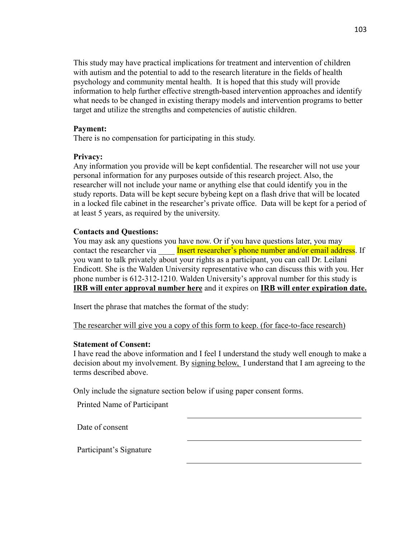This study may have practical implications for treatment and intervention of children with autism and the potential to add to the research literature in the fields of health psychology and community mental health. It is hoped that this study will provide information to help further effective strength-based intervention approaches and identify what needs to be changed in existing therapy models and intervention programs to better target and utilize the strengths and competencies of autistic children.

#### **Payment:**

There is no compensation for participating in this study.

#### **Privacy:**

Any information you provide will be kept confidential. The researcher will not use your personal information for any purposes outside of this research project. Also, the researcher will not include your name or anything else that could identify you in the study reports. Data will be kept secure bybeing kept on a flash drive that will be located in a locked file cabinet in the researcher's private office. Data will be kept for a period of at least 5 years, as required by the university.

### **Contacts and Questions:**

You may ask any questions you have now. Or if you have questions later, you may contact the researcher via **Insert researcher's phone number and/or email address**. If you want to talk privately about your rights as a participant, you can call Dr. Leilani Endicott. She is the Walden University representative who can discuss this with you. Her phone number is 612-312-1210. Walden University's approval number for this study is **IRB will enter approval number here** and it expires on **IRB will enter expiration date.**

Insert the phrase that matches the format of the study:

The researcher will give you a copy of this form to keep. (for face-to-face research)

### **Statement of Consent:**

I have read the above information and I feel I understand the study well enough to make a decision about my involvement. By signing below, I understand that I am agreeing to the terms described above.

Only include the signature section below if using paper consent forms.

Printed Name of Participant

Date of consent

Participant's Signature